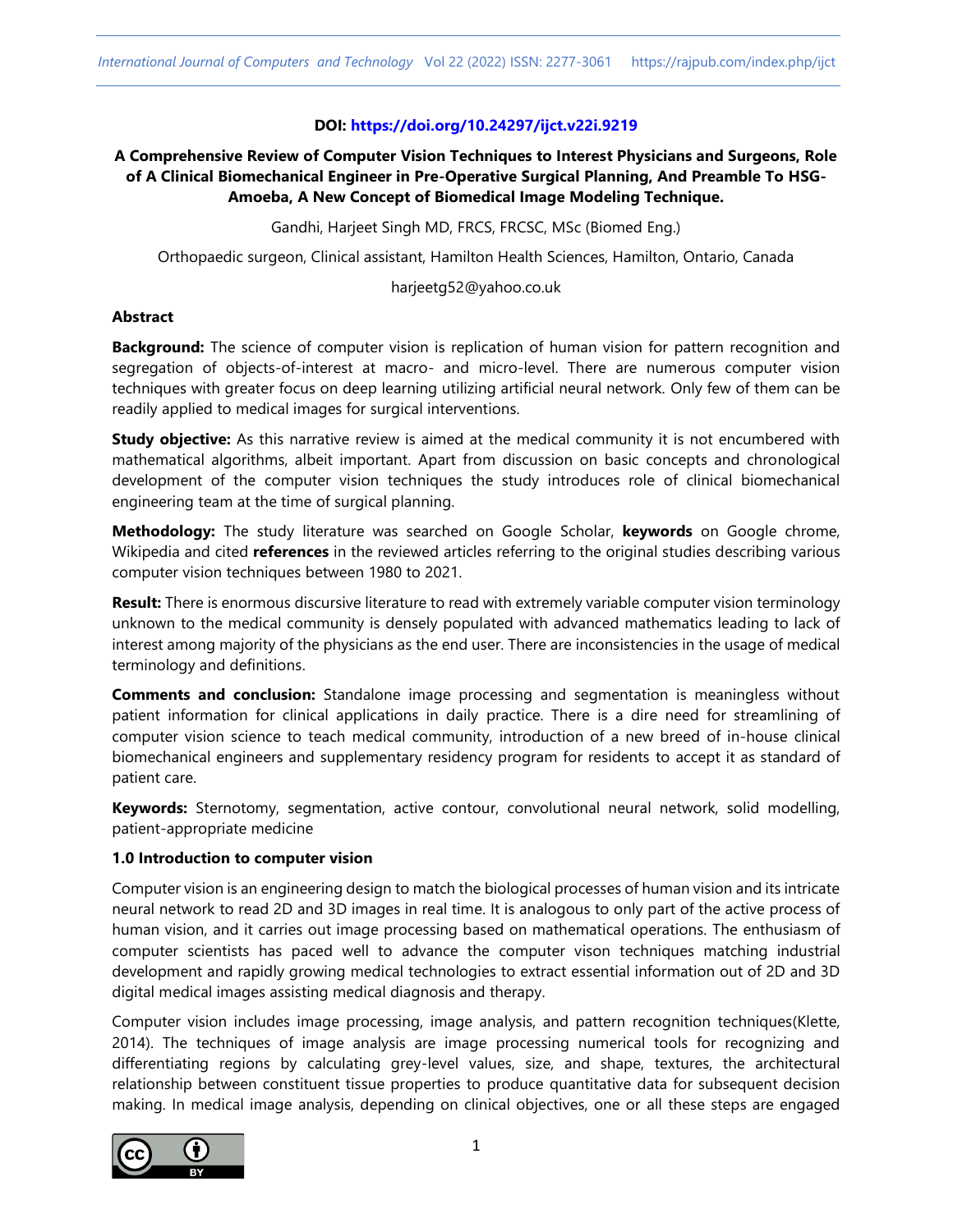## **DOI: <https://doi.org/10.24297/ijct.v22i.9219>**

# **A Comprehensive Review of Computer Vision Techniques to Interest Physicians and Surgeons, Role of A Clinical Biomechanical Engineer in Pre-Operative Surgical Planning, And Preamble To HSG-Amoeba, A New Concept of Biomedical Image Modeling Technique.**

Gandhi, Harjeet Singh MD, FRCS, FRCSC, MSc (Biomed Eng.)

Orthopaedic surgeon, Clinical assistant, Hamilton Health Sciences, Hamilton, Ontario, Canada

harjeetg52@yahoo.co.uk

#### **Abstract**

**Background:** The science of computer vision is replication of human vision for pattern recognition and segregation of objects-of-interest at macro- and micro-level. There are numerous computer vision techniques with greater focus on deep learning utilizing artificial neural network. Only few of them can be readily applied to medical images for surgical interventions.

**Study objective:** As this narrative review is aimed at the medical community it is not encumbered with mathematical algorithms, albeit important. Apart from discussion on basic concepts and chronological development of the computer vision techniques the study introduces role of clinical biomechanical engineering team at the time of surgical planning.

**Methodology:** The study literature was searched on Google Scholar, **keywords** on Google chrome, Wikipedia and cited **references** in the reviewed articles referring to the original studies describing various computer vision techniques between 1980 to 2021.

**Result:** There is enormous discursive literature to read with extremely variable computer vision terminology unknown to the medical community is densely populated with advanced mathematics leading to lack of interest among majority of the physicians as the end user. There are inconsistencies in the usage of medical terminology and definitions.

**Comments and conclusion:** Standalone image processing and segmentation is meaningless without patient information for clinical applications in daily practice. There is a dire need for streamlining of computer vision science to teach medical community, introduction of a new breed of in-house clinical biomechanical engineers and supplementary residency program for residents to accept it as standard of patient care.

**Keywords:** Sternotomy, segmentation, active contour, convolutional neural network, solid modelling, patient-appropriate medicine

#### **1.0 Introduction to computer vision**

Computer vision is an engineering design to match the biological processes of human vision and its intricate neural network to read 2D and 3D images in real time. It is analogous to only part of the active process of human vision, and it carries out image processing based on mathematical operations. The enthusiasm of computer scientists has paced well to advance the computer vison techniques matching industrial development and rapidly growing medical technologies to extract essential information out of 2D and 3D digital medical images assisting medical diagnosis and therapy.

Computer vision includes image processing, image analysis, and pattern recognition techniques(Klette, 2014). The techniques of image analysis are image processing numerical tools for recognizing and differentiating regions by calculating grey-level values, size, and shape, textures, the architectural relationship between constituent tissue properties to produce quantitative data for subsequent decision making. In medical image analysis, depending on clinical objectives, one or all these steps are engaged

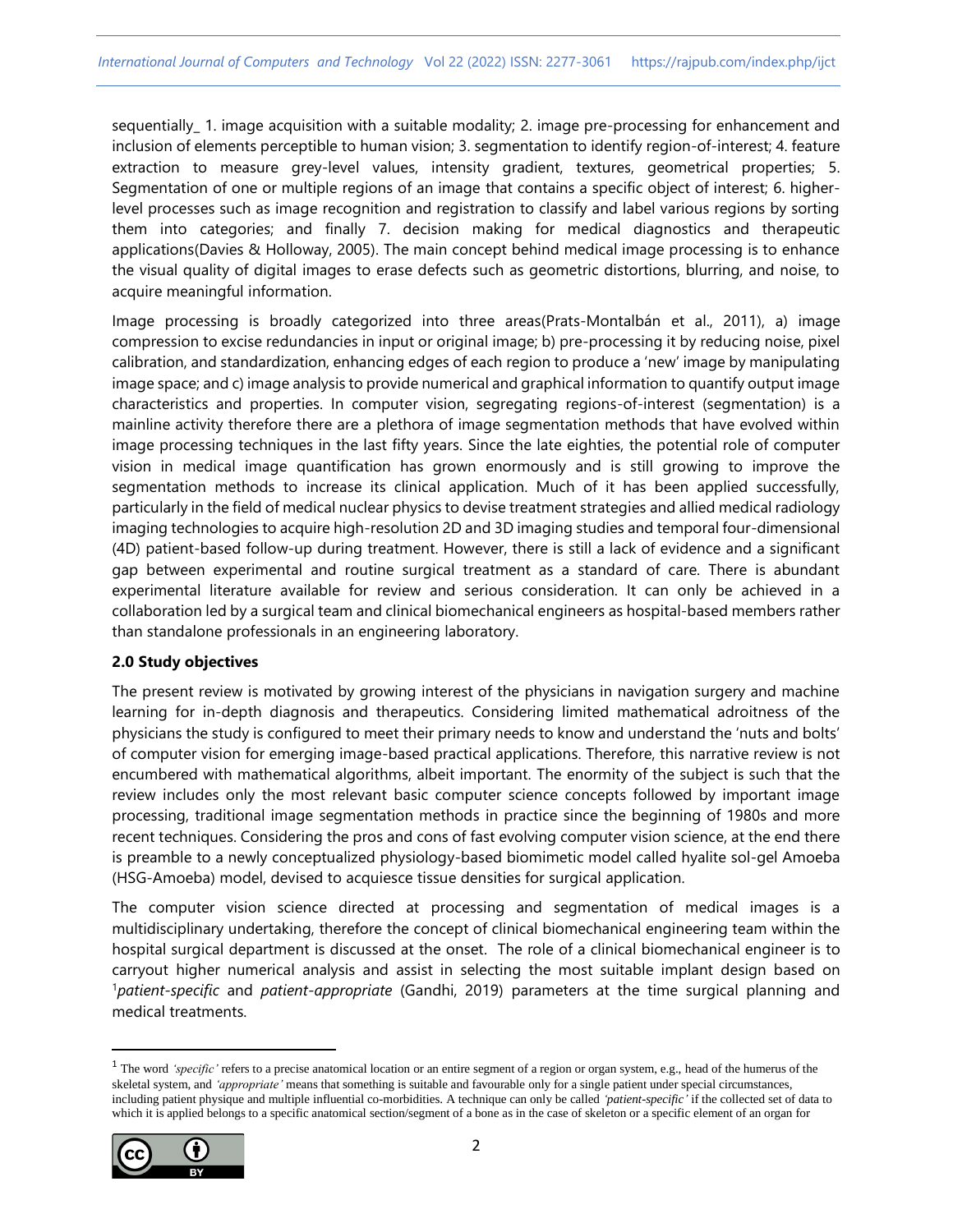sequentially\_1. image acquisition with a suitable modality; 2. image pre-processing for enhancement and inclusion of elements perceptible to human vision; 3. segmentation to identify region-of-interest; 4. feature extraction to measure grey-level values, intensity gradient, textures, geometrical properties; 5. Segmentation of one or multiple regions of an image that contains a specific object of interest; 6. higherlevel processes such as image recognition and registration to classify and label various regions by sorting them into categories; and finally 7. decision making for medical diagnostics and therapeutic applications(Davies & Holloway, 2005). The main concept behind medical image processing is to enhance the visual quality of digital images to erase defects such as geometric distortions, blurring, and noise, to acquire meaningful information.

Image processing is broadly categorized into three areas(Prats-Montalbán et al., 2011), a) image compression to excise redundancies in input or original image; b) pre-processing it by reducing noise, pixel calibration, and standardization, enhancing edges of each region to produce a 'new' image by manipulating image space; and c) image analysis to provide numerical and graphical information to quantify output image characteristics and properties. In computer vision, segregating regions-of-interest (segmentation) is a mainline activity therefore there are a plethora of image segmentation methods that have evolved within image processing techniques in the last fifty years. Since the late eighties, the potential role of computer vision in medical image quantification has grown enormously and is still growing to improve the segmentation methods to increase its clinical application. Much of it has been applied successfully, particularly in the field of medical nuclear physics to devise treatment strategies and allied medical radiology imaging technologies to acquire high-resolution 2D and 3D imaging studies and temporal four-dimensional (4D) patient-based follow-up during treatment. However, there is still a lack of evidence and a significant gap between experimental and routine surgical treatment as a standard of care. There is abundant experimental literature available for review and serious consideration. It can only be achieved in a collaboration led by a surgical team and clinical biomechanical engineers as hospital-based members rather than standalone professionals in an engineering laboratory.

## **2.0 Study objectives**

The present review is motivated by growing interest of the physicians in navigation surgery and machine learning for in-depth diagnosis and therapeutics. Considering limited mathematical adroitness of the physicians the study is configured to meet their primary needs to know and understand the 'nuts and bolts' of computer vision for emerging image-based practical applications. Therefore, this narrative review is not encumbered with mathematical algorithms, albeit important. The enormity of the subject is such that the review includes only the most relevant basic computer science concepts followed by important image processing, traditional image segmentation methods in practice since the beginning of 1980s and more recent techniques. Considering the pros and cons of fast evolving computer vision science, at the end there is preamble to a newly conceptualized physiology-based biomimetic model called hyalite sol-gel Amoeba (HSG-Amoeba) model, devised to acquiesce tissue densities for surgical application.

The computer vision science directed at processing and segmentation of medical images is a multidisciplinary undertaking, therefore the concept of clinical biomechanical engineering team within the hospital surgical department is discussed at the onset. The role of a clinical biomechanical engineer is to carryout higher numerical analysis and assist in selecting the most suitable implant design based on <sup>1</sup>*patient-specific* and *patient-appropriate* (Gandhi, 2019) parameters at the time surgical planning and medical treatments.

<sup>&</sup>lt;sup>1</sup> The word 'specific' refers to a precise anatomical location or an entire segment of a region or organ system, e.g., head of the humerus of the skeletal system, and *'appropriate'* means that something is suitable and favourable only for a single patient under special circumstances, including patient physique and multiple influential co-morbidities. A technique can only be called *'patient-specific'* if the collected set of data to which it is applied belongs to a specific anatomical section/segment of a bone as in the case of skeleton or a specific element of an organ for

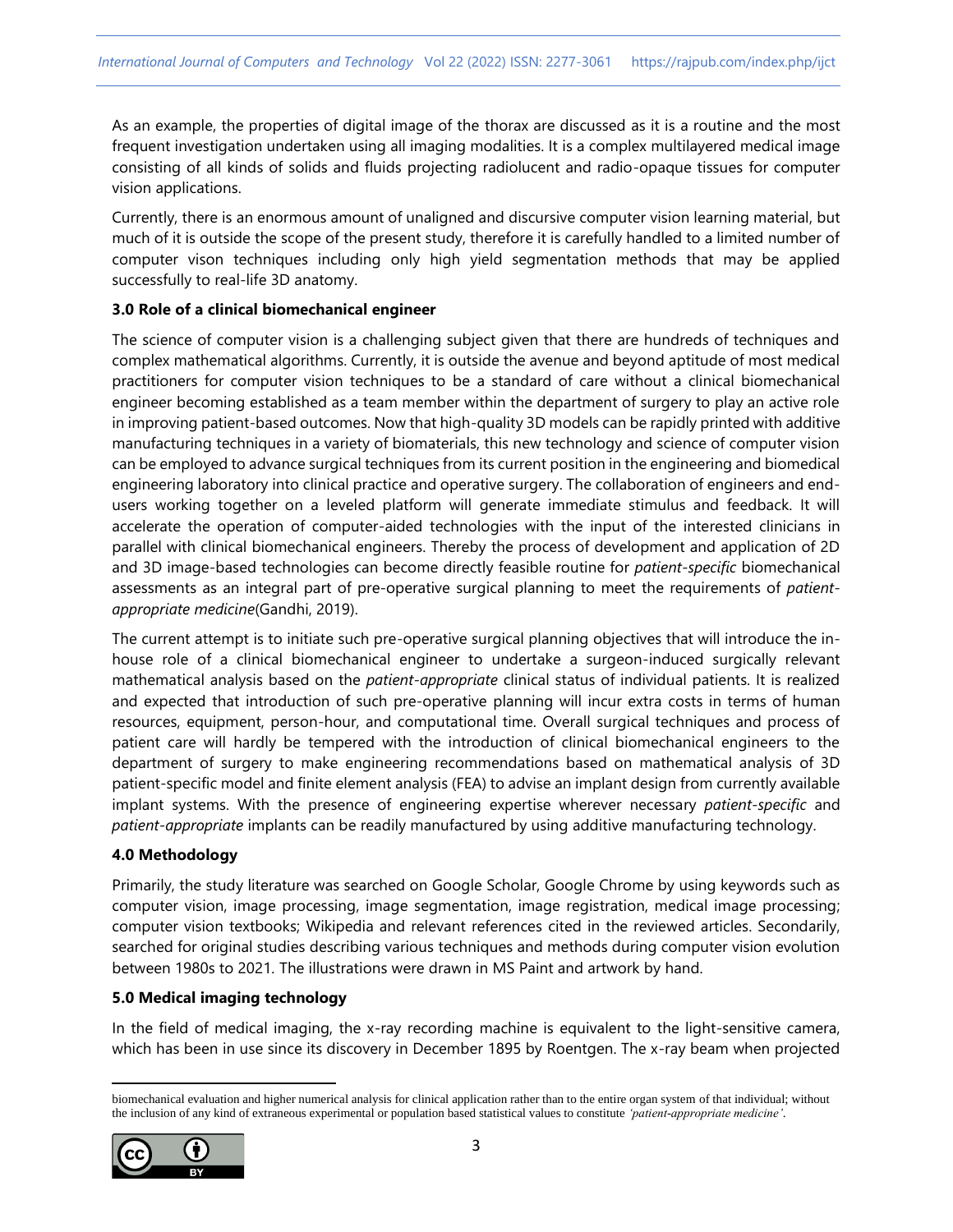As an example, the properties of digital image of the thorax are discussed as it is a routine and the most frequent investigation undertaken using all imaging modalities. It is a complex multilayered medical image consisting of all kinds of solids and fluids projecting radiolucent and radio-opaque tissues for computer vision applications.

Currently, there is an enormous amount of unaligned and discursive computer vision learning material, but much of it is outside the scope of the present study, therefore it is carefully handled to a limited number of computer vison techniques including only high yield segmentation methods that may be applied successfully to real-life 3D anatomy.

## **3.0 Role of a clinical biomechanical engineer**

The science of computer vision is a challenging subject given that there are hundreds of techniques and complex mathematical algorithms. Currently, it is outside the avenue and beyond aptitude of most medical practitioners for computer vision techniques to be a standard of care without a clinical biomechanical engineer becoming established as a team member within the department of surgery to play an active role in improving patient-based outcomes. Now that high-quality 3D models can be rapidly printed with additive manufacturing techniques in a variety of biomaterials, this new technology and science of computer vision can be employed to advance surgical techniques from its current position in the engineering and biomedical engineering laboratory into clinical practice and operative surgery. The collaboration of engineers and endusers working together on a leveled platform will generate immediate stimulus and feedback. It will accelerate the operation of computer-aided technologies with the input of the interested clinicians in parallel with clinical biomechanical engineers. Thereby the process of development and application of 2D and 3D image-based technologies can become directly feasible routine for *patient-specific* biomechanical assessments as an integral part of pre-operative surgical planning to meet the requirements of *patientappropriate medicine*(Gandhi, 2019).

The current attempt is to initiate such pre-operative surgical planning objectives that will introduce the inhouse role of a clinical biomechanical engineer to undertake a surgeon-induced surgically relevant mathematical analysis based on the *patient-appropriate* clinical status of individual patients. It is realized and expected that introduction of such pre-operative planning will incur extra costs in terms of human resources, equipment, person-hour, and computational time. Overall surgical techniques and process of patient care will hardly be tempered with the introduction of clinical biomechanical engineers to the department of surgery to make engineering recommendations based on mathematical analysis of 3D patient-specific model and finite element analysis (FEA) to advise an implant design from currently available implant systems. With the presence of engineering expertise wherever necessary *patient-specific* and *patient-appropriate* implants can be readily manufactured by using additive manufacturing technology.

## **4.0 Methodology**

Primarily, the study literature was searched on Google Scholar, Google Chrome by using keywords such as computer vision, image processing, image segmentation, image registration, medical image processing; computer vision textbooks; Wikipedia and relevant references cited in the reviewed articles. Secondarily, searched for original studies describing various techniques and methods during computer vision evolution between 1980s to 2021. The illustrations were drawn in MS Paint and artwork by hand.

# **5.0 Medical imaging technology**

In the field of medical imaging, the x-ray recording machine is equivalent to the light-sensitive camera, which has been in use since its discovery in December 1895 by Roentgen. The x-ray beam when projected

biomechanical evaluation and higher numerical analysis for clinical application rather than to the entire organ system of that individual; without the inclusion of any kind of extraneous experimental or population based statistical values to constitute *'patient-appropriate medicine'*.

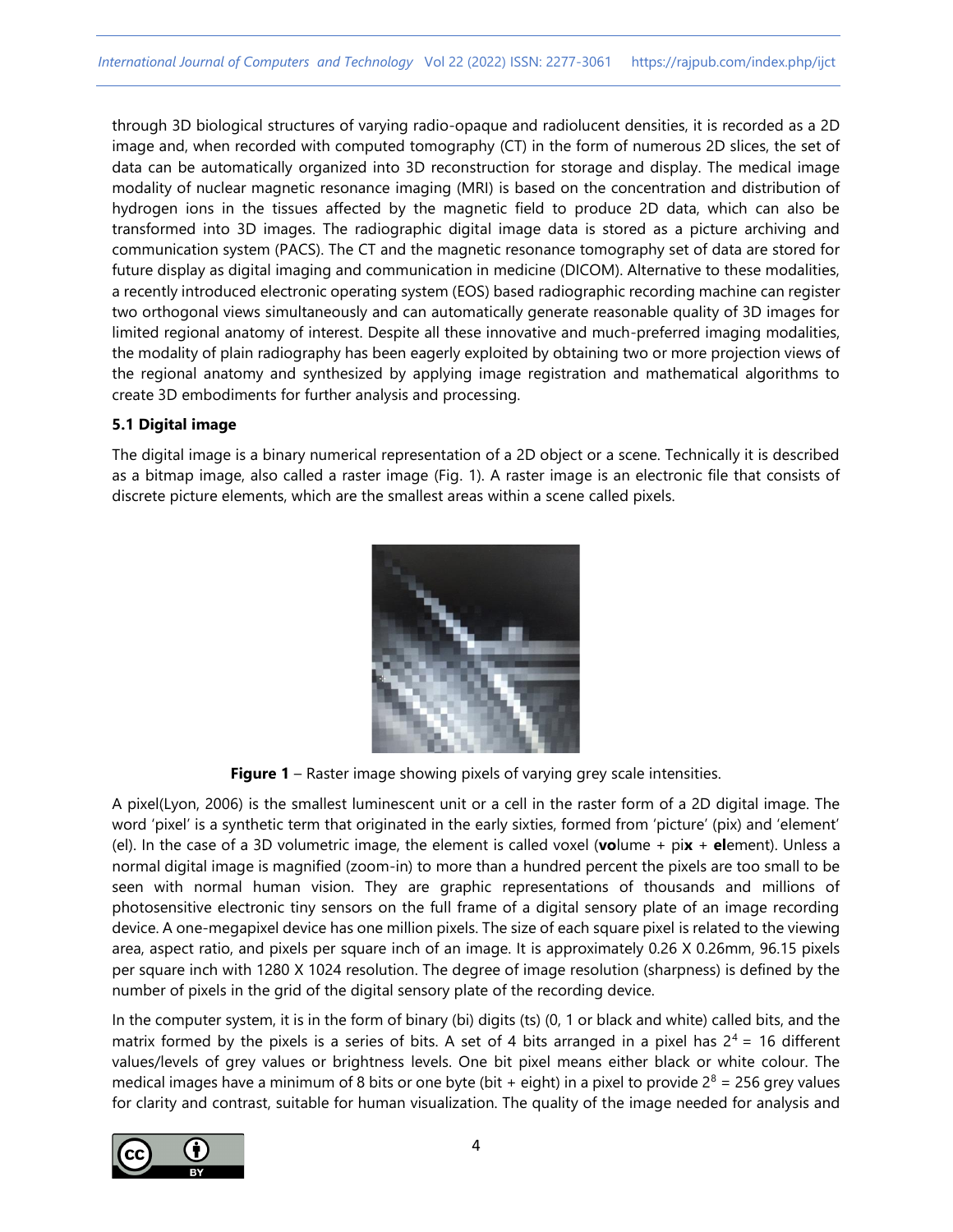through 3D biological structures of varying radio-opaque and radiolucent densities, it is recorded as a 2D image and, when recorded with computed tomography (CT) in the form of numerous 2D slices, the set of data can be automatically organized into 3D reconstruction for storage and display. The medical image modality of nuclear magnetic resonance imaging (MRI) is based on the concentration and distribution of hydrogen ions in the tissues affected by the magnetic field to produce 2D data, which can also be transformed into 3D images. The radiographic digital image data is stored as a picture archiving and communication system (PACS). The CT and the magnetic resonance tomography set of data are stored for future display as digital imaging and communication in medicine (DICOM). Alternative to these modalities, a recently introduced electronic operating system (EOS) based radiographic recording machine can register two orthogonal views simultaneously and can automatically generate reasonable quality of 3D images for limited regional anatomy of interest. Despite all these innovative and much-preferred imaging modalities, the modality of plain radiography has been eagerly exploited by obtaining two or more projection views of the regional anatomy and synthesized by applying image registration and mathematical algorithms to create 3D embodiments for further analysis and processing.

## **5.1 Digital image**

The digital image is a binary numerical representation of a 2D object or a scene. Technically it is described as a bitmap image, also called a raster image (Fig. 1). A raster image is an electronic file that consists of discrete picture elements, which are the smallest areas within a scene called pixels.



**Figure 1** – Raster image showing pixels of varying grey scale intensities.

A pixel(Lyon, 2006) is the smallest luminescent unit or a cell in the raster form of a 2D digital image. The word 'pixel' is a synthetic term that originated in the early sixties, formed from 'picture' (pix) and 'element' (el). In the case of a 3D volumetric image, the element is called voxel (**vo**lume + pi**x** + **el**ement). Unless a normal digital image is magnified (zoom-in) to more than a hundred percent the pixels are too small to be seen with normal human vision. They are graphic representations of thousands and millions of photosensitive electronic tiny sensors on the full frame of a digital sensory plate of an image recording device. A one-megapixel device has one million pixels. The size of each square pixel is related to the viewing area, aspect ratio, and pixels per square inch of an image. It is approximately 0.26 X 0.26mm, 96.15 pixels per square inch with 1280 X 1024 resolution. The degree of image resolution (sharpness) is defined by the number of pixels in the grid of the digital sensory plate of the recording device.

In the computer system, it is in the form of binary (bi) digits (ts) (0, 1 or black and white) called bits, and the matrix formed by the pixels is a series of bits. A set of 4 bits arranged in a pixel has  $2^4 = 16$  different values/levels of grey values or brightness levels. One bit pixel means either black or white colour. The medical images have a minimum of 8 bits or one byte (bit + eight) in a pixel to provide  $2^8$  = 256 grey values for clarity and contrast, suitable for human visualization. The quality of the image needed for analysis and

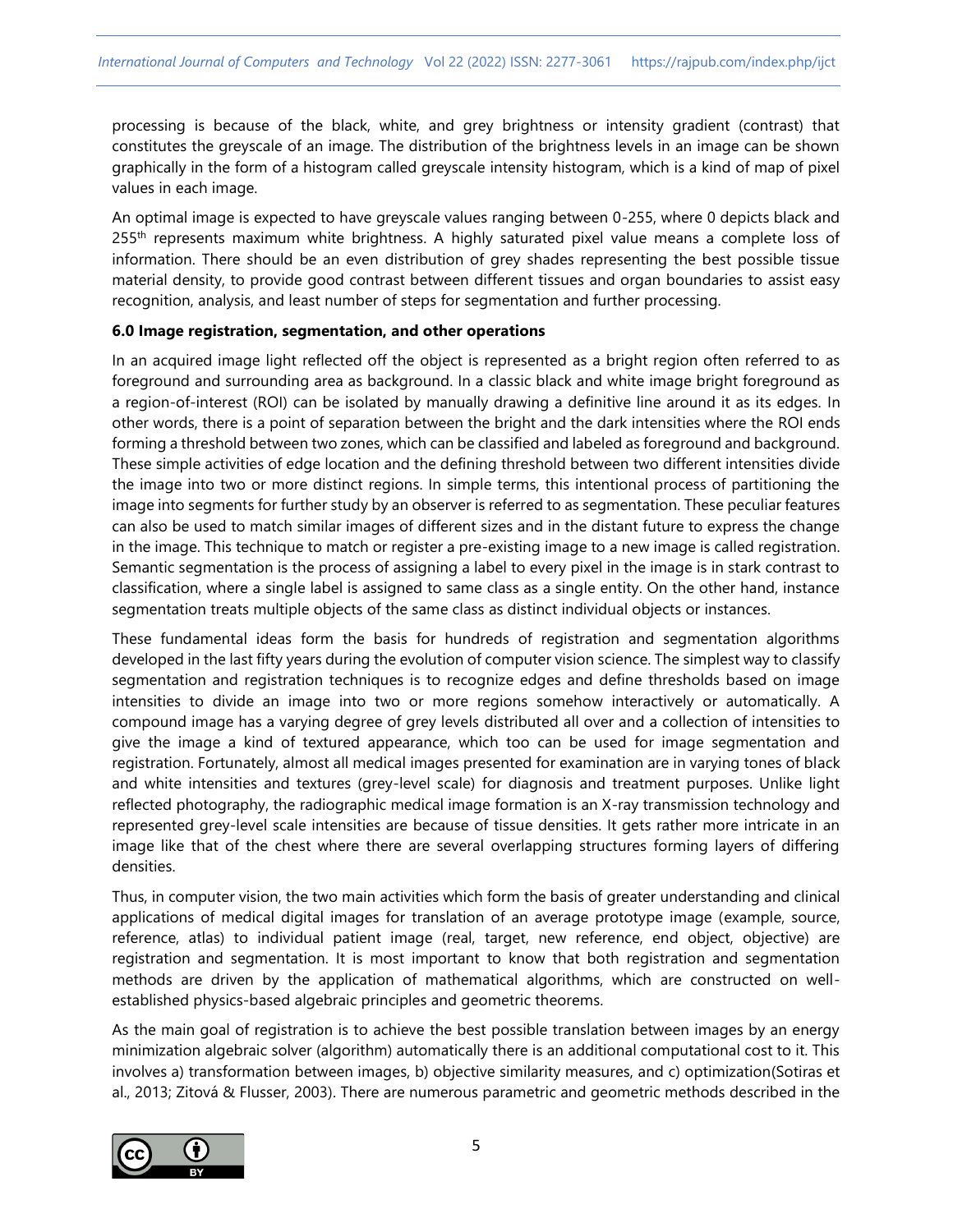processing is because of the black, white, and grey brightness or intensity gradient (contrast) that constitutes the greyscale of an image. The distribution of the brightness levels in an image can be shown graphically in the form of a histogram called greyscale intensity histogram, which is a kind of map of pixel values in each image.

An optimal image is expected to have greyscale values ranging between 0-255, where 0 depicts black and 255<sup>th</sup> represents maximum white brightness. A highly saturated pixel value means a complete loss of information. There should be an even distribution of grey shades representing the best possible tissue material density, to provide good contrast between different tissues and organ boundaries to assist easy recognition, analysis, and least number of steps for segmentation and further processing.

## **6.0 Image registration, segmentation, and other operations**

In an acquired image light reflected off the object is represented as a bright region often referred to as foreground and surrounding area as background. In a classic black and white image bright foreground as a region-of-interest (ROI) can be isolated by manually drawing a definitive line around it as its edges. In other words, there is a point of separation between the bright and the dark intensities where the ROI ends forming a threshold between two zones, which can be classified and labeled as foreground and background. These simple activities of edge location and the defining threshold between two different intensities divide the image into two or more distinct regions. In simple terms, this intentional process of partitioning the image into segments for further study by an observer is referred to as segmentation. These peculiar features can also be used to match similar images of different sizes and in the distant future to express the change in the image. This technique to match or register a pre-existing image to a new image is called registration. Semantic segmentation is the process of assigning a label to every pixel in the image is in stark contrast to classification, where a single label is assigned to same class as a single entity. On the other hand, instance segmentation treats multiple objects of the same class as distinct individual objects or instances.

These fundamental ideas form the basis for hundreds of registration and segmentation algorithms developed in the last fifty years during the evolution of computer vision science. The simplest way to classify segmentation and registration techniques is to recognize edges and define thresholds based on image intensities to divide an image into two or more regions somehow interactively or automatically. A compound image has a varying degree of grey levels distributed all over and a collection of intensities to give the image a kind of textured appearance, which too can be used for image segmentation and registration. Fortunately, almost all medical images presented for examination are in varying tones of black and white intensities and textures (grey-level scale) for diagnosis and treatment purposes. Unlike light reflected photography, the radiographic medical image formation is an X-ray transmission technology and represented grey-level scale intensities are because of tissue densities. It gets rather more intricate in an image like that of the chest where there are several overlapping structures forming layers of differing densities.

Thus, in computer vision, the two main activities which form the basis of greater understanding and clinical applications of medical digital images for translation of an average prototype image (example, source, reference, atlas) to individual patient image (real, target, new reference, end object, objective) are registration and segmentation. It is most important to know that both registration and segmentation methods are driven by the application of mathematical algorithms, which are constructed on wellestablished physics-based algebraic principles and geometric theorems.

As the main goal of registration is to achieve the best possible translation between images by an energy minimization algebraic solver (algorithm) automatically there is an additional computational cost to it. This involves a) transformation between images, b) objective similarity measures, and c) optimization(Sotiras et al., 2013; Zitová & Flusser, 2003). There are numerous parametric and geometric methods described in the

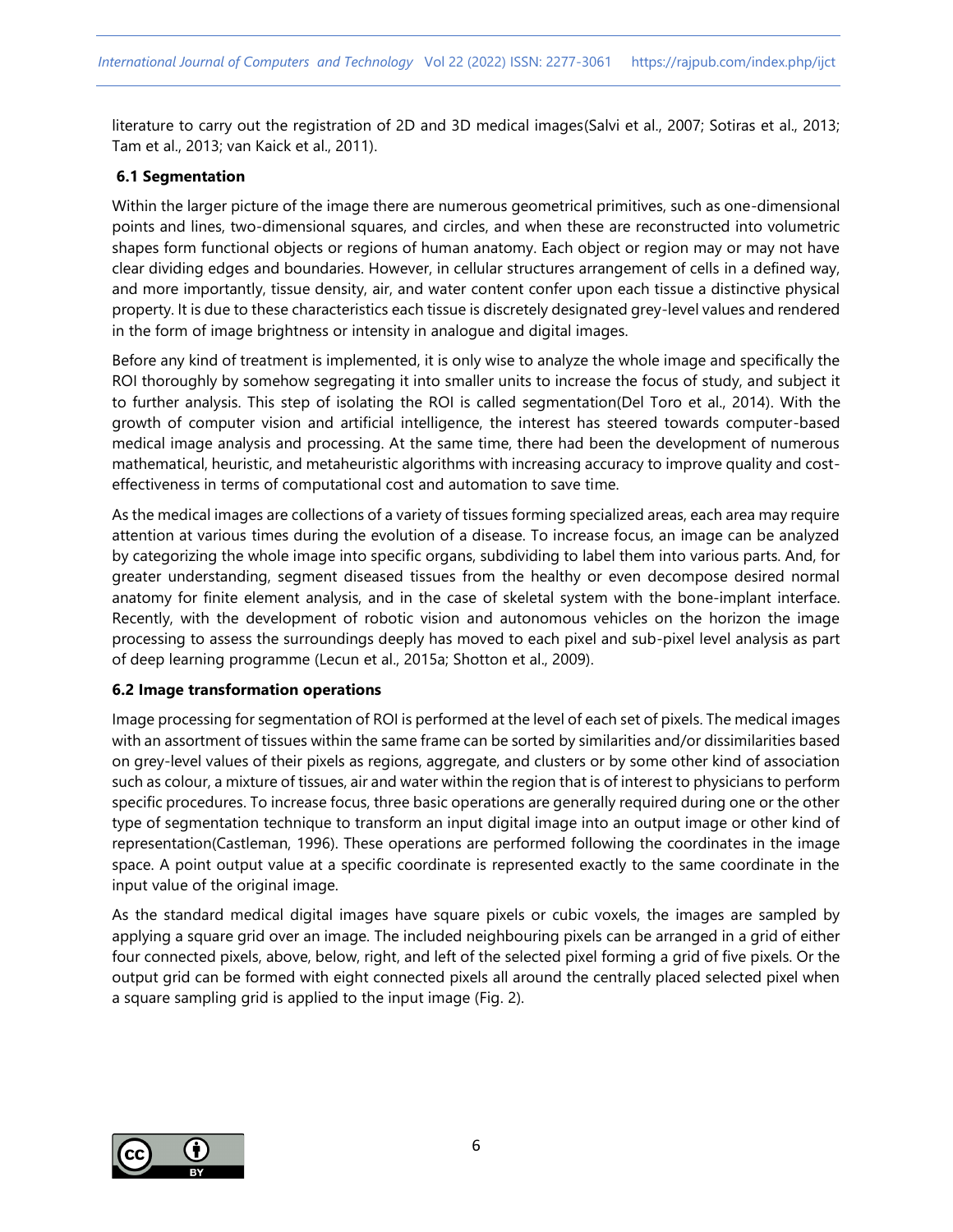literature to carry out the registration of 2D and 3D medical images(Salvi et al., 2007; Sotiras et al., 2013; Tam et al., 2013; van Kaick et al., 2011).

## **6.1 Segmentation**

Within the larger picture of the image there are numerous geometrical primitives, such as one-dimensional points and lines, two-dimensional squares, and circles, and when these are reconstructed into volumetric shapes form functional objects or regions of human anatomy. Each object or region may or may not have clear dividing edges and boundaries. However, in cellular structures arrangement of cells in a defined way, and more importantly, tissue density, air, and water content confer upon each tissue a distinctive physical property. It is due to these characteristics each tissue is discretely designated grey-level values and rendered in the form of image brightness or intensity in analogue and digital images.

Before any kind of treatment is implemented, it is only wise to analyze the whole image and specifically the ROI thoroughly by somehow segregating it into smaller units to increase the focus of study, and subject it to further analysis. This step of isolating the ROI is called segmentation(Del Toro et al., 2014). With the growth of computer vision and artificial intelligence, the interest has steered towards computer-based medical image analysis and processing. At the same time, there had been the development of numerous mathematical, heuristic, and metaheuristic algorithms with increasing accuracy to improve quality and costeffectiveness in terms of computational cost and automation to save time.

As the medical images are collections of a variety of tissues forming specialized areas, each area may require attention at various times during the evolution of a disease. To increase focus, an image can be analyzed by categorizing the whole image into specific organs, subdividing to label them into various parts. And, for greater understanding, segment diseased tissues from the healthy or even decompose desired normal anatomy for finite element analysis, and in the case of skeletal system with the bone-implant interface. Recently, with the development of robotic vision and autonomous vehicles on the horizon the image processing to assess the surroundings deeply has moved to each pixel and sub-pixel level analysis as part of deep learning programme (Lecun et al., 2015a; Shotton et al., 2009).

## **6.2 Image transformation operations**

Image processing for segmentation of ROI is performed at the level of each set of pixels. The medical images with an assortment of tissues within the same frame can be sorted by similarities and/or dissimilarities based on grey-level values of their pixels as regions, aggregate, and clusters or by some other kind of association such as colour, a mixture of tissues, air and water within the region that is of interest to physicians to perform specific procedures. To increase focus, three basic operations are generally required during one or the other type of segmentation technique to transform an input digital image into an output image or other kind of representation(Castleman, 1996). These operations are performed following the coordinates in the image space. A point output value at a specific coordinate is represented exactly to the same coordinate in the input value of the original image.

As the standard medical digital images have square pixels or cubic voxels, the images are sampled by applying a square grid over an image. The included neighbouring pixels can be arranged in a grid of either four connected pixels, above, below, right, and left of the selected pixel forming a grid of five pixels. Or the output grid can be formed with eight connected pixels all around the centrally placed selected pixel when a square sampling grid is applied to the input image (Fig. 2).

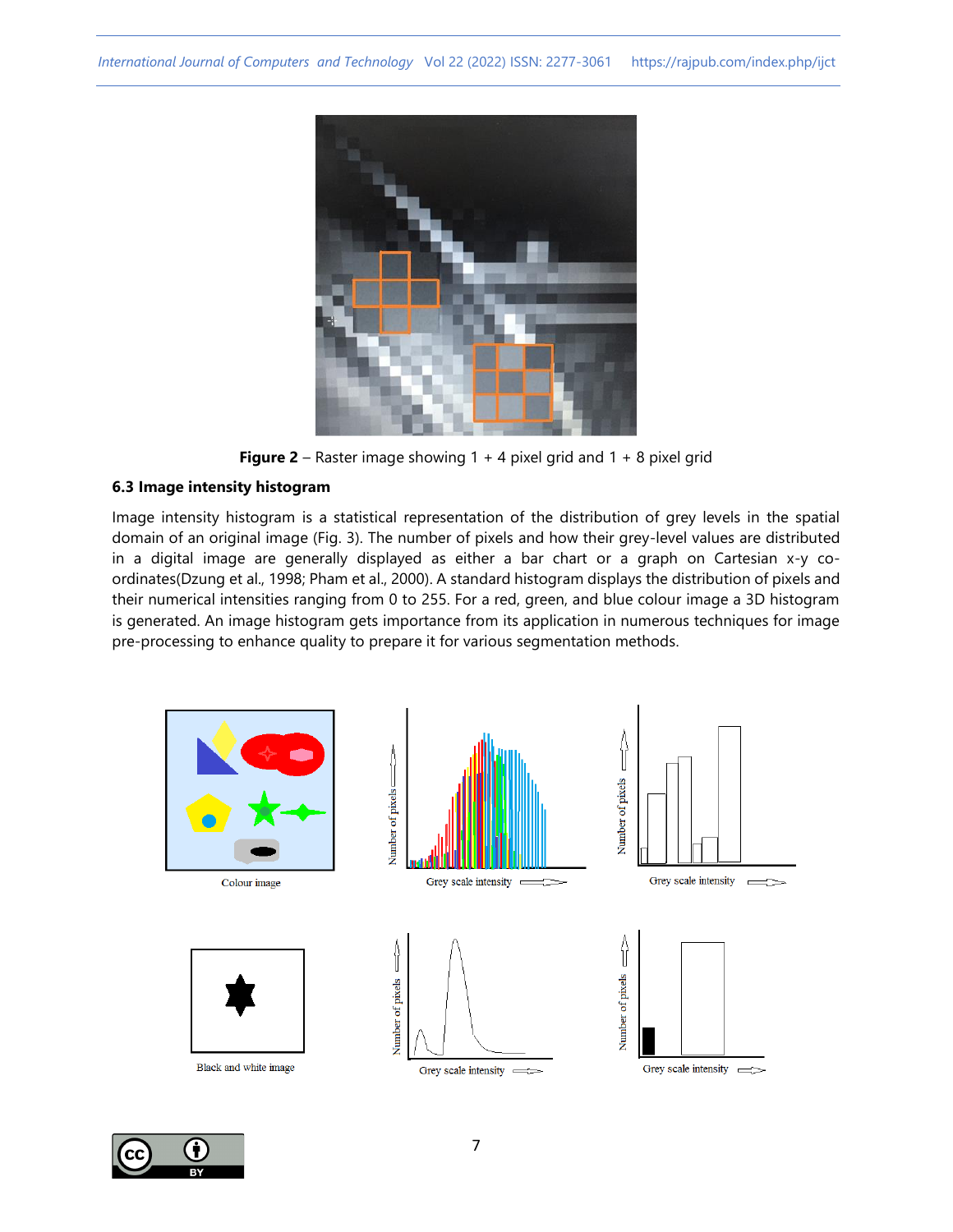

**Figure 2** – Raster image showing 1 + 4 pixel grid and 1 + 8 pixel grid

# **6.3 Image intensity histogram**

Image intensity histogram is a statistical representation of the distribution of grey levels in the spatial domain of an original image (Fig. 3). The number of pixels and how their grey-level values are distributed in a digital image are generally displayed as either a bar chart or a graph on Cartesian x-y coordinates(Dzung et al., 1998; Pham et al., 2000). A standard histogram displays the distribution of pixels and their numerical intensities ranging from 0 to 255. For a red, green, and blue colour image a 3D histogram is generated. An image histogram gets importance from its application in numerous techniques for image pre-processing to enhance quality to prepare it for various segmentation methods.



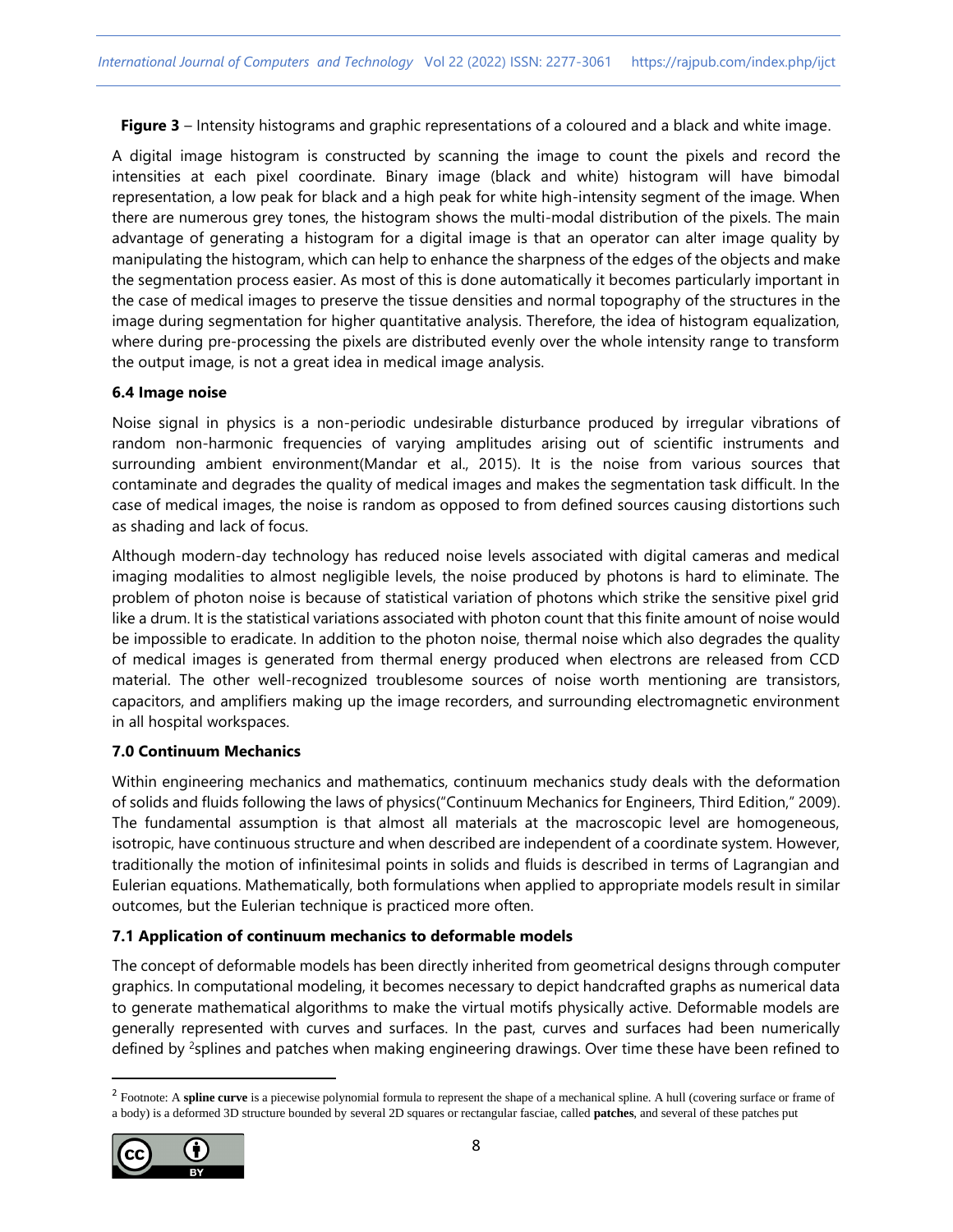**Figure 3** – Intensity histograms and graphic representations of a coloured and a black and white image.

A digital image histogram is constructed by scanning the image to count the pixels and record the intensities at each pixel coordinate. Binary image (black and white) histogram will have bimodal representation, a low peak for black and a high peak for white high-intensity segment of the image. When there are numerous grey tones, the histogram shows the multi-modal distribution of the pixels. The main advantage of generating a histogram for a digital image is that an operator can alter image quality by manipulating the histogram, which can help to enhance the sharpness of the edges of the objects and make the segmentation process easier. As most of this is done automatically it becomes particularly important in the case of medical images to preserve the tissue densities and normal topography of the structures in the image during segmentation for higher quantitative analysis. Therefore, the idea of histogram equalization, where during pre-processing the pixels are distributed evenly over the whole intensity range to transform the output image, is not a great idea in medical image analysis.

#### **6.4 Image noise**

Noise signal in physics is a non-periodic undesirable disturbance produced by irregular vibrations of random non-harmonic frequencies of varying amplitudes arising out of scientific instruments and surrounding ambient environment(Mandar et al., 2015). It is the noise from various sources that contaminate and degrades the quality of medical images and makes the segmentation task difficult. In the case of medical images, the noise is random as opposed to from defined sources causing distortions such as shading and lack of focus.

Although modern-day technology has reduced noise levels associated with digital cameras and medical imaging modalities to almost negligible levels, the noise produced by photons is hard to eliminate. The problem of photon noise is because of statistical variation of photons which strike the sensitive pixel grid like a drum. It is the statistical variations associated with photon count that this finite amount of noise would be impossible to eradicate. In addition to the photon noise, thermal noise which also degrades the quality of medical images is generated from thermal energy produced when electrons are released from CCD material. The other well-recognized troublesome sources of noise worth mentioning are transistors, capacitors, and amplifiers making up the image recorders, and surrounding electromagnetic environment in all hospital workspaces.

## **7.0 Continuum Mechanics**

Within engineering mechanics and mathematics, continuum mechanics study deals with the deformation of solids and fluids following the laws of physics("Continuum Mechanics for Engineers, Third Edition," 2009). The fundamental assumption is that almost all materials at the macroscopic level are homogeneous, isotropic, have continuous structure and when described are independent of a coordinate system. However, traditionally the motion of infinitesimal points in solids and fluids is described in terms of Lagrangian and Eulerian equations. Mathematically, both formulations when applied to appropriate models result in similar outcomes, but the Eulerian technique is practiced more often.

## **7.1 Application of continuum mechanics to deformable models**

The concept of deformable models has been directly inherited from geometrical designs through computer graphics. In computational modeling, it becomes necessary to depict handcrafted graphs as numerical data to generate mathematical algorithms to make the virtual motifs physically active. Deformable models are generally represented with curves and surfaces. In the past, curves and surfaces had been numerically defined by <sup>2</sup>splines and patches when making engineering drawings. Over time these have been refined to

<sup>&</sup>lt;sup>2</sup> Footnote: A spline curve is a piecewise polynomial formula to represent the shape of a mechanical spline. A hull (covering surface or frame of a body) is a deformed 3D structure bounded by several 2D squares or rectangular fasciae, called **patches**, and several of these patches put

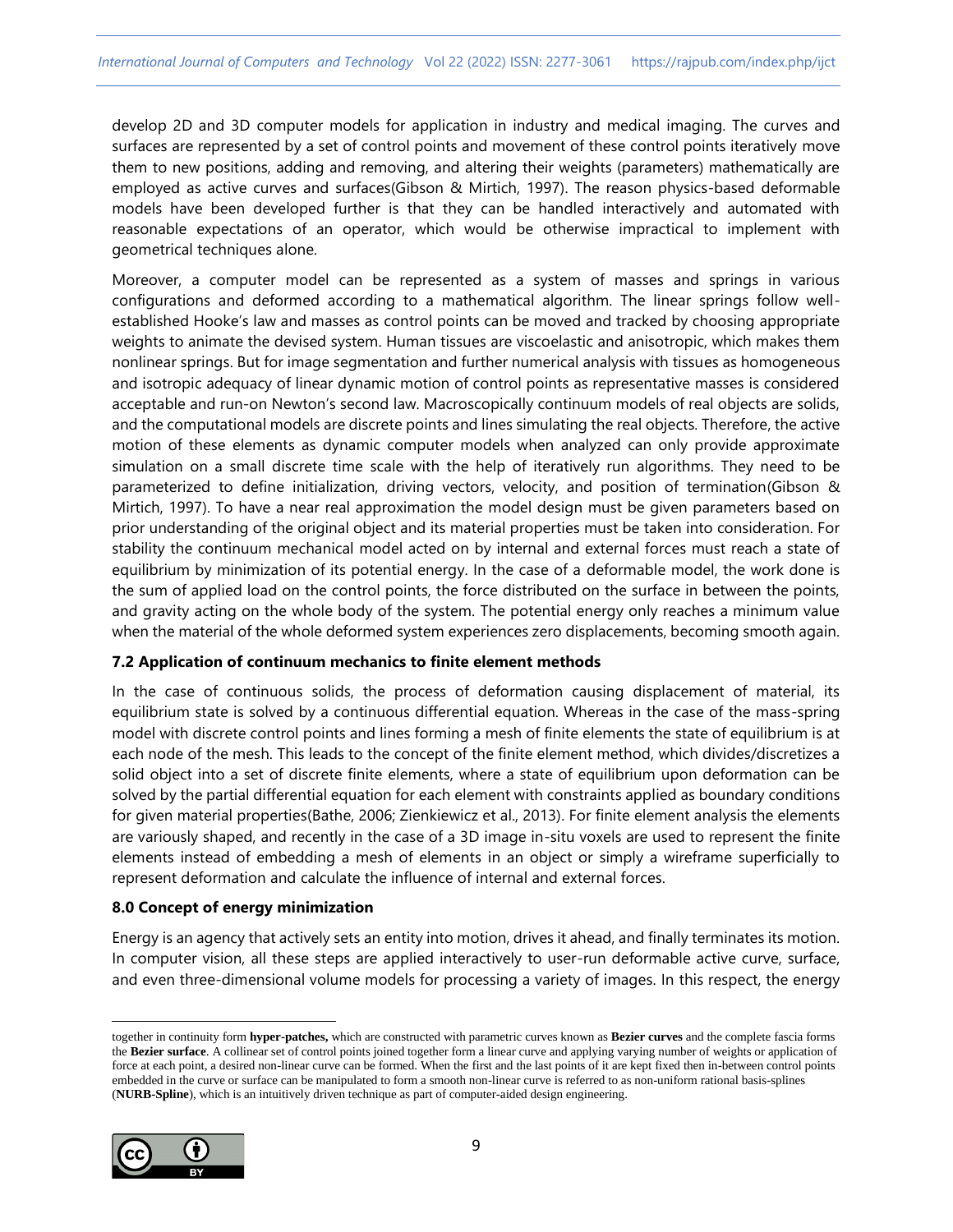develop 2D and 3D computer models for application in industry and medical imaging. The curves and surfaces are represented by a set of control points and movement of these control points iteratively move them to new positions, adding and removing, and altering their weights (parameters) mathematically are employed as active curves and surfaces(Gibson & Mirtich, 1997). The reason physics-based deformable models have been developed further is that they can be handled interactively and automated with reasonable expectations of an operator, which would be otherwise impractical to implement with geometrical techniques alone.

Moreover, a computer model can be represented as a system of masses and springs in various configurations and deformed according to a mathematical algorithm. The linear springs follow wellestablished Hooke's law and masses as control points can be moved and tracked by choosing appropriate weights to animate the devised system. Human tissues are viscoelastic and anisotropic, which makes them nonlinear springs. But for image segmentation and further numerical analysis with tissues as homogeneous and isotropic adequacy of linear dynamic motion of control points as representative masses is considered acceptable and run-on Newton's second law. Macroscopically continuum models of real objects are solids, and the computational models are discrete points and lines simulating the real objects. Therefore, the active motion of these elements as dynamic computer models when analyzed can only provide approximate simulation on a small discrete time scale with the help of iteratively run algorithms. They need to be parameterized to define initialization, driving vectors, velocity, and position of termination(Gibson & Mirtich, 1997). To have a near real approximation the model design must be given parameters based on prior understanding of the original object and its material properties must be taken into consideration. For stability the continuum mechanical model acted on by internal and external forces must reach a state of equilibrium by minimization of its potential energy. In the case of a deformable model, the work done is the sum of applied load on the control points, the force distributed on the surface in between the points, and gravity acting on the whole body of the system. The potential energy only reaches a minimum value when the material of the whole deformed system experiences zero displacements, becoming smooth again.

## **7.2 Application of continuum mechanics to finite element methods**

In the case of continuous solids, the process of deformation causing displacement of material, its equilibrium state is solved by a continuous differential equation. Whereas in the case of the mass-spring model with discrete control points and lines forming a mesh of finite elements the state of equilibrium is at each node of the mesh. This leads to the concept of the finite element method, which divides/discretizes a solid object into a set of discrete finite elements, where a state of equilibrium upon deformation can be solved by the partial differential equation for each element with constraints applied as boundary conditions for given material properties(Bathe, 2006; Zienkiewicz et al., 2013). For finite element analysis the elements are variously shaped, and recently in the case of a 3D image in-situ voxels are used to represent the finite elements instead of embedding a mesh of elements in an object or simply a wireframe superficially to represent deformation and calculate the influence of internal and external forces.

## **8.0 Concept of energy minimization**

Energy is an agency that actively sets an entity into motion, drives it ahead, and finally terminates its motion. In computer vision, all these steps are applied interactively to user-run deformable active curve, surface, and even three-dimensional volume models for processing a variety of images. In this respect, the energy

together in continuity form **hyper-patches,** which are constructed with parametric curves known as **Bezier curves** and the complete fascia forms the **Bezier surface**. A collinear set of control points joined together form a linear curve and applying varying number of weights or application of force at each point, a desired non-linear curve can be formed. When the first and the last points of it are kept fixed then in-between control points embedded in the curve or surface can be manipulated to form a smooth non-linear curve is referred to as non-uniform rational basis-splines (**NURB-Spline**), which is an intuitively driven technique as part of computer-aided design engineering.

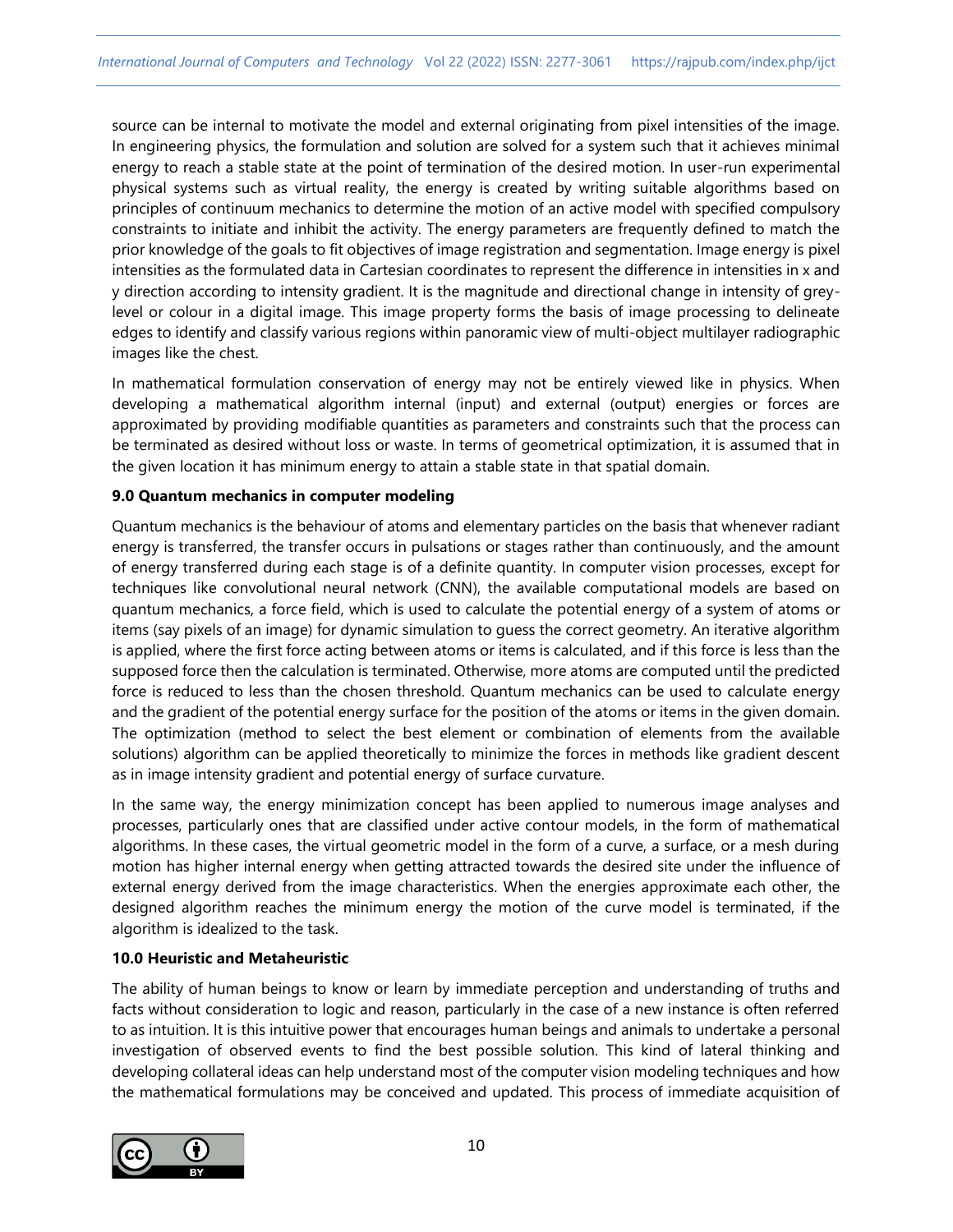source can be internal to motivate the model and external originating from pixel intensities of the image. In engineering physics, the formulation and solution are solved for a system such that it achieves minimal energy to reach a stable state at the point of termination of the desired motion. In user-run experimental physical systems such as virtual reality, the energy is created by writing suitable algorithms based on principles of continuum mechanics to determine the motion of an active model with specified compulsory constraints to initiate and inhibit the activity. The energy parameters are frequently defined to match the prior knowledge of the goals to fit objectives of image registration and segmentation. Image energy is pixel intensities as the formulated data in Cartesian coordinates to represent the difference in intensities in x and y direction according to intensity gradient. It is the magnitude and directional change in intensity of greylevel or colour in a digital image. This image property forms the basis of image processing to delineate edges to identify and classify various regions within panoramic view of multi-object multilayer radiographic images like the chest.

In mathematical formulation conservation of energy may not be entirely viewed like in physics. When developing a mathematical algorithm internal (input) and external (output) energies or forces are approximated by providing modifiable quantities as parameters and constraints such that the process can be terminated as desired without loss or waste. In terms of geometrical optimization, it is assumed that in the given location it has minimum energy to attain a stable state in that spatial domain.

## **9.0 Quantum mechanics in computer modeling**

Quantum mechanics is the behaviour of atoms and elementary particles on the basis that whenever radiant energy is transferred, the transfer occurs in pulsations or stages rather than continuously, and the amount of energy transferred during each stage is of a definite quantity. In computer vision processes, except for techniques like convolutional neural network (CNN), the available computational models are based on quantum mechanics, a force field, which is used to calculate the potential energy of a system of atoms or items (say pixels of an image) for dynamic simulation to guess the correct geometry. An iterative algorithm is applied, where the first force acting between atoms or items is calculated, and if this force is less than the supposed force then the calculation is terminated. Otherwise, more atoms are computed until the predicted force is reduced to less than the chosen threshold. Quantum mechanics can be used to calculate energy and the gradient of the potential energy surface for the position of the atoms or items in the given domain. The optimization (method to select the best element or combination of elements from the available solutions) algorithm can be applied theoretically to minimize the forces in methods like gradient descent as in image intensity gradient and potential energy of surface curvature.

In the same way, the energy minimization concept has been applied to numerous image analyses and processes, particularly ones that are classified under active contour models, in the form of mathematical algorithms. In these cases, the virtual geometric model in the form of a curve, a surface, or a mesh during motion has higher internal energy when getting attracted towards the desired site under the influence of external energy derived from the image characteristics. When the energies approximate each other, the designed algorithm reaches the minimum energy the motion of the curve model is terminated, if the algorithm is idealized to the task.

#### **10.0 Heuristic and Metaheuristic**

The ability of human beings to know or learn by immediate perception and understanding of truths and facts without consideration to logic and reason, particularly in the case of a new instance is often referred to as intuition. It is this intuitive power that encourages human beings and animals to undertake a personal investigation of observed events to find the best possible solution. This kind of lateral thinking and developing collateral ideas can help understand most of the computer vision modeling techniques and how the mathematical formulations may be conceived and updated. This process of immediate acquisition of

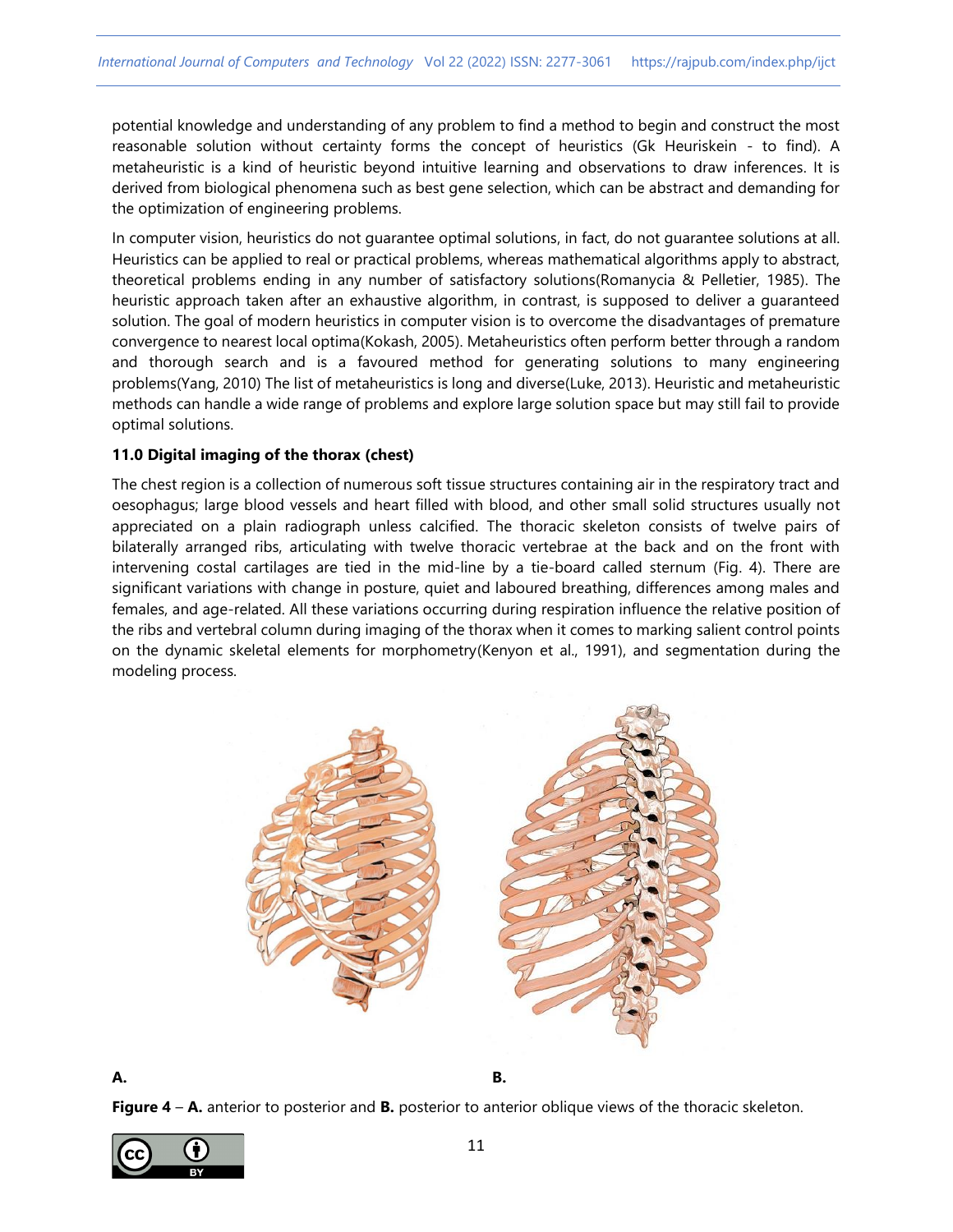potential knowledge and understanding of any problem to find a method to begin and construct the most reasonable solution without certainty forms the concept of heuristics (Gk Heuriskein - to find). A metaheuristic is a kind of heuristic beyond intuitive learning and observations to draw inferences. It is derived from biological phenomena such as best gene selection, which can be abstract and demanding for the optimization of engineering problems.

In computer vision, heuristics do not guarantee optimal solutions, in fact, do not guarantee solutions at all. Heuristics can be applied to real or practical problems, whereas mathematical algorithms apply to abstract, theoretical problems ending in any number of satisfactory solutions(Romanycia & Pelletier, 1985). The heuristic approach taken after an exhaustive algorithm, in contrast, is supposed to deliver a guaranteed solution. The goal of modern heuristics in computer vision is to overcome the disadvantages of premature convergence to nearest local optima(Kokash, 2005). Metaheuristics often perform better through a random and thorough search and is a favoured method for generating solutions to many engineering problems(Yang, 2010) The list of metaheuristics is long and diverse(Luke, 2013). Heuristic and metaheuristic methods can handle a wide range of problems and explore large solution space but may still fail to provide optimal solutions.

## **11.0 Digital imaging of the thorax (chest)**

The chest region is a collection of numerous soft tissue structures containing air in the respiratory tract and oesophagus; large blood vessels and heart filled with blood, and other small solid structures usually not appreciated on a plain radiograph unless calcified. The thoracic skeleton consists of twelve pairs of bilaterally arranged ribs, articulating with twelve thoracic vertebrae at the back and on the front with intervening costal cartilages are tied in the mid-line by a tie-board called sternum (Fig. 4). There are significant variations with change in posture, quiet and laboured breathing, differences among males and females, and age-related. All these variations occurring during respiration influence the relative position of the ribs and vertebral column during imaging of the thorax when it comes to marking salient control points on the dynamic skeletal elements for morphometry(Kenyon et al., 1991), and segmentation during the modeling process.





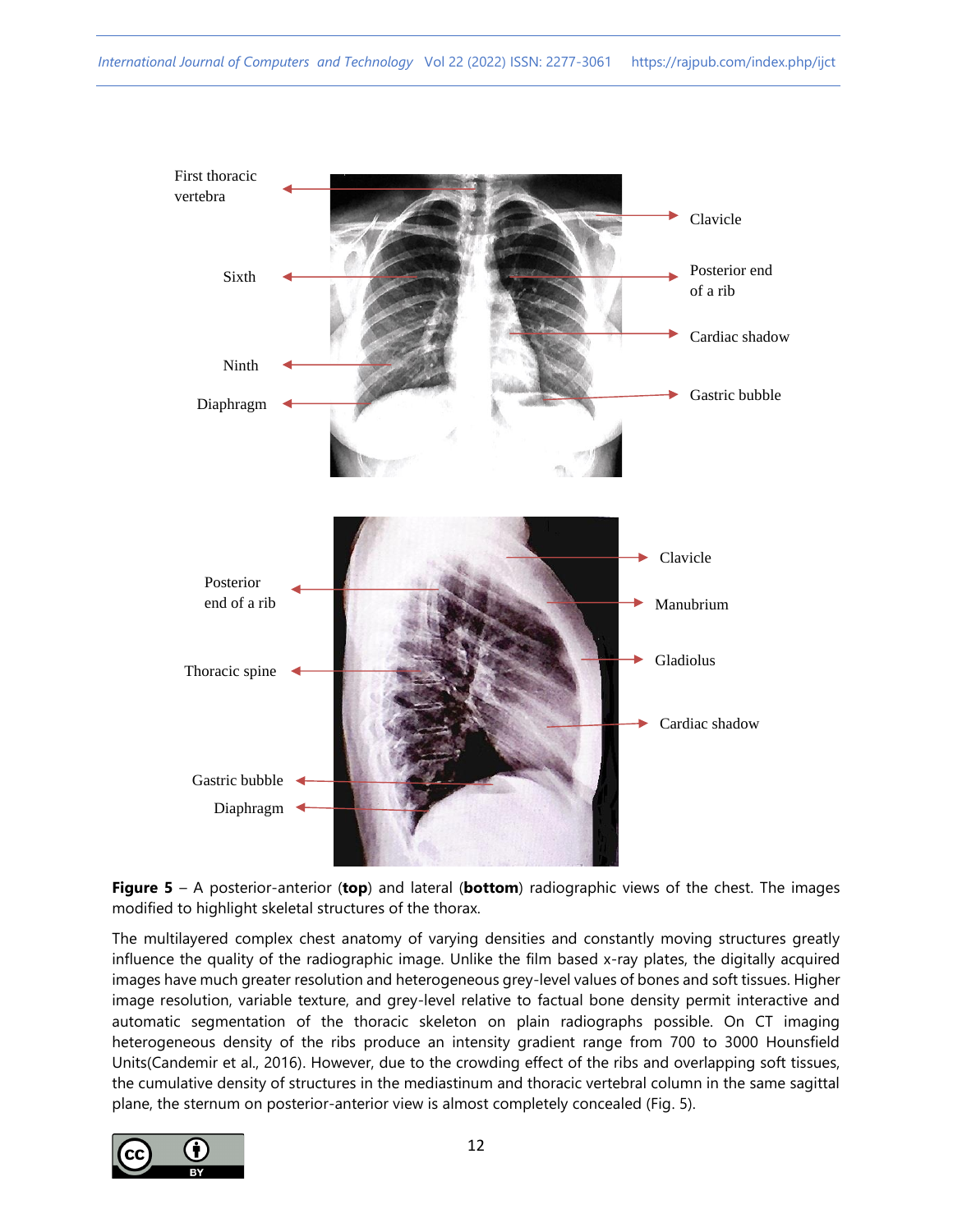

**Figure 5** – A posterior-anterior (**top**) and lateral (**bottom**) radiographic views of the chest. The images modified to highlight skeletal structures of the thorax.

The multilayered complex chest anatomy of varying densities and constantly moving structures greatly influence the quality of the radiographic image. Unlike the film based x-ray plates, the digitally acquired images have much greater resolution and heterogeneous grey-level values of bones and soft tissues. Higher image resolution, variable texture, and grey-level relative to factual bone density permit interactive and automatic segmentation of the thoracic skeleton on plain radiographs possible. On CT imaging heterogeneous density of the ribs produce an intensity gradient range from 700 to 3000 Hounsfield Units(Candemir et al., 2016). However, due to the crowding effect of the ribs and overlapping soft tissues, the cumulative density of structures in the mediastinum and thoracic vertebral column in the same sagittal plane, the sternum on posterior-anterior view is almost completely concealed (Fig. 5).

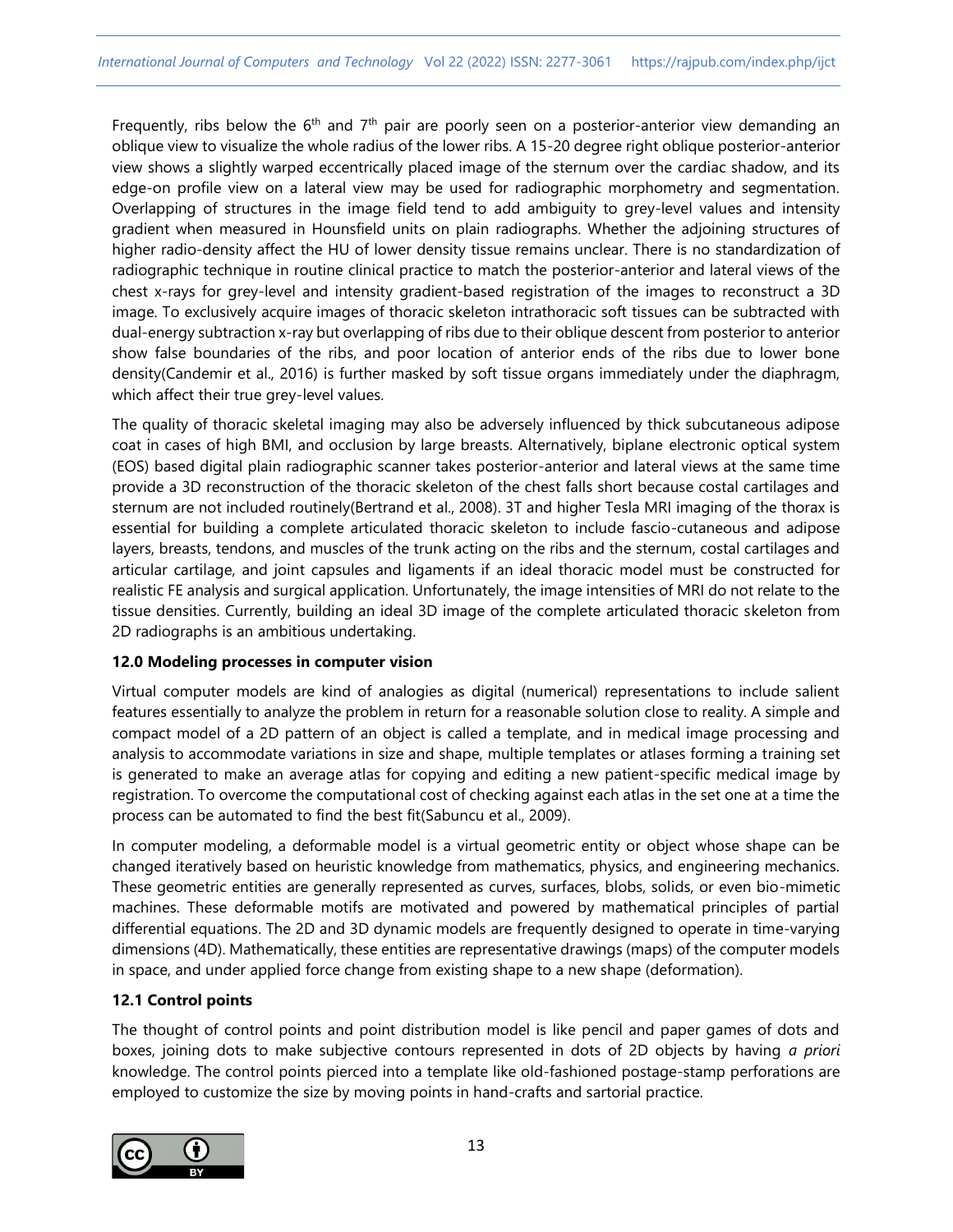Frequently, ribs below the  $6<sup>th</sup>$  and  $7<sup>th</sup>$  pair are poorly seen on a posterior-anterior view demanding an oblique view to visualize the whole radius of the lower ribs. A 15-20 degree right oblique posterior-anterior view shows a slightly warped eccentrically placed image of the sternum over the cardiac shadow, and its edge-on profile view on a lateral view may be used for radiographic morphometry and segmentation. Overlapping of structures in the image field tend to add ambiguity to grey-level values and intensity gradient when measured in Hounsfield units on plain radiographs. Whether the adjoining structures of higher radio-density affect the HU of lower density tissue remains unclear. There is no standardization of radiographic technique in routine clinical practice to match the posterior-anterior and lateral views of the chest x-rays for grey-level and intensity gradient-based registration of the images to reconstruct a 3D image. To exclusively acquire images of thoracic skeleton intrathoracic soft tissues can be subtracted with dual-energy subtraction x-ray but overlapping of ribs due to their oblique descent from posterior to anterior show false boundaries of the ribs, and poor location of anterior ends of the ribs due to lower bone density(Candemir et al., 2016) is further masked by soft tissue organs immediately under the diaphragm, which affect their true grey-level values.

The quality of thoracic skeletal imaging may also be adversely influenced by thick subcutaneous adipose coat in cases of high BMI, and occlusion by large breasts. Alternatively, biplane electronic optical system (EOS) based digital plain radiographic scanner takes posterior-anterior and lateral views at the same time provide a 3D reconstruction of the thoracic skeleton of the chest falls short because costal cartilages and sternum are not included routinely(Bertrand et al., 2008). 3T and higher Tesla MRI imaging of the thorax is essential for building a complete articulated thoracic skeleton to include fascio-cutaneous and adipose layers, breasts, tendons, and muscles of the trunk acting on the ribs and the sternum, costal cartilages and articular cartilage, and joint capsules and ligaments if an ideal thoracic model must be constructed for realistic FE analysis and surgical application. Unfortunately, the image intensities of MRI do not relate to the tissue densities. Currently, building an ideal 3D image of the complete articulated thoracic skeleton from 2D radiographs is an ambitious undertaking.

## **12.0 Modeling processes in computer vision**

Virtual computer models are kind of analogies as digital (numerical) representations to include salient features essentially to analyze the problem in return for a reasonable solution close to reality. A simple and compact model of a 2D pattern of an object is called a template, and in medical image processing and analysis to accommodate variations in size and shape, multiple templates or atlases forming a training set is generated to make an average atlas for copying and editing a new patient-specific medical image by registration. To overcome the computational cost of checking against each atlas in the set one at a time the process can be automated to find the best fit(Sabuncu et al., 2009).

In computer modeling, a deformable model is a virtual geometric entity or object whose shape can be changed iteratively based on heuristic knowledge from mathematics, physics, and engineering mechanics. These geometric entities are generally represented as curves, surfaces, blobs, solids, or even bio-mimetic machines. These deformable motifs are motivated and powered by mathematical principles of partial differential equations. The 2D and 3D dynamic models are frequently designed to operate in time-varying dimensions (4D). Mathematically, these entities are representative drawings (maps) of the computer models in space, and under applied force change from existing shape to a new shape (deformation).

## **12.1 Control points**

The thought of control points and point distribution model is like pencil and paper games of dots and boxes, joining dots to make subjective contours represented in dots of 2D objects by having *a priori* knowledge. The control points pierced into a template like old-fashioned postage-stamp perforations are employed to customize the size by moving points in hand-crafts and sartorial practice.

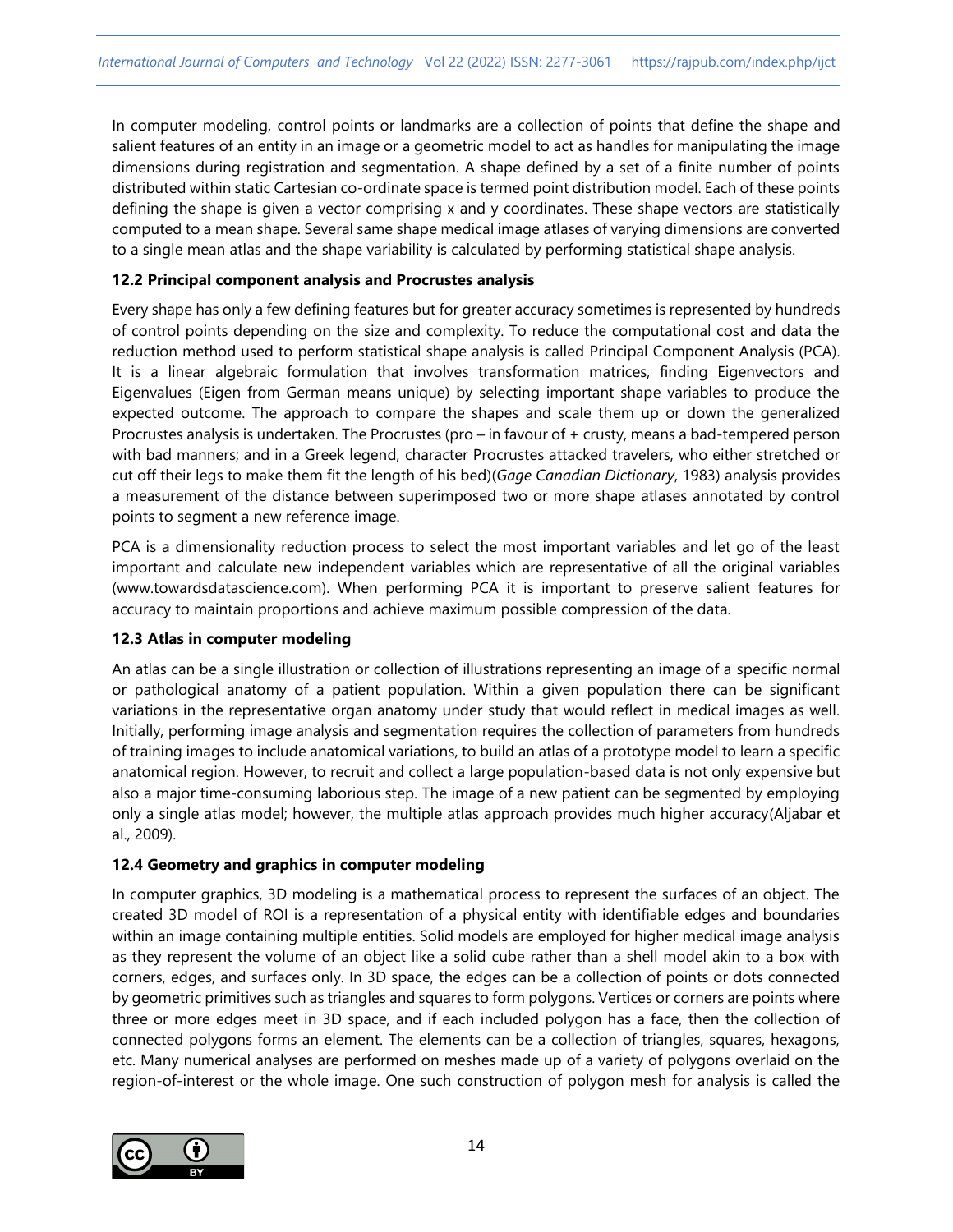In computer modeling, control points or landmarks are a collection of points that define the shape and salient features of an entity in an image or a geometric model to act as handles for manipulating the image dimensions during registration and segmentation. A shape defined by a set of a finite number of points distributed within static Cartesian co-ordinate space is termed point distribution model. Each of these points defining the shape is given a vector comprising x and y coordinates. These shape vectors are statistically computed to a mean shape. Several same shape medical image atlases of varying dimensions are converted to a single mean atlas and the shape variability is calculated by performing statistical shape analysis.

## **12.2 Principal component analysis and Procrustes analysis**

Every shape has only a few defining features but for greater accuracy sometimes is represented by hundreds of control points depending on the size and complexity. To reduce the computational cost and data the reduction method used to perform statistical shape analysis is called Principal Component Analysis (PCA). It is a linear algebraic formulation that involves transformation matrices, finding Eigenvectors and Eigenvalues (Eigen from German means unique) by selecting important shape variables to produce the expected outcome. The approach to compare the shapes and scale them up or down the generalized Procrustes analysis is undertaken. The Procrustes (pro – in favour of + crusty, means a bad-tempered person with bad manners; and in a Greek legend, character Procrustes attacked travelers, who either stretched or cut off their legs to make them fit the length of his bed)(*Gage Canadian Dictionary*, 1983) analysis provides a measurement of the distance between superimposed two or more shape atlases annotated by control points to segment a new reference image.

PCA is a dimensionality reduction process to select the most important variables and let go of the least important and calculate new independent variables which are representative of all the original variables (www.towardsdatascience.com). When performing PCA it is important to preserve salient features for accuracy to maintain proportions and achieve maximum possible compression of the data.

## **12.3 Atlas in computer modeling**

An atlas can be a single illustration or collection of illustrations representing an image of a specific normal or pathological anatomy of a patient population. Within a given population there can be significant variations in the representative organ anatomy under study that would reflect in medical images as well. Initially, performing image analysis and segmentation requires the collection of parameters from hundreds of training images to include anatomical variations, to build an atlas of a prototype model to learn a specific anatomical region. However, to recruit and collect a large population-based data is not only expensive but also a major time-consuming laborious step. The image of a new patient can be segmented by employing only a single atlas model; however, the multiple atlas approach provides much higher accuracy(Aljabar et al., 2009).

# **12.4 Geometry and graphics in computer modeling**

In computer graphics, 3D modeling is a mathematical process to represent the surfaces of an object. The created 3D model of ROI is a representation of a physical entity with identifiable edges and boundaries within an image containing multiple entities. Solid models are employed for higher medical image analysis as they represent the volume of an object like a solid cube rather than a shell model akin to a box with corners, edges, and surfaces only. In 3D space, the edges can be a collection of points or dots connected by geometric primitives such as triangles and squares to form polygons. Vertices or corners are points where three or more edges meet in 3D space, and if each included polygon has a face, then the collection of connected polygons forms an element. The elements can be a collection of triangles, squares, hexagons, etc. Many numerical analyses are performed on meshes made up of a variety of polygons overlaid on the region-of-interest or the whole image. One such construction of polygon mesh for analysis is called the

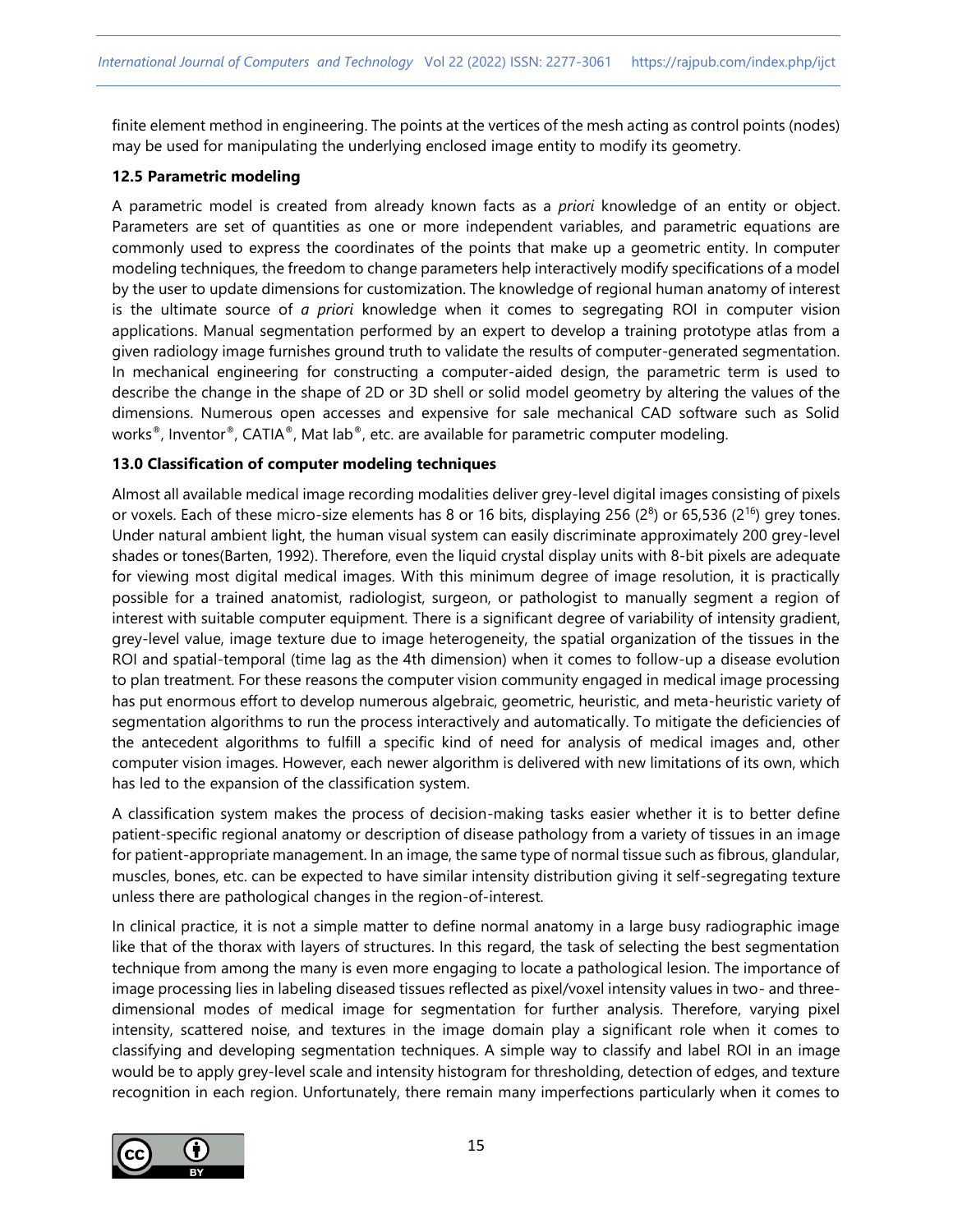finite element method in engineering. The points at the vertices of the mesh acting as control points (nodes) may be used for manipulating the underlying enclosed image entity to modify its geometry.

#### **12.5 Parametric modeling**

A parametric model is created from already known facts as a *priori* knowledge of an entity or object. Parameters are set of quantities as one or more independent variables, and parametric equations are commonly used to express the coordinates of the points that make up a geometric entity. In computer modeling techniques, the freedom to change parameters help interactively modify specifications of a model by the user to update dimensions for customization. The knowledge of regional human anatomy of interest is the ultimate source of *a priori* knowledge when it comes to segregating ROI in computer vision applications. Manual segmentation performed by an expert to develop a training prototype atlas from a given radiology image furnishes ground truth to validate the results of computer-generated segmentation. In mechanical engineering for constructing a computer-aided design, the parametric term is used to describe the change in the shape of 2D or 3D shell or solid model geometry by altering the values of the dimensions. Numerous open accesses and expensive for sale mechanical CAD software such as Solid works<sup>®</sup>, Inventor®, CATIA®, Mat lab®, etc. are available for parametric computer modeling.

#### **13.0 Classification of computer modeling techniques**

Almost all available medical image recording modalities deliver grey-level digital images consisting of pixels or voxels. Each of these micro-size elements has 8 or 16 bits, displaying 256 ( $2^8$ ) or 65,536 ( $2^{16}$ ) grey tones. Under natural ambient light, the human visual system can easily discriminate approximately 200 grey-level shades or tones(Barten, 1992). Therefore, even the liquid crystal display units with 8-bit pixels are adequate for viewing most digital medical images. With this minimum degree of image resolution, it is practically possible for a trained anatomist, radiologist, surgeon, or pathologist to manually segment a region of interest with suitable computer equipment. There is a significant degree of variability of intensity gradient, grey-level value, image texture due to image heterogeneity, the spatial organization of the tissues in the ROI and spatial-temporal (time lag as the 4th dimension) when it comes to follow-up a disease evolution to plan treatment. For these reasons the computer vision community engaged in medical image processing has put enormous effort to develop numerous algebraic, geometric, heuristic, and meta-heuristic variety of segmentation algorithms to run the process interactively and automatically. To mitigate the deficiencies of the antecedent algorithms to fulfill a specific kind of need for analysis of medical images and, other computer vision images. However, each newer algorithm is delivered with new limitations of its own, which has led to the expansion of the classification system.

A classification system makes the process of decision-making tasks easier whether it is to better define patient-specific regional anatomy or description of disease pathology from a variety of tissues in an image for patient-appropriate management. In an image, the same type of normal tissue such as fibrous, glandular, muscles, bones, etc. can be expected to have similar intensity distribution giving it self-segregating texture unless there are pathological changes in the region-of-interest.

In clinical practice, it is not a simple matter to define normal anatomy in a large busy radiographic image like that of the thorax with layers of structures. In this regard, the task of selecting the best segmentation technique from among the many is even more engaging to locate a pathological lesion. The importance of image processing lies in labeling diseased tissues reflected as pixel/voxel intensity values in two- and threedimensional modes of medical image for segmentation for further analysis. Therefore, varying pixel intensity, scattered noise, and textures in the image domain play a significant role when it comes to classifying and developing segmentation techniques. A simple way to classify and label ROI in an image would be to apply grey-level scale and intensity histogram for thresholding, detection of edges, and texture recognition in each region. Unfortunately, there remain many imperfections particularly when it comes to

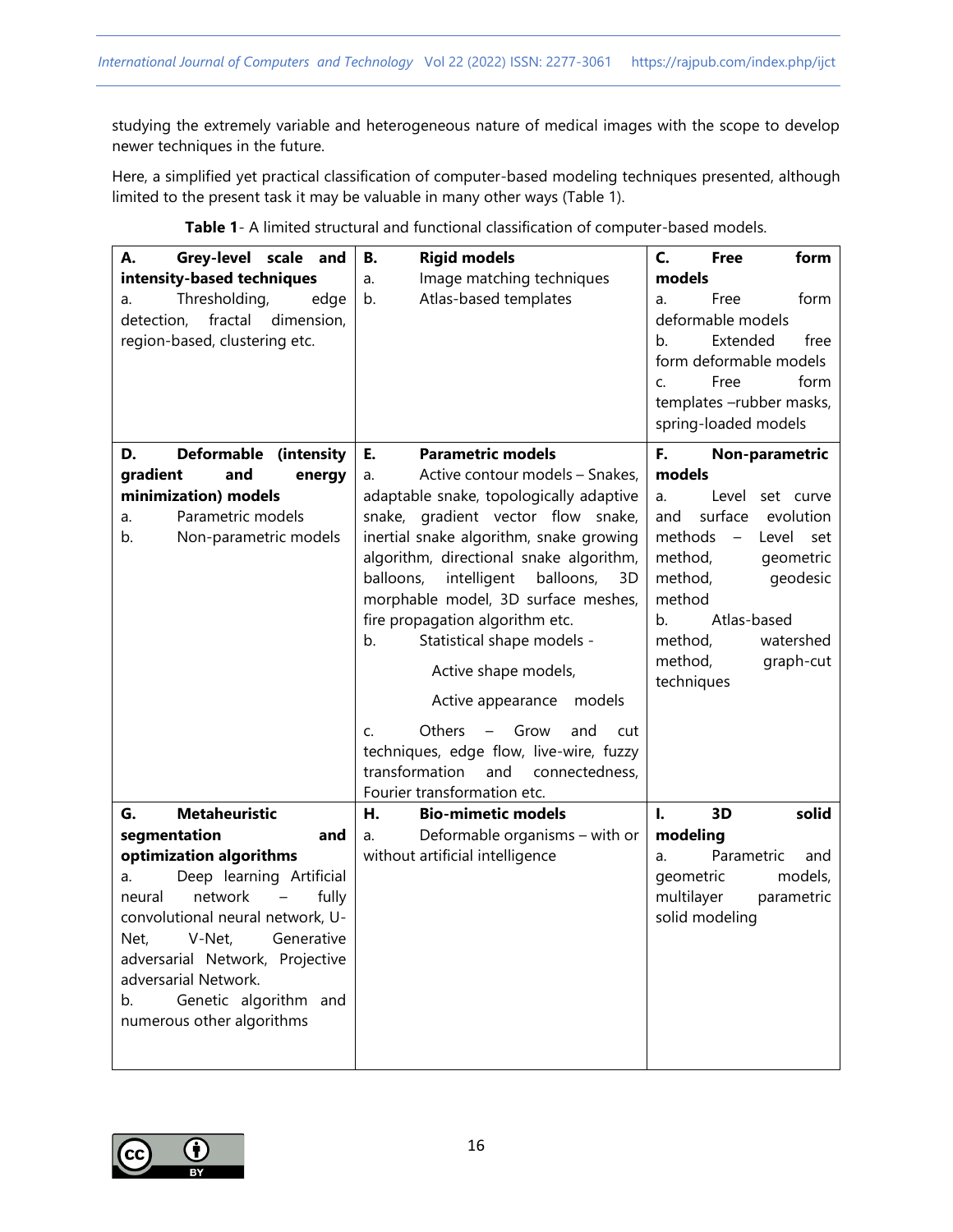studying the extremely variable and heterogeneous nature of medical images with the scope to develop newer techniques in the future.

Here, a simplified yet practical classification of computer-based modeling techniques presented, although limited to the present task it may be valuable in many other ways (Table 1).

| А.<br>Grey-level scale and            | <b>Rigid models</b><br>В.                                                          | C.<br><b>Free</b><br>form                    |
|---------------------------------------|------------------------------------------------------------------------------------|----------------------------------------------|
| intensity-based techniques            | Image matching techniques<br>a.                                                    | models                                       |
| Thresholding,<br>edge<br>a.           | Atlas-based templates<br>b.                                                        | Free<br>form<br>a.                           |
| fractal<br>dimension,<br>detection,   |                                                                                    | deformable models                            |
| region-based, clustering etc.         |                                                                                    | Extended<br>b <sub>1</sub><br>free           |
|                                       |                                                                                    | form deformable models                       |
|                                       |                                                                                    | Free<br>form<br>C.                           |
|                                       |                                                                                    | templates -rubber masks,                     |
|                                       |                                                                                    | spring-loaded models                         |
| <b>Deformable</b><br>D.<br>(intensity | <b>Parametric models</b><br>Е.                                                     | F.<br>Non-parametric                         |
| gradient<br>and<br>energy             | Active contour models - Snakes,<br>a.                                              | models                                       |
| minimization) models                  | adaptable snake, topologically adaptive                                            | Level<br>set curve<br>a.                     |
| Parametric models                     | snake, gradient vector flow snake,                                                 | surface<br>evolution<br>and                  |
| a.<br>b.                              |                                                                                    | methods<br>$\overline{\phantom{m}}$<br>Level |
| Non-parametric models                 | inertial snake algorithm, snake growing<br>algorithm, directional snake algorithm, | set<br>method,<br>geometric                  |
|                                       | balloons,<br>intelligent<br>balloons,<br>3D                                        | method,<br>geodesic                          |
|                                       | morphable model, 3D surface meshes,                                                | method                                       |
|                                       |                                                                                    | Atlas-based<br>b.                            |
|                                       | fire propagation algorithm etc.                                                    | method,<br>watershed                         |
|                                       | Statistical shape models -<br>b.                                                   |                                              |
|                                       | Active shape models,                                                               | method,<br>graph-cut<br>techniques           |
|                                       | Active appearance<br>models                                                        |                                              |
|                                       | <b>Others</b><br>Grow<br>$-$<br>and<br>$\mathsf{C}$<br>cut                         |                                              |
|                                       | techniques, edge flow, live-wire, fuzzy                                            |                                              |
|                                       | transformation<br>and<br>connectedness,                                            |                                              |
|                                       | Fourier transformation etc.                                                        |                                              |
| <b>Metaheuristic</b><br>G.            | <b>Bio-mimetic models</b><br>Η.                                                    | 3D<br>solid<br>Ι.                            |
| segmentation<br>and                   | Deformable organisms – with or<br>a.                                               | modeling                                     |
| optimization algorithms               | without artificial intelligence                                                    | Parametric<br>and<br>a.                      |
| Deep learning Artificial<br>a.        |                                                                                    | models,<br>geometric                         |
| network<br>fully<br>neural            |                                                                                    | multilayer<br>parametric                     |
| convolutional neural network, U-      |                                                                                    | solid modeling                               |
| Generative<br>Net,<br>V-Net,          |                                                                                    |                                              |
| adversarial Network, Projective       |                                                                                    |                                              |
| adversarial Network.                  |                                                                                    |                                              |
| Genetic algorithm and<br>b.           |                                                                                    |                                              |
| numerous other algorithms             |                                                                                    |                                              |
|                                       |                                                                                    |                                              |
|                                       |                                                                                    |                                              |

**Table 1**- A limited structural and functional classification of computer-based models.

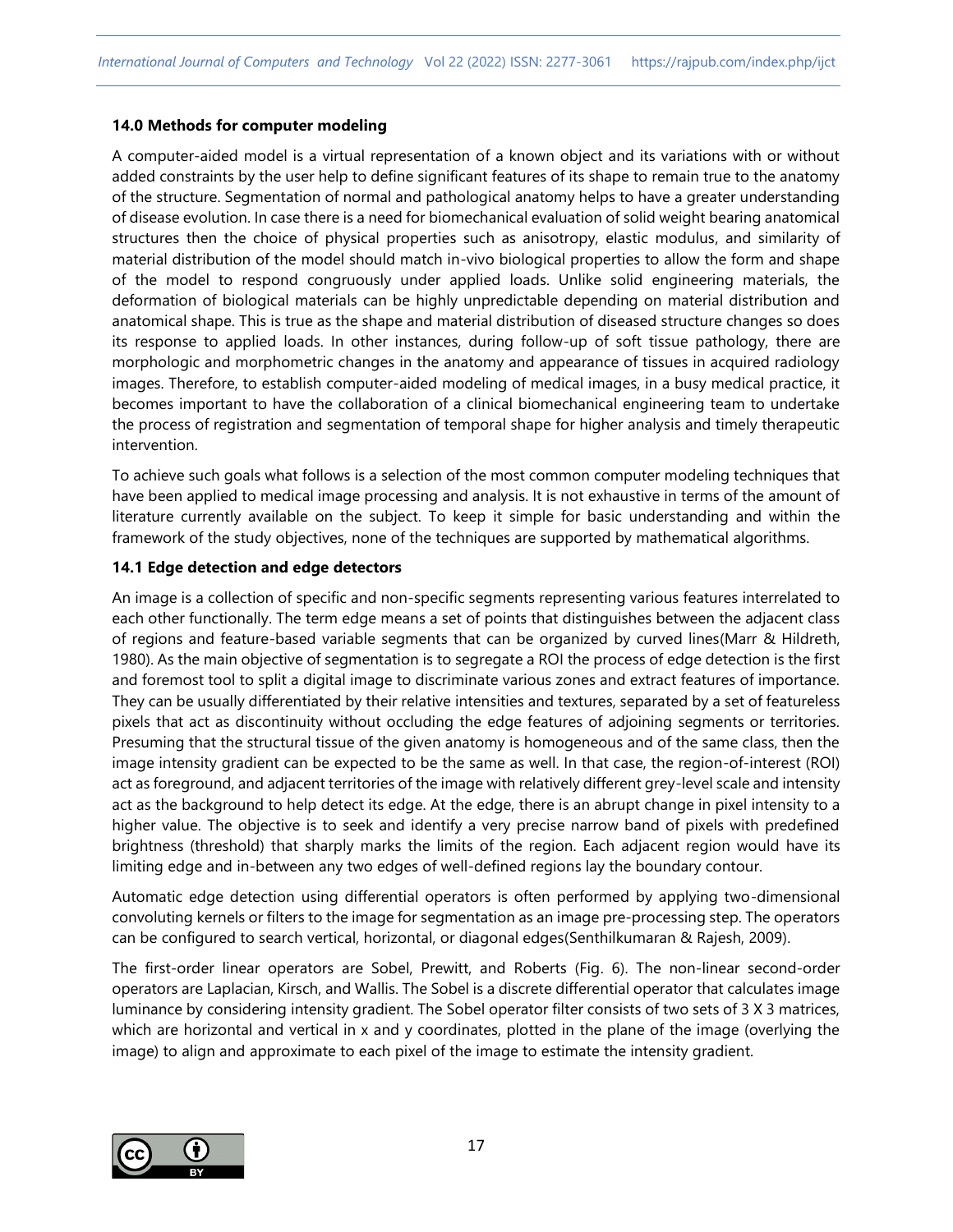#### **14.0 Methods for computer modeling**

A computer-aided model is a virtual representation of a known object and its variations with or without added constraints by the user help to define significant features of its shape to remain true to the anatomy of the structure. Segmentation of normal and pathological anatomy helps to have a greater understanding of disease evolution. In case there is a need for biomechanical evaluation of solid weight bearing anatomical structures then the choice of physical properties such as anisotropy, elastic modulus, and similarity of material distribution of the model should match in-vivo biological properties to allow the form and shape of the model to respond congruously under applied loads. Unlike solid engineering materials, the deformation of biological materials can be highly unpredictable depending on material distribution and anatomical shape. This is true as the shape and material distribution of diseased structure changes so does its response to applied loads. In other instances, during follow-up of soft tissue pathology, there are morphologic and morphometric changes in the anatomy and appearance of tissues in acquired radiology images. Therefore, to establish computer-aided modeling of medical images, in a busy medical practice, it becomes important to have the collaboration of a clinical biomechanical engineering team to undertake the process of registration and segmentation of temporal shape for higher analysis and timely therapeutic intervention.

To achieve such goals what follows is a selection of the most common computer modeling techniques that have been applied to medical image processing and analysis. It is not exhaustive in terms of the amount of literature currently available on the subject. To keep it simple for basic understanding and within the framework of the study objectives, none of the techniques are supported by mathematical algorithms.

#### **14.1 Edge detection and edge detectors**

An image is a collection of specific and non-specific segments representing various features interrelated to each other functionally. The term edge means a set of points that distinguishes between the adjacent class of regions and feature-based variable segments that can be organized by curved lines(Marr & Hildreth, 1980). As the main objective of segmentation is to segregate a ROI the process of edge detection is the first and foremost tool to split a digital image to discriminate various zones and extract features of importance. They can be usually differentiated by their relative intensities and textures, separated by a set of featureless pixels that act as discontinuity without occluding the edge features of adjoining segments or territories. Presuming that the structural tissue of the given anatomy is homogeneous and of the same class, then the image intensity gradient can be expected to be the same as well. In that case, the region-of-interest (ROI) act as foreground, and adjacent territories of the image with relatively different grey-level scale and intensity act as the background to help detect its edge. At the edge, there is an abrupt change in pixel intensity to a higher value. The objective is to seek and identify a very precise narrow band of pixels with predefined brightness (threshold) that sharply marks the limits of the region. Each adjacent region would have its limiting edge and in-between any two edges of well-defined regions lay the boundary contour.

Automatic edge detection using differential operators is often performed by applying two-dimensional convoluting kernels or filters to the image for segmentation as an image pre-processing step. The operators can be configured to search vertical, horizontal, or diagonal edges(Senthilkumaran & Rajesh, 2009).

The first-order linear operators are Sobel, Prewitt, and Roberts (Fig. 6). The non-linear second-order operators are Laplacian, Kirsch, and Wallis. The Sobel is a discrete differential operator that calculates image luminance by considering intensity gradient. The Sobel operator filter consists of two sets of 3 X 3 matrices, which are horizontal and vertical in x and y coordinates, plotted in the plane of the image (overlying the image) to align and approximate to each pixel of the image to estimate the intensity gradient.

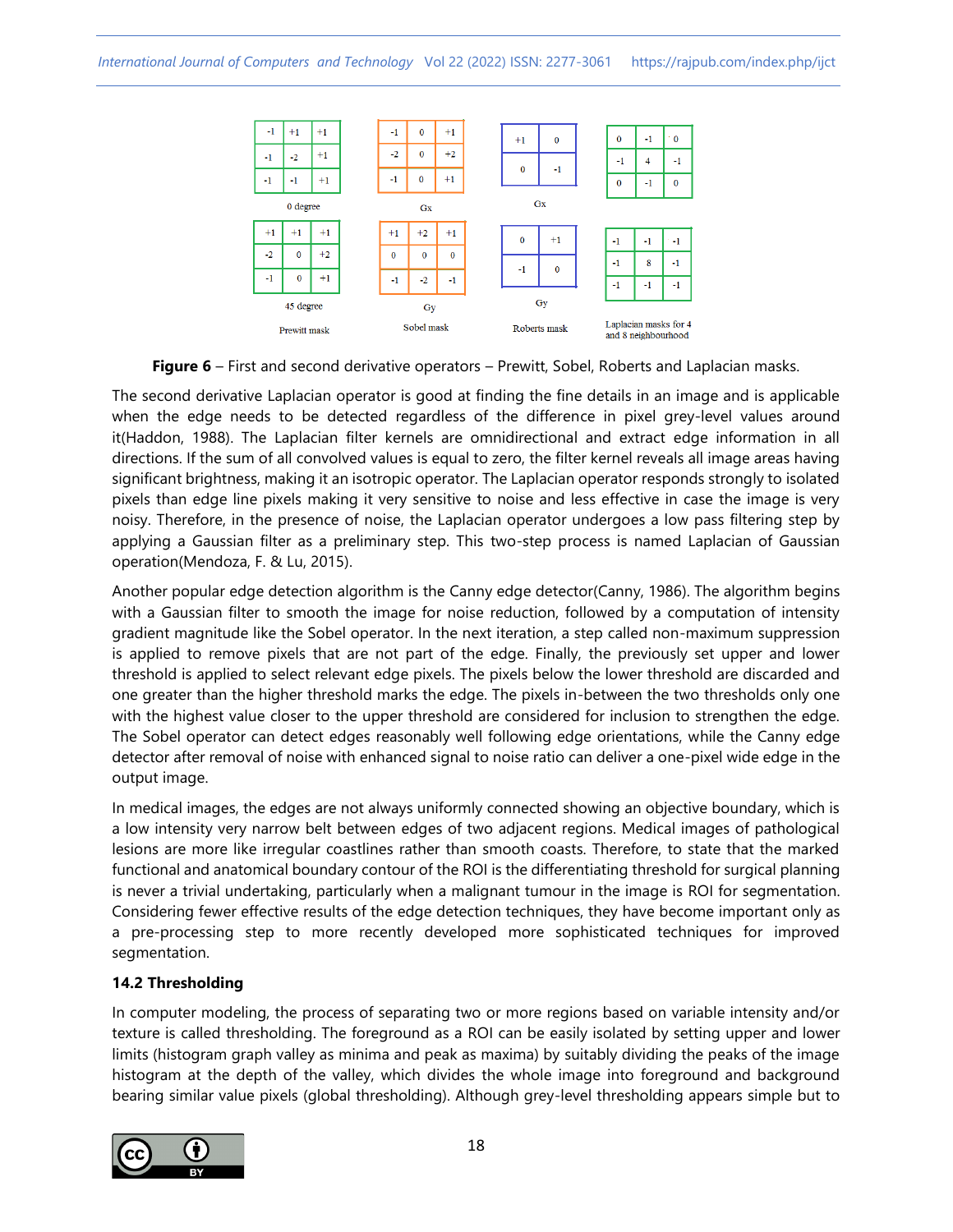

**Figure 6** – First and second derivative operators – Prewitt, Sobel, Roberts and Laplacian masks.

The second derivative Laplacian operator is good at finding the fine details in an image and is applicable when the edge needs to be detected regardless of the difference in pixel grey-level values around it(Haddon, 1988). The Laplacian filter kernels are omnidirectional and extract edge information in all directions. If the sum of all convolved values is equal to zero, the filter kernel reveals all image areas having significant brightness, making it an isotropic operator. The Laplacian operator responds strongly to isolated pixels than edge line pixels making it very sensitive to noise and less effective in case the image is very noisy. Therefore, in the presence of noise, the Laplacian operator undergoes a low pass filtering step by applying a Gaussian filter as a preliminary step. This two-step process is named Laplacian of Gaussian operation(Mendoza, F. & Lu, 2015).

Another popular edge detection algorithm is the Canny edge detector(Canny, 1986). The algorithm begins with a Gaussian filter to smooth the image for noise reduction, followed by a computation of intensity gradient magnitude like the Sobel operator. In the next iteration, a step called non-maximum suppression is applied to remove pixels that are not part of the edge. Finally, the previously set upper and lower threshold is applied to select relevant edge pixels. The pixels below the lower threshold are discarded and one greater than the higher threshold marks the edge. The pixels in-between the two thresholds only one with the highest value closer to the upper threshold are considered for inclusion to strengthen the edge. The Sobel operator can detect edges reasonably well following edge orientations, while the Canny edge detector after removal of noise with enhanced signal to noise ratio can deliver a one-pixel wide edge in the output image.

In medical images, the edges are not always uniformly connected showing an objective boundary, which is a low intensity very narrow belt between edges of two adjacent regions. Medical images of pathological lesions are more like irregular coastlines rather than smooth coasts. Therefore, to state that the marked functional and anatomical boundary contour of the ROI is the differentiating threshold for surgical planning is never a trivial undertaking, particularly when a malignant tumour in the image is ROI for segmentation. Considering fewer effective results of the edge detection techniques, they have become important only as a pre-processing step to more recently developed more sophisticated techniques for improved segmentation.

# **14.2 Thresholding**

In computer modeling, the process of separating two or more regions based on variable intensity and/or texture is called thresholding. The foreground as a ROI can be easily isolated by setting upper and lower limits (histogram graph valley as minima and peak as maxima) by suitably dividing the peaks of the image histogram at the depth of the valley, which divides the whole image into foreground and background bearing similar value pixels (global thresholding). Although grey-level thresholding appears simple but to

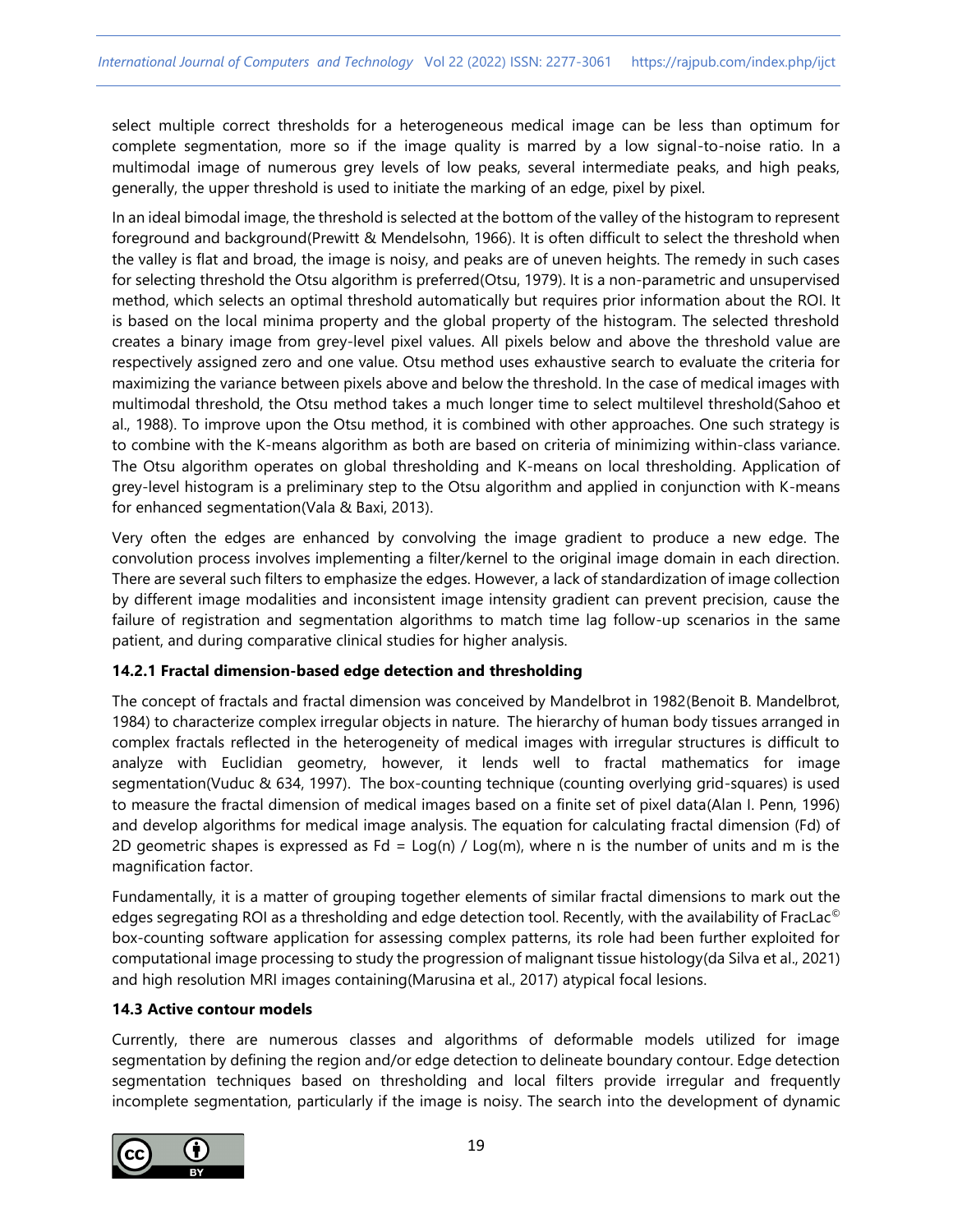select multiple correct thresholds for a heterogeneous medical image can be less than optimum for complete segmentation, more so if the image quality is marred by a low signal-to-noise ratio. In a multimodal image of numerous grey levels of low peaks, several intermediate peaks, and high peaks, generally, the upper threshold is used to initiate the marking of an edge, pixel by pixel.

In an ideal bimodal image, the threshold is selected at the bottom of the valley of the histogram to represent foreground and background(Prewitt & Mendelsohn, 1966). It is often difficult to select the threshold when the valley is flat and broad, the image is noisy, and peaks are of uneven heights. The remedy in such cases for selecting threshold the Otsu algorithm is preferred(Otsu, 1979). It is a non-parametric and unsupervised method, which selects an optimal threshold automatically but requires prior information about the ROI. It is based on the local minima property and the global property of the histogram. The selected threshold creates a binary image from grey-level pixel values. All pixels below and above the threshold value are respectively assigned zero and one value. Otsu method uses exhaustive search to evaluate the criteria for maximizing the variance between pixels above and below the threshold. In the case of medical images with multimodal threshold, the Otsu method takes a much longer time to select multilevel threshold(Sahoo et al., 1988). To improve upon the Otsu method, it is combined with other approaches. One such strategy is to combine with the K-means algorithm as both are based on criteria of minimizing within-class variance. The Otsu algorithm operates on global thresholding and K-means on local thresholding. Application of grey-level histogram is a preliminary step to the Otsu algorithm and applied in conjunction with K-means for enhanced segmentation(Vala & Baxi, 2013).

Very often the edges are enhanced by convolving the image gradient to produce a new edge. The convolution process involves implementing a filter/kernel to the original image domain in each direction. There are several such filters to emphasize the edges. However, a lack of standardization of image collection by different image modalities and inconsistent image intensity gradient can prevent precision, cause the failure of registration and segmentation algorithms to match time lag follow-up scenarios in the same patient, and during comparative clinical studies for higher analysis.

## **14.2.1 Fractal dimension-based edge detection and thresholding**

The concept of fractals and fractal dimension was conceived by Mandelbrot in 1982(Benoit B. Mandelbrot, 1984) to characterize complex irregular objects in nature. The hierarchy of human body tissues arranged in complex fractals reflected in the heterogeneity of medical images with irregular structures is difficult to analyze with Euclidian geometry, however, it lends well to fractal mathematics for image segmentation(Vuduc & 634, 1997). The box-counting technique (counting overlying grid-squares) is used to measure the fractal dimension of medical images based on a finite set of pixel data(Alan I. Penn, 1996) and develop algorithms for medical image analysis. The equation for calculating fractal dimension (Fd) of 2D geometric shapes is expressed as  $Fd = Log(n) / Log(m)$ , where n is the number of units and m is the magnification factor.

Fundamentally, it is a matter of grouping together elements of similar fractal dimensions to mark out the edges segregating ROI as a thresholding and edge detection tool. Recently, with the availability of FracLac<sup>©</sup> box-counting software application for assessing complex patterns, its role had been further exploited for computational image processing to study the progression of malignant tissue histology(da Silva et al., 2021) and high resolution MRI images containing(Marusina et al., 2017) atypical focal lesions.

## **14.3 Active contour models**

Currently, there are numerous classes and algorithms of deformable models utilized for image segmentation by defining the region and/or edge detection to delineate boundary contour. Edge detection segmentation techniques based on thresholding and local filters provide irregular and frequently incomplete segmentation, particularly if the image is noisy. The search into the development of dynamic

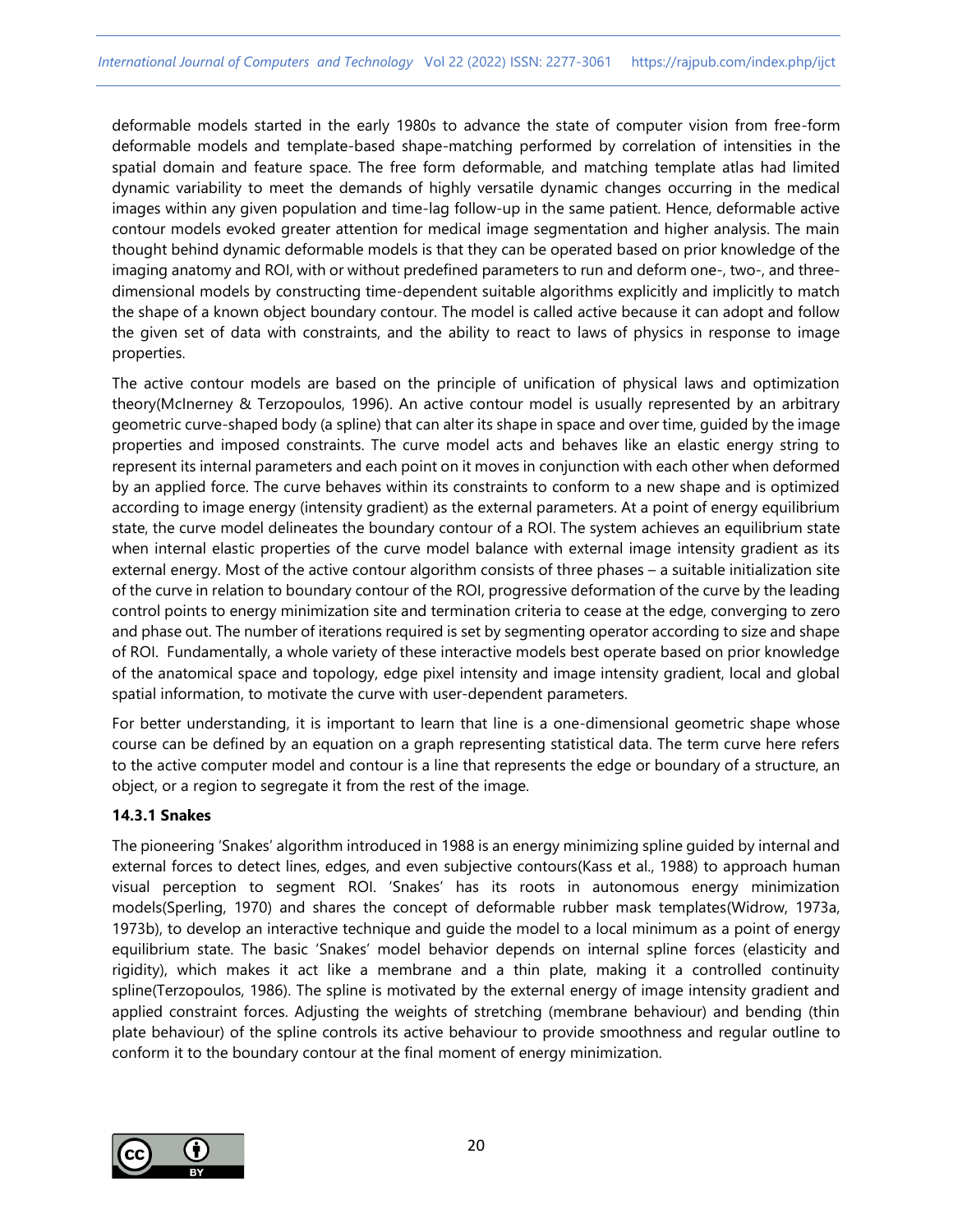deformable models started in the early 1980s to advance the state of computer vision from free-form deformable models and template-based shape-matching performed by correlation of intensities in the spatial domain and feature space. The free form deformable, and matching template atlas had limited dynamic variability to meet the demands of highly versatile dynamic changes occurring in the medical images within any given population and time-lag follow-up in the same patient. Hence, deformable active contour models evoked greater attention for medical image segmentation and higher analysis. The main thought behind dynamic deformable models is that they can be operated based on prior knowledge of the imaging anatomy and ROI, with or without predefined parameters to run and deform one-, two-, and threedimensional models by constructing time-dependent suitable algorithms explicitly and implicitly to match the shape of a known object boundary contour. The model is called active because it can adopt and follow the given set of data with constraints, and the ability to react to laws of physics in response to image properties.

The active contour models are based on the principle of unification of physical laws and optimization theory(McInerney & Terzopoulos, 1996). An active contour model is usually represented by an arbitrary geometric curve-shaped body (a spline) that can alter its shape in space and over time, guided by the image properties and imposed constraints. The curve model acts and behaves like an elastic energy string to represent its internal parameters and each point on it moves in conjunction with each other when deformed by an applied force. The curve behaves within its constraints to conform to a new shape and is optimized according to image energy (intensity gradient) as the external parameters. At a point of energy equilibrium state, the curve model delineates the boundary contour of a ROI. The system achieves an equilibrium state when internal elastic properties of the curve model balance with external image intensity gradient as its external energy. Most of the active contour algorithm consists of three phases – a suitable initialization site of the curve in relation to boundary contour of the ROI, progressive deformation of the curve by the leading control points to energy minimization site and termination criteria to cease at the edge, converging to zero and phase out. The number of iterations required is set by segmenting operator according to size and shape of ROI. Fundamentally, a whole variety of these interactive models best operate based on prior knowledge of the anatomical space and topology, edge pixel intensity and image intensity gradient, local and global spatial information, to motivate the curve with user-dependent parameters.

For better understanding, it is important to learn that line is a one-dimensional geometric shape whose course can be defined by an equation on a graph representing statistical data. The term curve here refers to the active computer model and contour is a line that represents the edge or boundary of a structure, an object, or a region to segregate it from the rest of the image.

## **14.3.1 Snakes**

The pioneering 'Snakes' algorithm introduced in 1988 is an energy minimizing spline guided by internal and external forces to detect lines, edges, and even subjective contours(Kass et al., 1988) to approach human visual perception to segment ROI. 'Snakes' has its roots in autonomous energy minimization models(Sperling, 1970) and shares the concept of deformable rubber mask templates(Widrow, 1973a, 1973b), to develop an interactive technique and guide the model to a local minimum as a point of energy equilibrium state. The basic 'Snakes' model behavior depends on internal spline forces (elasticity and rigidity), which makes it act like a membrane and a thin plate, making it a controlled continuity spline(Terzopoulos, 1986). The spline is motivated by the external energy of image intensity gradient and applied constraint forces. Adjusting the weights of stretching (membrane behaviour) and bending (thin plate behaviour) of the spline controls its active behaviour to provide smoothness and regular outline to conform it to the boundary contour at the final moment of energy minimization.

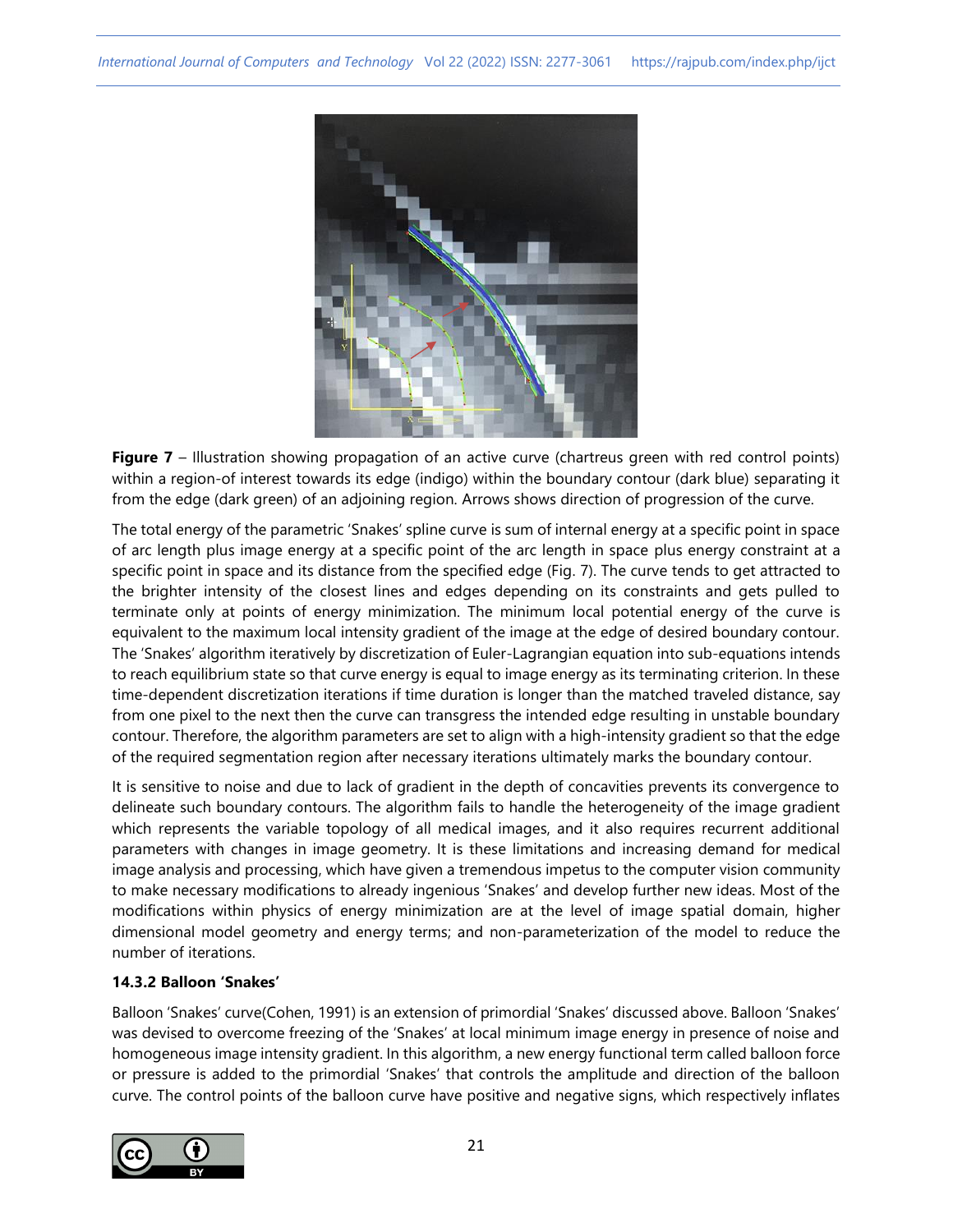

**Figure 7** – Illustration showing propagation of an active curve (chartreus green with red control points) within a region-of interest towards its edge (indigo) within the boundary contour (dark blue) separating it from the edge (dark green) of an adjoining region. Arrows shows direction of progression of the curve.

The total energy of the parametric 'Snakes' spline curve is sum of internal energy at a specific point in space of arc length plus image energy at a specific point of the arc length in space plus energy constraint at a specific point in space and its distance from the specified edge (Fig. 7). The curve tends to get attracted to the brighter intensity of the closest lines and edges depending on its constraints and gets pulled to terminate only at points of energy minimization. The minimum local potential energy of the curve is equivalent to the maximum local intensity gradient of the image at the edge of desired boundary contour. The 'Snakes' algorithm iteratively by discretization of Euler-Lagrangian equation into sub-equations intends to reach equilibrium state so that curve energy is equal to image energy as its terminating criterion. In these time-dependent discretization iterations if time duration is longer than the matched traveled distance, say from one pixel to the next then the curve can transgress the intended edge resulting in unstable boundary contour. Therefore, the algorithm parameters are set to align with a high-intensity gradient so that the edge of the required segmentation region after necessary iterations ultimately marks the boundary contour.

It is sensitive to noise and due to lack of gradient in the depth of concavities prevents its convergence to delineate such boundary contours. The algorithm fails to handle the heterogeneity of the image gradient which represents the variable topology of all medical images, and it also requires recurrent additional parameters with changes in image geometry. It is these limitations and increasing demand for medical image analysis and processing, which have given a tremendous impetus to the computer vision community to make necessary modifications to already ingenious 'Snakes' and develop further new ideas. Most of the modifications within physics of energy minimization are at the level of image spatial domain, higher dimensional model geometry and energy terms; and non-parameterization of the model to reduce the number of iterations.

## **14.3.2 Balloon 'Snakes'**

Balloon 'Snakes' curve(Cohen, 1991) is an extension of primordial 'Snakes' discussed above. Balloon 'Snakes' was devised to overcome freezing of the 'Snakes' at local minimum image energy in presence of noise and homogeneous image intensity gradient. In this algorithm, a new energy functional term called balloon force or pressure is added to the primordial 'Snakes' that controls the amplitude and direction of the balloon curve. The control points of the balloon curve have positive and negative signs, which respectively inflates

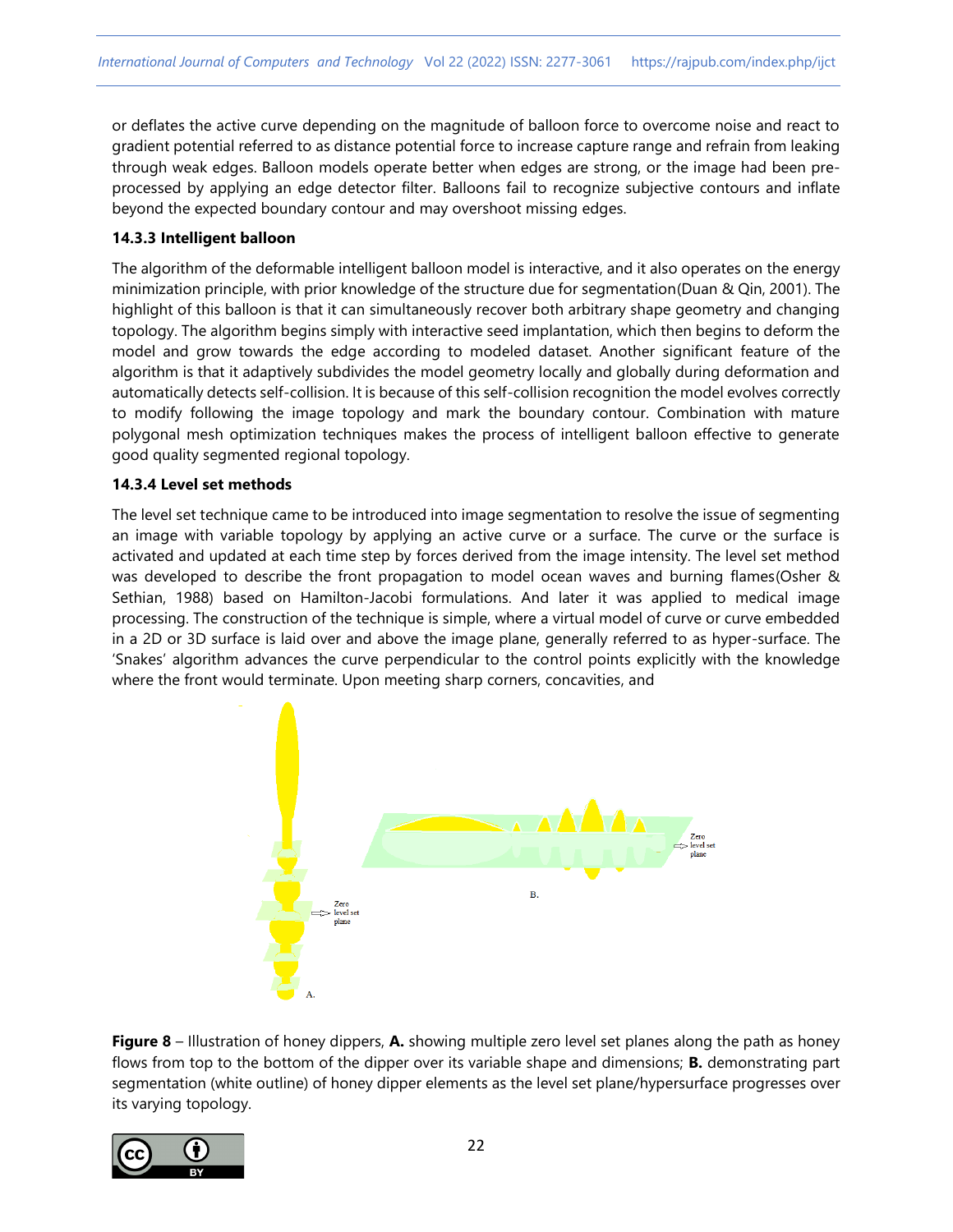or deflates the active curve depending on the magnitude of balloon force to overcome noise and react to gradient potential referred to as distance potential force to increase capture range and refrain from leaking through weak edges. Balloon models operate better when edges are strong, or the image had been preprocessed by applying an edge detector filter. Balloons fail to recognize subjective contours and inflate beyond the expected boundary contour and may overshoot missing edges.

## **14.3.3 Intelligent balloon**

The algorithm of the deformable intelligent balloon model is interactive, and it also operates on the energy minimization principle, with prior knowledge of the structure due for segmentation(Duan & Qin, 2001). The highlight of this balloon is that it can simultaneously recover both arbitrary shape geometry and changing topology. The algorithm begins simply with interactive seed implantation, which then begins to deform the model and grow towards the edge according to modeled dataset. Another significant feature of the algorithm is that it adaptively subdivides the model geometry locally and globally during deformation and automatically detects self-collision. It is because of this self-collision recognition the model evolves correctly to modify following the image topology and mark the boundary contour. Combination with mature polygonal mesh optimization techniques makes the process of intelligent balloon effective to generate good quality segmented regional topology.

#### **14.3.4 Level set methods**

The level set technique came to be introduced into image segmentation to resolve the issue of segmenting an image with variable topology by applying an active curve or a surface. The curve or the surface is activated and updated at each time step by forces derived from the image intensity. The level set method was developed to describe the front propagation to model ocean waves and burning flames(Osher & Sethian, 1988) based on Hamilton-Jacobi formulations. And later it was applied to medical image processing. The construction of the technique is simple, where a virtual model of curve or curve embedded in a 2D or 3D surface is laid over and above the image plane, generally referred to as hyper-surface. The 'Snakes' algorithm advances the curve perpendicular to the control points explicitly with the knowledge where the front would terminate. Upon meeting sharp corners, concavities, and



**Figure 8** – Illustration of honey dippers, **A.** showing multiple zero level set planes along the path as honey flows from top to the bottom of the dipper over its variable shape and dimensions; **B.** demonstrating part segmentation (white outline) of honey dipper elements as the level set plane/hypersurface progresses over its varying topology.

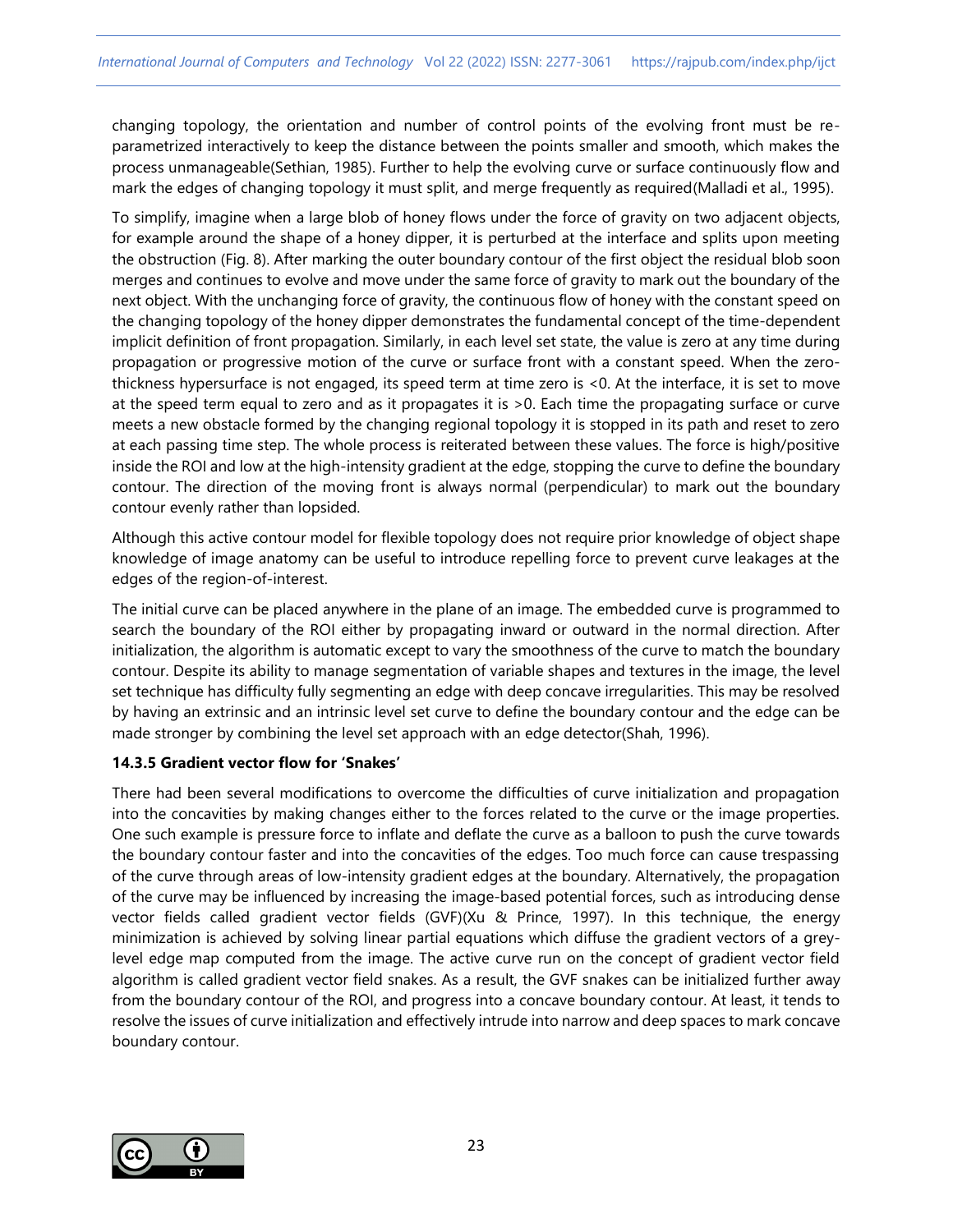changing topology, the orientation and number of control points of the evolving front must be reparametrized interactively to keep the distance between the points smaller and smooth, which makes the process unmanageable(Sethian, 1985). Further to help the evolving curve or surface continuously flow and mark the edges of changing topology it must split, and merge frequently as required(Malladi et al., 1995).

To simplify, imagine when a large blob of honey flows under the force of gravity on two adjacent objects, for example around the shape of a honey dipper, it is perturbed at the interface and splits upon meeting the obstruction (Fig. 8). After marking the outer boundary contour of the first object the residual blob soon merges and continues to evolve and move under the same force of gravity to mark out the boundary of the next object. With the unchanging force of gravity, the continuous flow of honey with the constant speed on the changing topology of the honey dipper demonstrates the fundamental concept of the time-dependent implicit definition of front propagation. Similarly, in each level set state, the value is zero at any time during propagation or progressive motion of the curve or surface front with a constant speed. When the zerothickness hypersurface is not engaged, its speed term at time zero is <0. At the interface, it is set to move at the speed term equal to zero and as it propagates it is >0. Each time the propagating surface or curve meets a new obstacle formed by the changing regional topology it is stopped in its path and reset to zero at each passing time step. The whole process is reiterated between these values. The force is high/positive inside the ROI and low at the high-intensity gradient at the edge, stopping the curve to define the boundary contour. The direction of the moving front is always normal (perpendicular) to mark out the boundary contour evenly rather than lopsided.

Although this active contour model for flexible topology does not require prior knowledge of object shape knowledge of image anatomy can be useful to introduce repelling force to prevent curve leakages at the edges of the region-of-interest.

The initial curve can be placed anywhere in the plane of an image. The embedded curve is programmed to search the boundary of the ROI either by propagating inward or outward in the normal direction. After initialization, the algorithm is automatic except to vary the smoothness of the curve to match the boundary contour. Despite its ability to manage segmentation of variable shapes and textures in the image, the level set technique has difficulty fully segmenting an edge with deep concave irregularities. This may be resolved by having an extrinsic and an intrinsic level set curve to define the boundary contour and the edge can be made stronger by combining the level set approach with an edge detector(Shah, 1996).

## **14.3.5 Gradient vector flow for 'Snakes'**

There had been several modifications to overcome the difficulties of curve initialization and propagation into the concavities by making changes either to the forces related to the curve or the image properties. One such example is pressure force to inflate and deflate the curve as a balloon to push the curve towards the boundary contour faster and into the concavities of the edges. Too much force can cause trespassing of the curve through areas of low-intensity gradient edges at the boundary. Alternatively, the propagation of the curve may be influenced by increasing the image-based potential forces, such as introducing dense vector fields called gradient vector fields (GVF)(Xu & Prince, 1997). In this technique, the energy minimization is achieved by solving linear partial equations which diffuse the gradient vectors of a greylevel edge map computed from the image. The active curve run on the concept of gradient vector field algorithm is called gradient vector field snakes. As a result, the GVF snakes can be initialized further away from the boundary contour of the ROI, and progress into a concave boundary contour. At least, it tends to resolve the issues of curve initialization and effectively intrude into narrow and deep spaces to mark concave boundary contour.

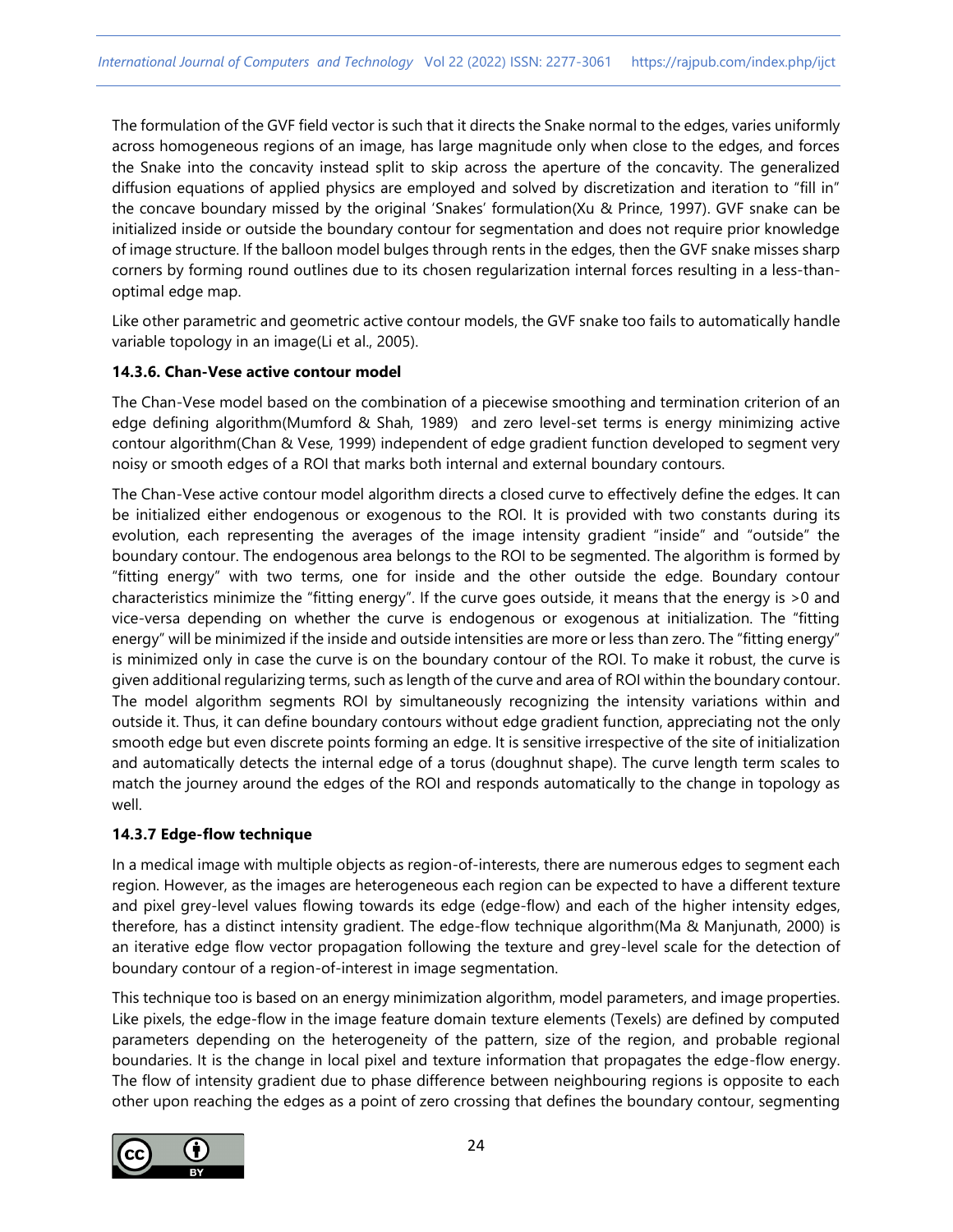The formulation of the GVF field vector is such that it directs the Snake normal to the edges, varies uniformly across homogeneous regions of an image, has large magnitude only when close to the edges, and forces the Snake into the concavity instead split to skip across the aperture of the concavity. The generalized diffusion equations of applied physics are employed and solved by discretization and iteration to "fill in" the concave boundary missed by the original 'Snakes' formulation(Xu & Prince, 1997). GVF snake can be initialized inside or outside the boundary contour for segmentation and does not require prior knowledge of image structure. If the balloon model bulges through rents in the edges, then the GVF snake misses sharp corners by forming round outlines due to its chosen regularization internal forces resulting in a less-thanoptimal edge map.

Like other parametric and geometric active contour models, the GVF snake too fails to automatically handle variable topology in an image(Li et al., 2005).

## **14.3.6. Chan-Vese active contour model**

The Chan-Vese model based on the combination of a piecewise smoothing and termination criterion of an edge defining algorithm(Mumford & Shah, 1989) and zero level-set terms is energy minimizing active contour algorithm(Chan & Vese, 1999) independent of edge gradient function developed to segment very noisy or smooth edges of a ROI that marks both internal and external boundary contours.

The Chan-Vese active contour model algorithm directs a closed curve to effectively define the edges. It can be initialized either endogenous or exogenous to the ROI. It is provided with two constants during its evolution, each representing the averages of the image intensity gradient "inside" and "outside" the boundary contour. The endogenous area belongs to the ROI to be segmented. The algorithm is formed by "fitting energy" with two terms, one for inside and the other outside the edge. Boundary contour characteristics minimize the "fitting energy". If the curve goes outside, it means that the energy is >0 and vice-versa depending on whether the curve is endogenous or exogenous at initialization. The "fitting energy" will be minimized if the inside and outside intensities are more or less than zero. The "fitting energy" is minimized only in case the curve is on the boundary contour of the ROI. To make it robust, the curve is given additional regularizing terms, such as length of the curve and area of ROI within the boundary contour. The model algorithm segments ROI by simultaneously recognizing the intensity variations within and outside it. Thus, it can define boundary contours without edge gradient function, appreciating not the only smooth edge but even discrete points forming an edge. It is sensitive irrespective of the site of initialization and automatically detects the internal edge of a torus (doughnut shape). The curve length term scales to match the journey around the edges of the ROI and responds automatically to the change in topology as well.

# **14.3.7 Edge-flow technique**

In a medical image with multiple objects as region-of-interests, there are numerous edges to segment each region. However, as the images are heterogeneous each region can be expected to have a different texture and pixel grey-level values flowing towards its edge (edge-flow) and each of the higher intensity edges, therefore, has a distinct intensity gradient. The edge-flow technique algorithm(Ma & Manjunath, 2000) is an iterative edge flow vector propagation following the texture and grey-level scale for the detection of boundary contour of a region-of-interest in image segmentation.

This technique too is based on an energy minimization algorithm, model parameters, and image properties. Like pixels, the edge-flow in the image feature domain texture elements (Texels) are defined by computed parameters depending on the heterogeneity of the pattern, size of the region, and probable regional boundaries. It is the change in local pixel and texture information that propagates the edge-flow energy. The flow of intensity gradient due to phase difference between neighbouring regions is opposite to each other upon reaching the edges as a point of zero crossing that defines the boundary contour, segmenting

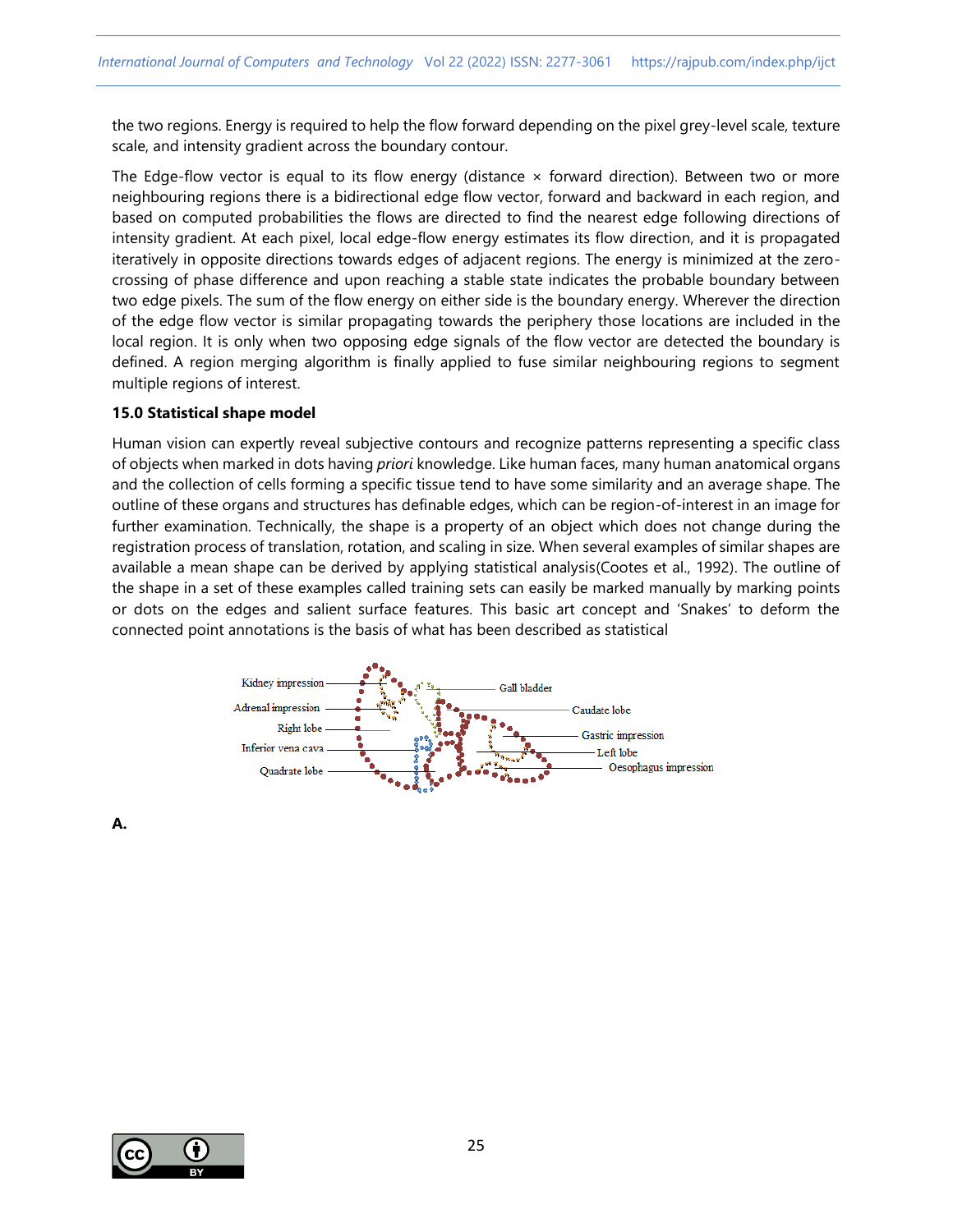the two regions. Energy is required to help the flow forward depending on the pixel grey-level scale, texture scale, and intensity gradient across the boundary contour.

The Edge-flow vector is equal to its flow energy (distance  $\times$  forward direction). Between two or more neighbouring regions there is a bidirectional edge flow vector, forward and backward in each region, and based on computed probabilities the flows are directed to find the nearest edge following directions of intensity gradient. At each pixel, local edge-flow energy estimates its flow direction, and it is propagated iteratively in opposite directions towards edges of adjacent regions. The energy is minimized at the zerocrossing of phase difference and upon reaching a stable state indicates the probable boundary between two edge pixels. The sum of the flow energy on either side is the boundary energy. Wherever the direction of the edge flow vector is similar propagating towards the periphery those locations are included in the local region. It is only when two opposing edge signals of the flow vector are detected the boundary is defined. A region merging algorithm is finally applied to fuse similar neighbouring regions to segment multiple regions of interest.

#### **15.0 Statistical shape model**

Human vision can expertly reveal subjective contours and recognize patterns representing a specific class of objects when marked in dots having *priori* knowledge. Like human faces, many human anatomical organs and the collection of cells forming a specific tissue tend to have some similarity and an average shape. The outline of these organs and structures has definable edges, which can be region-of-interest in an image for further examination. Technically, the shape is a property of an object which does not change during the registration process of translation, rotation, and scaling in size. When several examples of similar shapes are available a mean shape can be derived by applying statistical analysis(Cootes et al., 1992). The outline of the shape in a set of these examples called training sets can easily be marked manually by marking points or dots on the edges and salient surface features. This basic art concept and 'Snakes' to deform the connected point annotations is the basis of what has been described as statistical



**A.**

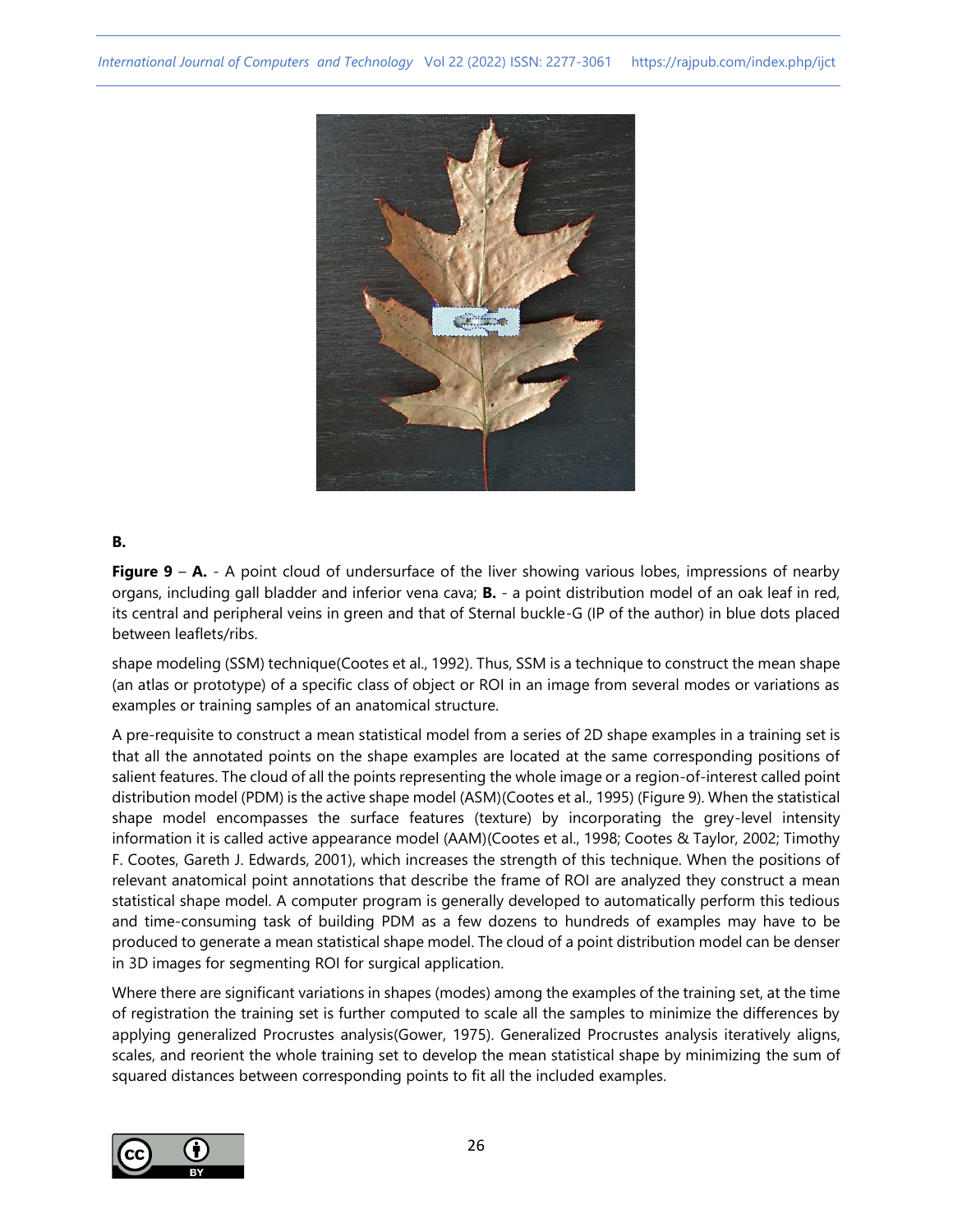

## **B.**

**Figure 9 – A.** - A point cloud of undersurface of the liver showing various lobes, impressions of nearby organs, including gall bladder and inferior vena cava; **B.** - a point distribution model of an oak leaf in red, its central and peripheral veins in green and that of Sternal buckle-G (IP of the author) in blue dots placed between leaflets/ribs.

shape modeling (SSM) technique(Cootes et al., 1992). Thus, SSM is a technique to construct the mean shape (an atlas or prototype) of a specific class of object or ROI in an image from several modes or variations as examples or training samples of an anatomical structure.

A pre-requisite to construct a mean statistical model from a series of 2D shape examples in a training set is that all the annotated points on the shape examples are located at the same corresponding positions of salient features. The cloud of all the points representing the whole image or a region-of-interest called point distribution model (PDM) is the active shape model (ASM)(Cootes et al., 1995) (Figure 9). When the statistical shape model encompasses the surface features (texture) by incorporating the grey-level intensity information it is called active appearance model (AAM)(Cootes et al., 1998; Cootes & Taylor, 2002; Timothy F. Cootes, Gareth J. Edwards, 2001), which increases the strength of this technique. When the positions of relevant anatomical point annotations that describe the frame of ROI are analyzed they construct a mean statistical shape model. A computer program is generally developed to automatically perform this tedious and time-consuming task of building PDM as a few dozens to hundreds of examples may have to be produced to generate a mean statistical shape model. The cloud of a point distribution model can be denser in 3D images for segmenting ROI for surgical application.

Where there are significant variations in shapes (modes) among the examples of the training set, at the time of registration the training set is further computed to scale all the samples to minimize the differences by applying generalized Procrustes analysis(Gower, 1975). Generalized Procrustes analysis iteratively aligns, scales, and reorient the whole training set to develop the mean statistical shape by minimizing the sum of squared distances between corresponding points to fit all the included examples.

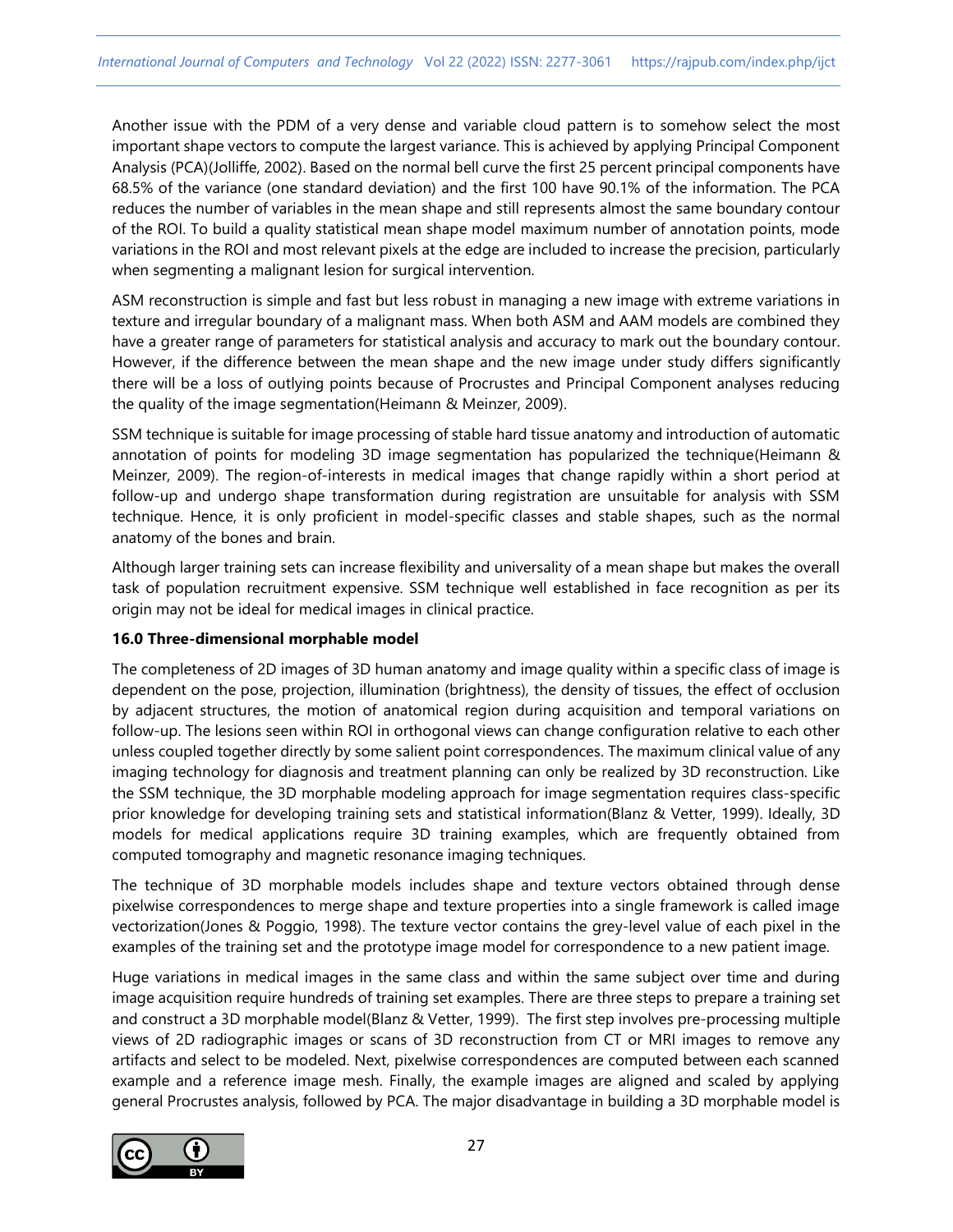Another issue with the PDM of a very dense and variable cloud pattern is to somehow select the most important shape vectors to compute the largest variance. This is achieved by applying Principal Component Analysis (PCA)(Jolliffe, 2002). Based on the normal bell curve the first 25 percent principal components have 68.5% of the variance (one standard deviation) and the first 100 have 90.1% of the information. The PCA reduces the number of variables in the mean shape and still represents almost the same boundary contour of the ROI. To build a quality statistical mean shape model maximum number of annotation points, mode variations in the ROI and most relevant pixels at the edge are included to increase the precision, particularly when segmenting a malignant lesion for surgical intervention.

ASM reconstruction is simple and fast but less robust in managing a new image with extreme variations in texture and irregular boundary of a malignant mass. When both ASM and AAM models are combined they have a greater range of parameters for statistical analysis and accuracy to mark out the boundary contour. However, if the difference between the mean shape and the new image under study differs significantly there will be a loss of outlying points because of Procrustes and Principal Component analyses reducing the quality of the image segmentation(Heimann & Meinzer, 2009).

SSM technique is suitable for image processing of stable hard tissue anatomy and introduction of automatic annotation of points for modeling 3D image segmentation has popularized the technique(Heimann & Meinzer, 2009). The region-of-interests in medical images that change rapidly within a short period at follow-up and undergo shape transformation during registration are unsuitable for analysis with SSM technique. Hence, it is only proficient in model-specific classes and stable shapes, such as the normal anatomy of the bones and brain.

Although larger training sets can increase flexibility and universality of a mean shape but makes the overall task of population recruitment expensive. SSM technique well established in face recognition as per its origin may not be ideal for medical images in clinical practice.

## **16.0 Three-dimensional morphable model**

The completeness of 2D images of 3D human anatomy and image quality within a specific class of image is dependent on the pose, projection, illumination (brightness), the density of tissues, the effect of occlusion by adjacent structures, the motion of anatomical region during acquisition and temporal variations on follow-up. The lesions seen within ROI in orthogonal views can change configuration relative to each other unless coupled together directly by some salient point correspondences. The maximum clinical value of any imaging technology for diagnosis and treatment planning can only be realized by 3D reconstruction. Like the SSM technique, the 3D morphable modeling approach for image segmentation requires class-specific prior knowledge for developing training sets and statistical information(Blanz & Vetter, 1999). Ideally, 3D models for medical applications require 3D training examples, which are frequently obtained from computed tomography and magnetic resonance imaging techniques.

The technique of 3D morphable models includes shape and texture vectors obtained through dense pixelwise correspondences to merge shape and texture properties into a single framework is called image vectorization(Jones & Poggio, 1998). The texture vector contains the grey-level value of each pixel in the examples of the training set and the prototype image model for correspondence to a new patient image.

Huge variations in medical images in the same class and within the same subject over time and during image acquisition require hundreds of training set examples. There are three steps to prepare a training set and construct a 3D morphable model(Blanz & Vetter, 1999). The first step involves pre-processing multiple views of 2D radiographic images or scans of 3D reconstruction from CT or MRI images to remove any artifacts and select to be modeled. Next, pixelwise correspondences are computed between each scanned example and a reference image mesh. Finally, the example images are aligned and scaled by applying general Procrustes analysis, followed by PCA. The major disadvantage in building a 3D morphable model is

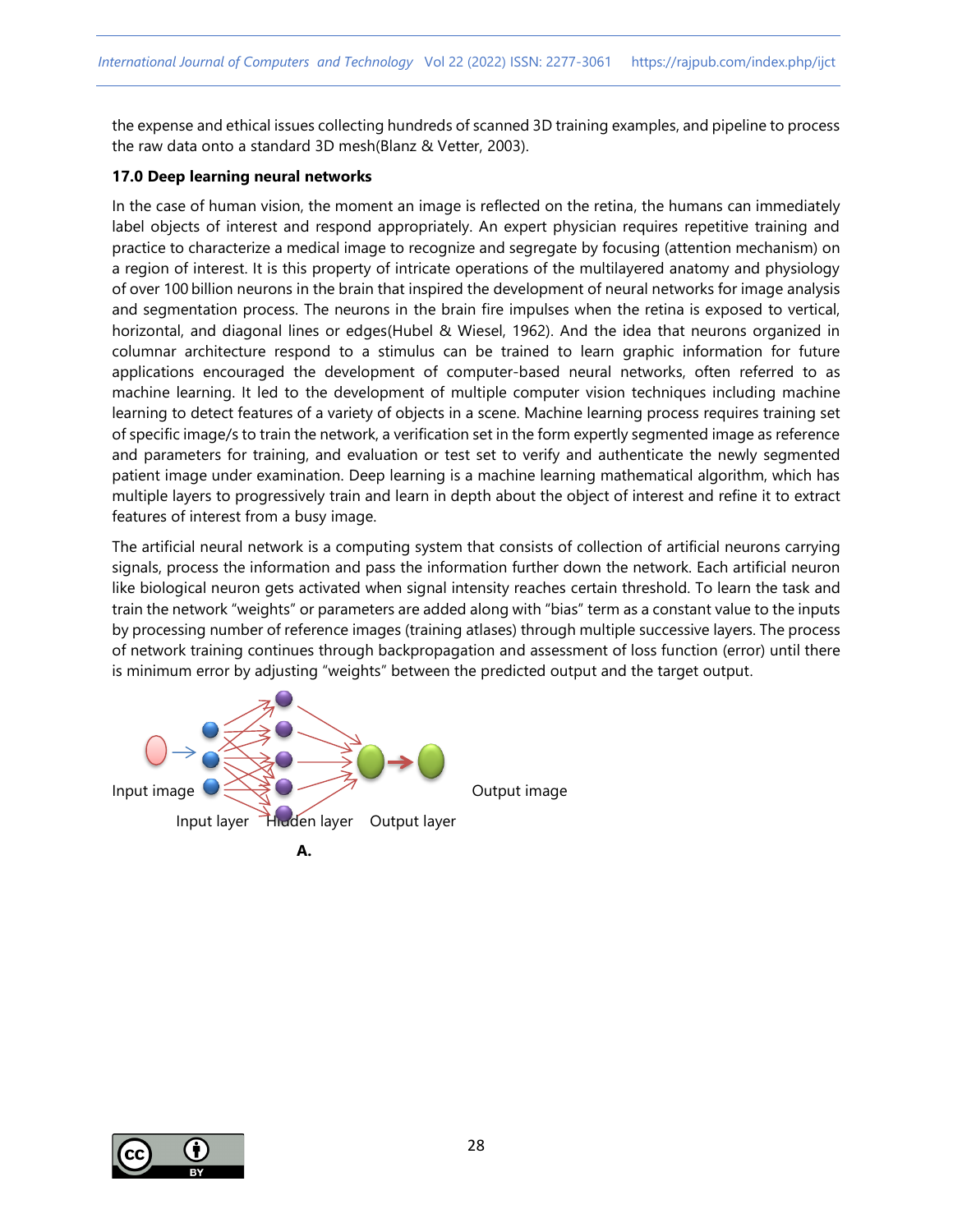the expense and ethical issues collecting hundreds of scanned 3D training examples, and pipeline to process the raw data onto a standard 3D mesh(Blanz & Vetter, 2003).

#### **17.0 Deep learning neural networks**

In the case of human vision, the moment an image is reflected on the retina, the humans can immediately label objects of interest and respond appropriately. An expert physician requires repetitive training and practice to characterize a medical image to recognize and segregate by focusing (attention mechanism) on a region of interest. It is this property of intricate operations of the multilayered anatomy and physiology of over 100 billion neurons in the brain that inspired the development of neural networks for image analysis and segmentation process. The neurons in the brain fire impulses when the retina is exposed to vertical, horizontal, and diagonal lines or edges(Hubel & Wiesel, 1962). And the idea that neurons organized in columnar architecture respond to a stimulus can be trained to learn graphic information for future applications encouraged the development of computer-based neural networks, often referred to as machine learning. It led to the development of multiple computer vision techniques including machine learning to detect features of a variety of objects in a scene. Machine learning process requires training set of specific image/s to train the network, a verification set in the form expertly segmented image as reference and parameters for training, and evaluation or test set to verify and authenticate the newly segmented patient image under examination. Deep learning is a machine learning mathematical algorithm, which has multiple layers to progressively train and learn in depth about the object of interest and refine it to extract features of interest from a busy image.

The artificial neural network is a computing system that consists of collection of artificial neurons carrying signals, process the information and pass the information further down the network. Each artificial neuron like biological neuron gets activated when signal intensity reaches certain threshold. To learn the task and train the network "weights" or parameters are added along with "bias" term as a constant value to the inputs by processing number of reference images (training atlases) through multiple successive layers. The process of network training continues through backpropagation and assessment of loss function (error) until there is minimum error by adjusting "weights" between the predicted output and the target output.





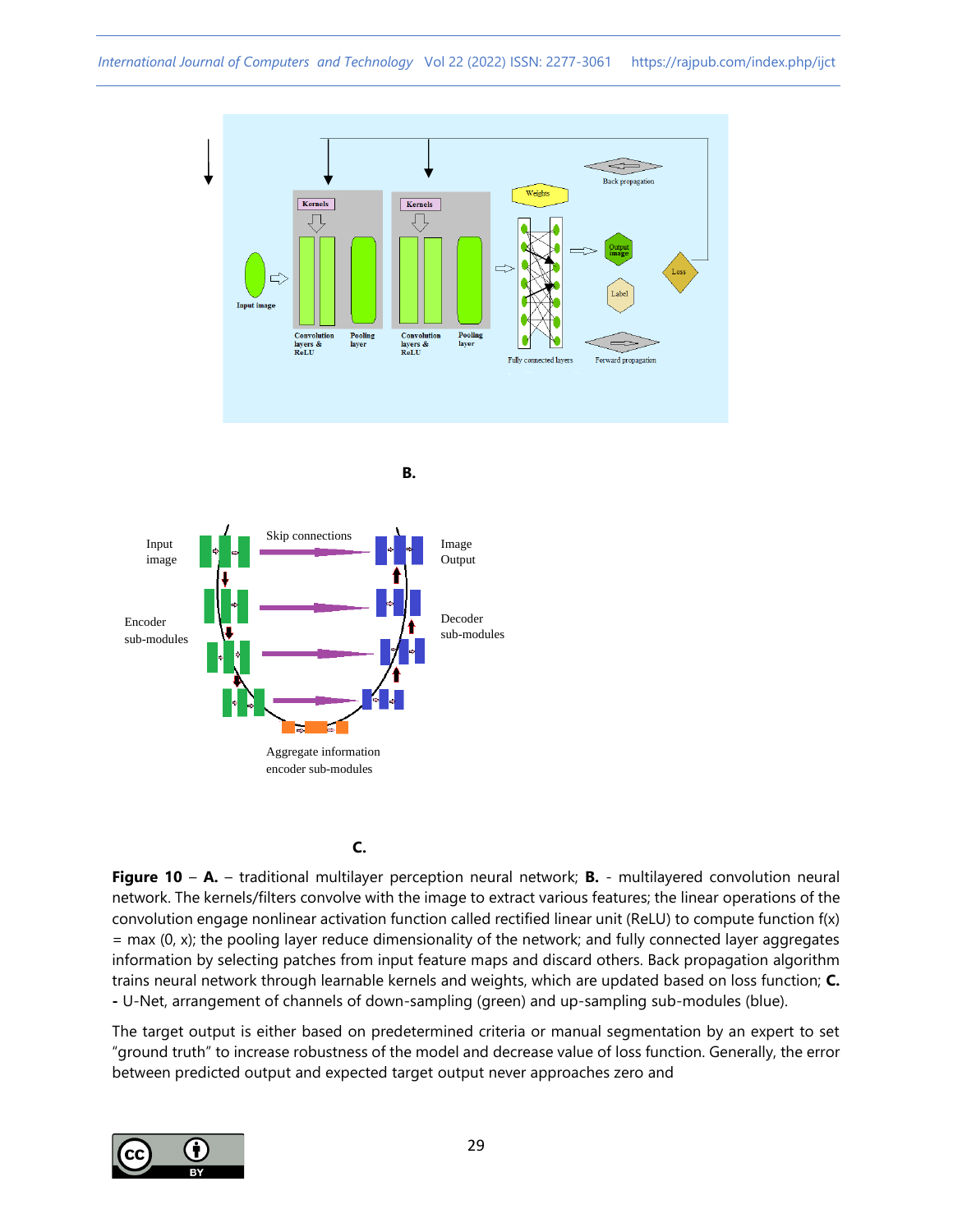

Aggregate information encoder sub-modules Input image Encoder sub-modules

# **C. C. C.**

**Figure 10** – **A.** – traditional multilayer perception neural network; **B.** - multilayered convolution neural network. The kernels/filters convolve with the image to extract various features; the linear operations of the convolution engage nonlinear activation function called rectified linear unit (ReLU) to compute function f(x)  $=$  max (0, x); the pooling layer reduce dimensionality of the network; and fully connected layer aggregates information by selecting patches from input feature maps and discard others. Back propagation algorithm trains neural network through learnable kernels and weights, which are updated based on loss function; **C. -** U-Net, arrangement of channels of down-sampling (green) and up-sampling sub-modules (blue).

The target output is either based on predetermined criteria or manual segmentation by an expert to set "ground truth" to increase robustness of the model and decrease value of loss function. Generally, the error between predicted output and expected target output never approaches zero and

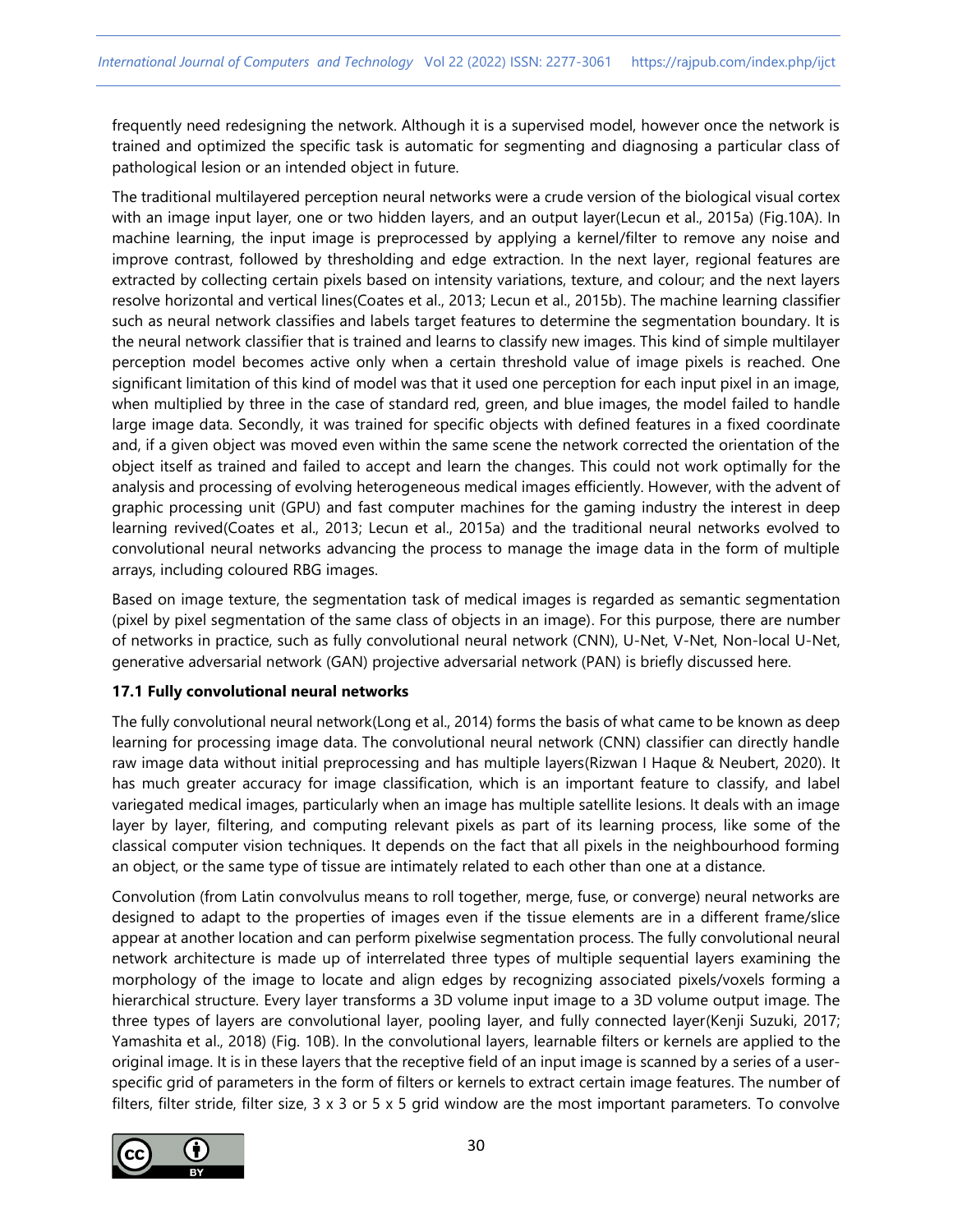frequently need redesigning the network. Although it is a supervised model, however once the network is trained and optimized the specific task is automatic for segmenting and diagnosing a particular class of pathological lesion or an intended object in future.

The traditional multilayered perception neural networks were a crude version of the biological visual cortex with an image input layer, one or two hidden layers, and an output layer(Lecun et al., 2015a) (Fig.10A). In machine learning, the input image is preprocessed by applying a kernel/filter to remove any noise and improve contrast, followed by thresholding and edge extraction. In the next layer, regional features are extracted by collecting certain pixels based on intensity variations, texture, and colour; and the next layers resolve horizontal and vertical lines(Coates et al., 2013; Lecun et al., 2015b). The machine learning classifier such as neural network classifies and labels target features to determine the segmentation boundary. It is the neural network classifier that is trained and learns to classify new images. This kind of simple multilayer perception model becomes active only when a certain threshold value of image pixels is reached. One significant limitation of this kind of model was that it used one perception for each input pixel in an image, when multiplied by three in the case of standard red, green, and blue images, the model failed to handle large image data. Secondly, it was trained for specific objects with defined features in a fixed coordinate and, if a given object was moved even within the same scene the network corrected the orientation of the object itself as trained and failed to accept and learn the changes. This could not work optimally for the analysis and processing of evolving heterogeneous medical images efficiently. However, with the advent of graphic processing unit (GPU) and fast computer machines for the gaming industry the interest in deep learning revived(Coates et al., 2013; Lecun et al., 2015a) and the traditional neural networks evolved to convolutional neural networks advancing the process to manage the image data in the form of multiple arrays, including coloured RBG images.

Based on image texture, the segmentation task of medical images is regarded as semantic segmentation (pixel by pixel segmentation of the same class of objects in an image). For this purpose, there are number of networks in practice, such as fully convolutional neural network (CNN), U-Net, V-Net, Non-local U-Net, generative adversarial network (GAN) projective adversarial network (PAN) is briefly discussed here.

## **17.1 Fully convolutional neural networks**

The fully convolutional neural network(Long et al., 2014) forms the basis of what came to be known as deep learning for processing image data. The convolutional neural network (CNN) classifier can directly handle raw image data without initial preprocessing and has multiple layers(Rizwan I Haque & Neubert, 2020). It has much greater accuracy for image classification, which is an important feature to classify, and label variegated medical images, particularly when an image has multiple satellite lesions. It deals with an image layer by layer, filtering, and computing relevant pixels as part of its learning process, like some of the classical computer vision techniques. It depends on the fact that all pixels in the neighbourhood forming an object, or the same type of tissue are intimately related to each other than one at a distance.

Convolution (from Latin convolvulus means to roll together, merge, fuse, or converge) neural networks are designed to adapt to the properties of images even if the tissue elements are in a different frame/slice appear at another location and can perform pixelwise segmentation process. The fully convolutional neural network architecture is made up of interrelated three types of multiple sequential layers examining the morphology of the image to locate and align edges by recognizing associated pixels/voxels forming a hierarchical structure. Every layer transforms a 3D volume input image to a 3D volume output image. The three types of layers are convolutional layer, pooling layer, and fully connected layer(Kenji Suzuki, 2017; Yamashita et al., 2018) (Fig. 10B). In the convolutional layers, learnable filters or kernels are applied to the original image. It is in these layers that the receptive field of an input image is scanned by a series of a userspecific grid of parameters in the form of filters or kernels to extract certain image features. The number of filters, filter stride, filter size,  $3 \times 3$  or  $5 \times 5$  grid window are the most important parameters. To convolve

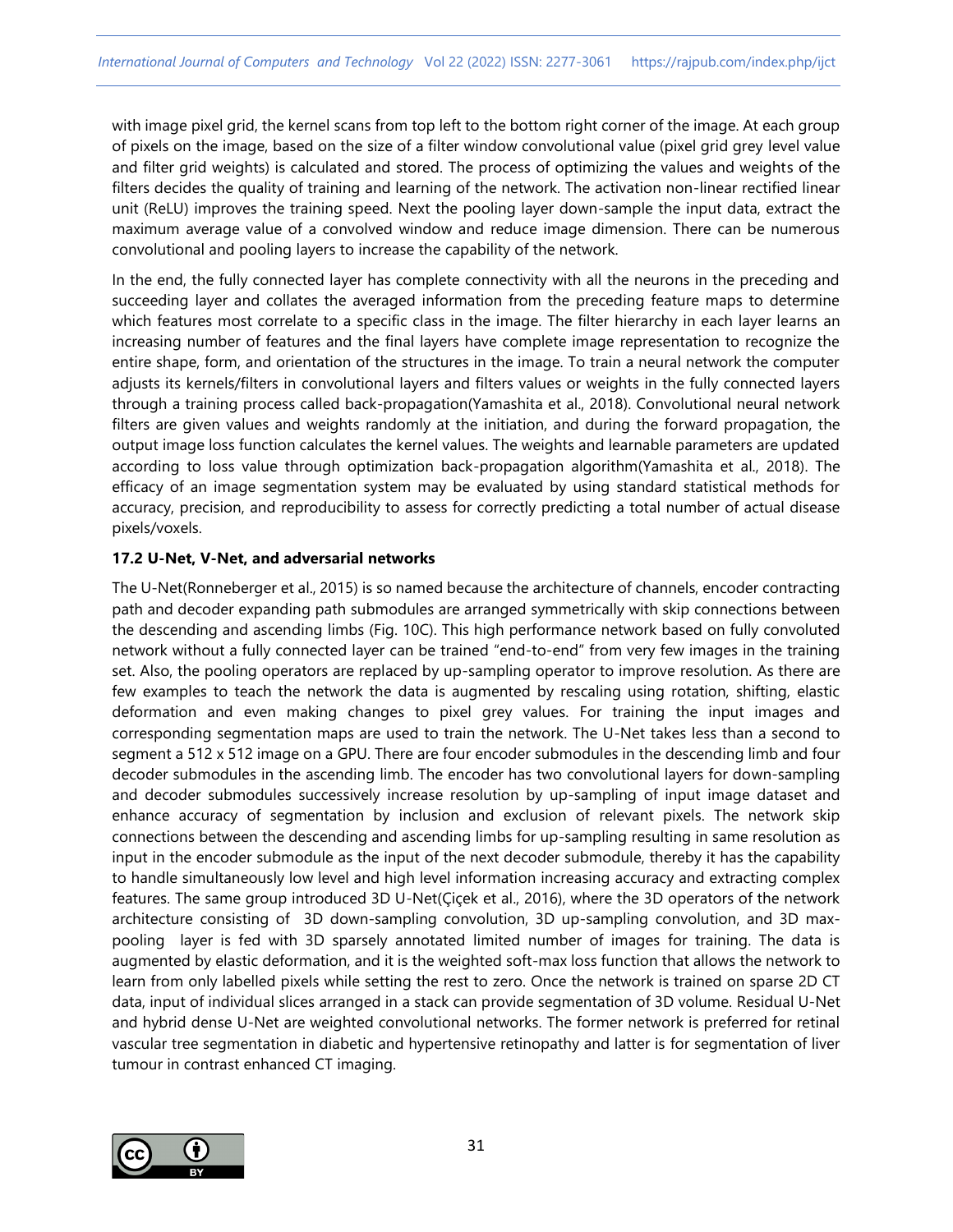with image pixel grid, the kernel scans from top left to the bottom right corner of the image. At each group of pixels on the image, based on the size of a filter window convolutional value (pixel grid grey level value and filter grid weights) is calculated and stored. The process of optimizing the values and weights of the filters decides the quality of training and learning of the network. The activation non-linear rectified linear unit (ReLU) improves the training speed. Next the pooling layer down-sample the input data, extract the maximum average value of a convolved window and reduce image dimension. There can be numerous convolutional and pooling layers to increase the capability of the network.

In the end, the fully connected layer has complete connectivity with all the neurons in the preceding and succeeding layer and collates the averaged information from the preceding feature maps to determine which features most correlate to a specific class in the image. The filter hierarchy in each layer learns an increasing number of features and the final layers have complete image representation to recognize the entire shape, form, and orientation of the structures in the image. To train a neural network the computer adjusts its kernels/filters in convolutional layers and filters values or weights in the fully connected layers through a training process called back-propagation(Yamashita et al., 2018). Convolutional neural network filters are given values and weights randomly at the initiation, and during the forward propagation, the output image loss function calculates the kernel values. The weights and learnable parameters are updated according to loss value through optimization back-propagation algorithm(Yamashita et al., 2018). The efficacy of an image segmentation system may be evaluated by using standard statistical methods for accuracy, precision, and reproducibility to assess for correctly predicting a total number of actual disease pixels/voxels.

## **17.2 U-Net, V-Net, and adversarial networks**

The U-Net(Ronneberger et al., 2015) is so named because the architecture of channels, encoder contracting path and decoder expanding path submodules are arranged symmetrically with skip connections between the descending and ascending limbs (Fig. 10C). This high performance network based on fully convoluted network without a fully connected layer can be trained "end-to-end" from very few images in the training set. Also, the pooling operators are replaced by up-sampling operator to improve resolution. As there are few examples to teach the network the data is augmented by rescaling using rotation, shifting, elastic deformation and even making changes to pixel grey values. For training the input images and corresponding segmentation maps are used to train the network. The U-Net takes less than a second to segment a 512 x 512 image on a GPU. There are four encoder submodules in the descending limb and four decoder submodules in the ascending limb. The encoder has two convolutional layers for down-sampling and decoder submodules successively increase resolution by up-sampling of input image dataset and enhance accuracy of segmentation by inclusion and exclusion of relevant pixels. The network skip connections between the descending and ascending limbs for up-sampling resulting in same resolution as input in the encoder submodule as the input of the next decoder submodule, thereby it has the capability to handle simultaneously low level and high level information increasing accuracy and extracting complex features. The same group introduced 3D U-Net(Çiçek et al., 2016), where the 3D operators of the network architecture consisting of 3D down-sampling convolution, 3D up-sampling convolution, and 3D maxpooling layer is fed with 3D sparsely annotated limited number of images for training. The data is augmented by elastic deformation, and it is the weighted soft-max loss function that allows the network to learn from only labelled pixels while setting the rest to zero. Once the network is trained on sparse 2D CT data, input of individual slices arranged in a stack can provide segmentation of 3D volume. Residual U-Net and hybrid dense U-Net are weighted convolutional networks. The former network is preferred for retinal vascular tree segmentation in diabetic and hypertensive retinopathy and latter is for segmentation of liver tumour in contrast enhanced CT imaging.

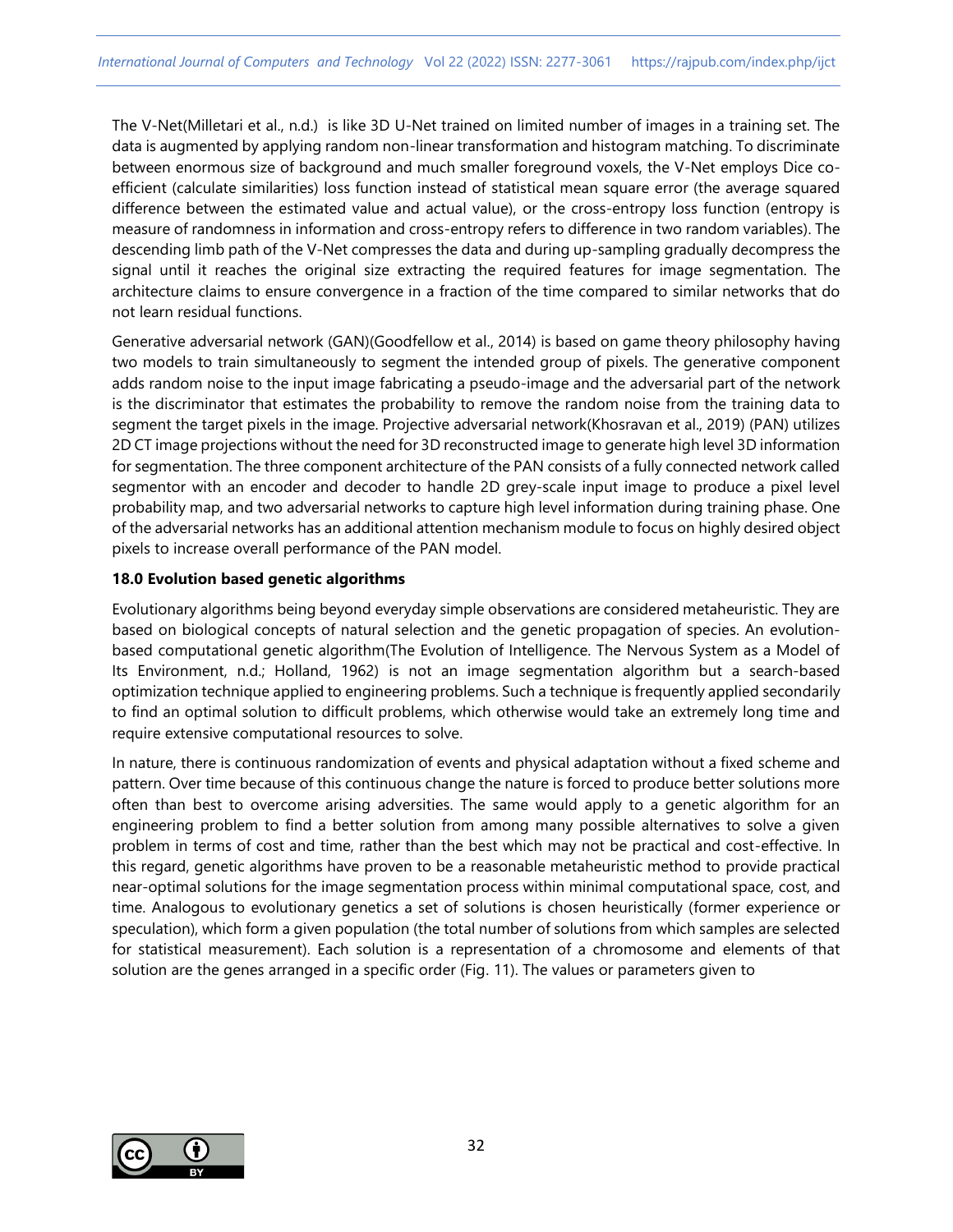The V-Net(Milletari et al., n.d.) is like 3D U-Net trained on limited number of images in a training set. The data is augmented by applying random non-linear transformation and histogram matching. To discriminate between enormous size of background and much smaller foreground voxels, the V-Net employs Dice coefficient (calculate similarities) loss function instead of statistical mean square error (the average squared difference between the estimated value and actual value), or the cross-entropy loss function (entropy is measure of randomness in information and cross-entropy refers to difference in two random variables). The descending limb path of the V-Net compresses the data and during up-sampling gradually decompress the signal until it reaches the original size extracting the required features for image segmentation. The architecture claims to ensure convergence in a fraction of the time compared to similar networks that do not learn residual functions.

Generative adversarial network (GAN)(Goodfellow et al., 2014) is based on game theory philosophy having two models to train simultaneously to segment the intended group of pixels. The generative component adds random noise to the input image fabricating a pseudo-image and the adversarial part of the network is the discriminator that estimates the probability to remove the random noise from the training data to segment the target pixels in the image. Projective adversarial network(Khosravan et al., 2019) (PAN) utilizes 2D CT image projections without the need for 3D reconstructed image to generate high level 3D information for segmentation. The three component architecture of the PAN consists of a fully connected network called segmentor with an encoder and decoder to handle 2D grey-scale input image to produce a pixel level probability map, and two adversarial networks to capture high level information during training phase. One of the adversarial networks has an additional attention mechanism module to focus on highly desired object pixels to increase overall performance of the PAN model.

## **18.0 Evolution based genetic algorithms**

Evolutionary algorithms being beyond everyday simple observations are considered metaheuristic. They are based on biological concepts of natural selection and the genetic propagation of species. An evolutionbased computational genetic algorithm(The Evolution of Intelligence. The Nervous System as a Model of Its Environment, n.d.; Holland, 1962) is not an image segmentation algorithm but a search-based optimization technique applied to engineering problems. Such a technique is frequently applied secondarily to find an optimal solution to difficult problems, which otherwise would take an extremely long time and require extensive computational resources to solve.

In nature, there is continuous randomization of events and physical adaptation without a fixed scheme and pattern. Over time because of this continuous change the nature is forced to produce better solutions more often than best to overcome arising adversities. The same would apply to a genetic algorithm for an engineering problem to find a better solution from among many possible alternatives to solve a given problem in terms of cost and time, rather than the best which may not be practical and cost-effective. In this regard, genetic algorithms have proven to be a reasonable metaheuristic method to provide practical near-optimal solutions for the image segmentation process within minimal computational space, cost, and time. Analogous to evolutionary genetics a set of solutions is chosen heuristically (former experience or speculation), which form a given population (the total number of solutions from which samples are selected for statistical measurement). Each solution is a representation of a chromosome and elements of that solution are the genes arranged in a specific order (Fig. 11). The values or parameters given to

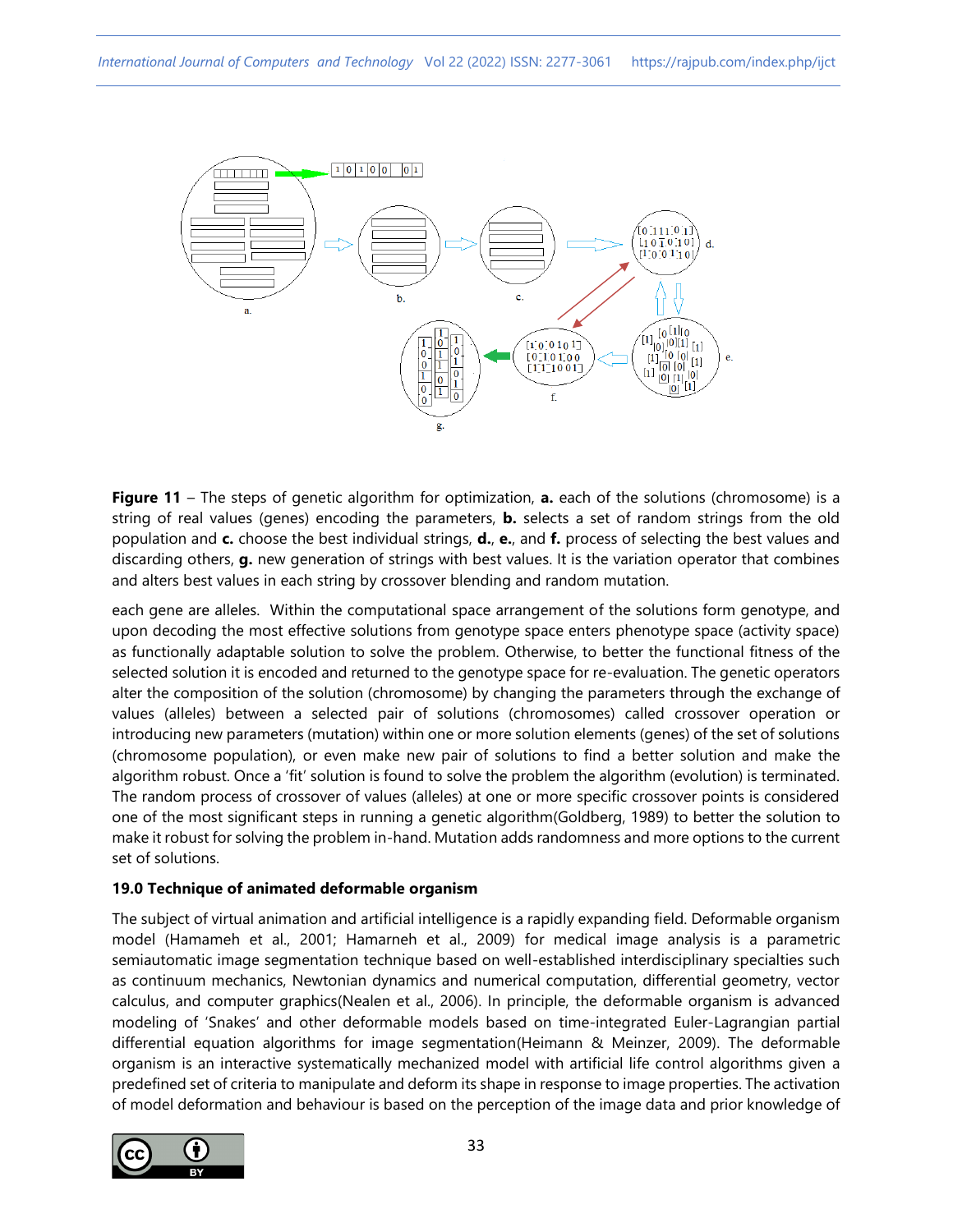

**Figure 11** – The steps of genetic algorithm for optimization, **a.** each of the solutions (chromosome) is a string of real values (genes) encoding the parameters, **b.** selects a set of random strings from the old population and **c.** choose the best individual strings, **d.**, **e.**, and **f.** process of selecting the best values and discarding others, **g.** new generation of strings with best values. It is the variation operator that combines and alters best values in each string by crossover blending and random mutation.

each gene are alleles. Within the computational space arrangement of the solutions form genotype, and upon decoding the most effective solutions from genotype space enters phenotype space (activity space) as functionally adaptable solution to solve the problem. Otherwise, to better the functional fitness of the selected solution it is encoded and returned to the genotype space for re-evaluation. The genetic operators alter the composition of the solution (chromosome) by changing the parameters through the exchange of values (alleles) between a selected pair of solutions (chromosomes) called crossover operation or introducing new parameters (mutation) within one or more solution elements (genes) of the set of solutions (chromosome population), or even make new pair of solutions to find a better solution and make the algorithm robust. Once a 'fit' solution is found to solve the problem the algorithm (evolution) is terminated. The random process of crossover of values (alleles) at one or more specific crossover points is considered one of the most significant steps in running a genetic algorithm(Goldberg, 1989) to better the solution to make it robust for solving the problem in-hand. Mutation adds randomness and more options to the current set of solutions.

#### **19.0 Technique of animated deformable organism**

The subject of virtual animation and artificial intelligence is a rapidly expanding field. Deformable organism model (Hamameh et al., 2001; Hamarneh et al., 2009) for medical image analysis is a parametric semiautomatic image segmentation technique based on well-established interdisciplinary specialties such as continuum mechanics, Newtonian dynamics and numerical computation, differential geometry, vector calculus, and computer graphics(Nealen et al., 2006). In principle, the deformable organism is advanced modeling of 'Snakes' and other deformable models based on time-integrated Euler-Lagrangian partial differential equation algorithms for image segmentation(Heimann & Meinzer, 2009). The deformable organism is an interactive systematically mechanized model with artificial life control algorithms given a predefined set of criteria to manipulate and deform its shape in response to image properties. The activation of model deformation and behaviour is based on the perception of the image data and prior knowledge of

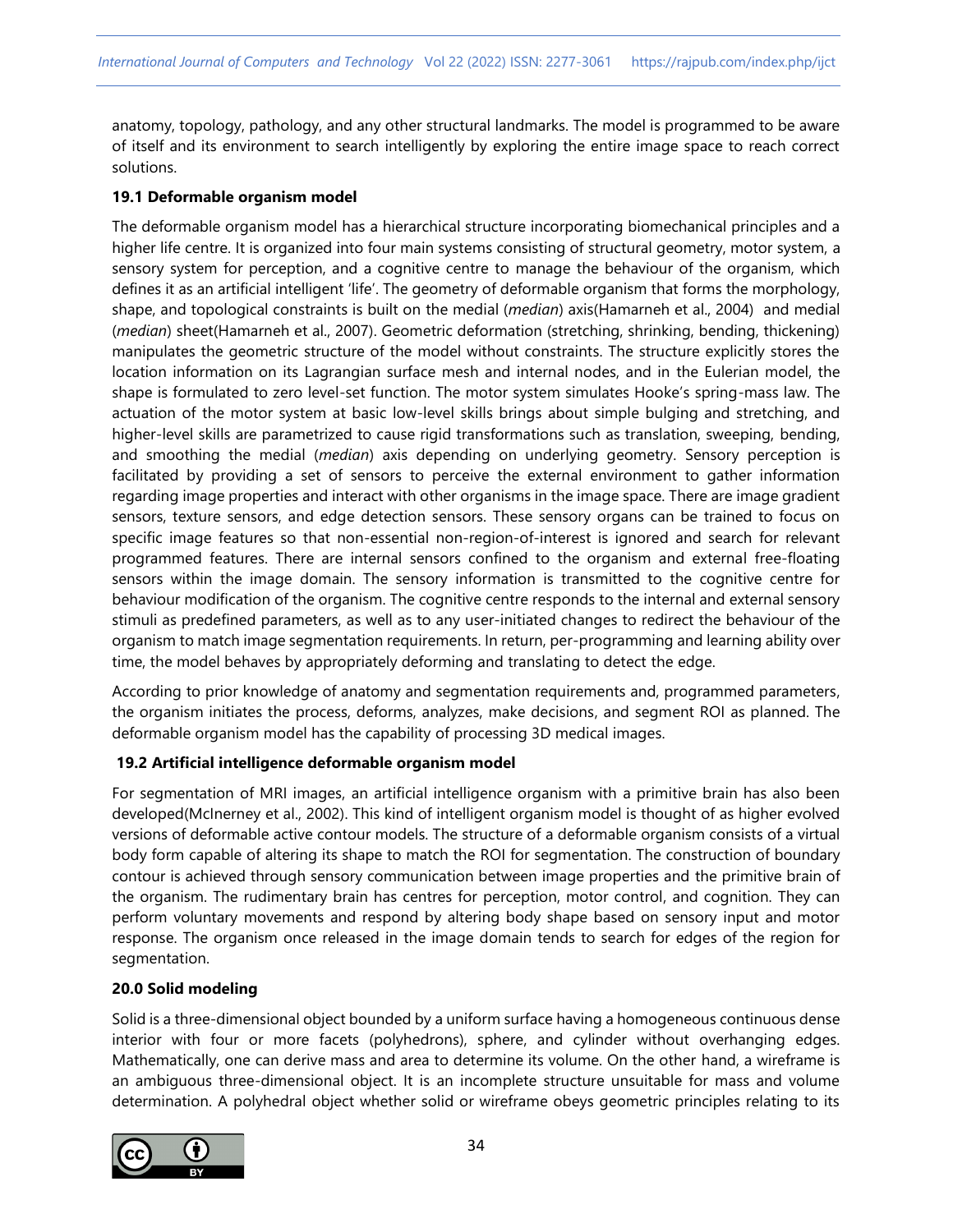anatomy, topology, pathology, and any other structural landmarks. The model is programmed to be aware of itself and its environment to search intelligently by exploring the entire image space to reach correct solutions.

## **19.1 Deformable organism model**

The deformable organism model has a hierarchical structure incorporating biomechanical principles and a higher life centre. It is organized into four main systems consisting of structural geometry, motor system, a sensory system for perception, and a cognitive centre to manage the behaviour of the organism, which defines it as an artificial intelligent 'life'. The geometry of deformable organism that forms the morphology, shape, and topological constraints is built on the medial (*median*) axis(Hamarneh et al., 2004) and medial (*median*) sheet(Hamarneh et al., 2007). Geometric deformation (stretching, shrinking, bending, thickening) manipulates the geometric structure of the model without constraints. The structure explicitly stores the location information on its Lagrangian surface mesh and internal nodes, and in the Eulerian model, the shape is formulated to zero level-set function. The motor system simulates Hooke's spring-mass law. The actuation of the motor system at basic low-level skills brings about simple bulging and stretching, and higher-level skills are parametrized to cause rigid transformations such as translation, sweeping, bending, and smoothing the medial (*median*) axis depending on underlying geometry. Sensory perception is facilitated by providing a set of sensors to perceive the external environment to gather information regarding image properties and interact with other organisms in the image space. There are image gradient sensors, texture sensors, and edge detection sensors. These sensory organs can be trained to focus on specific image features so that non-essential non-region-of-interest is ignored and search for relevant programmed features. There are internal sensors confined to the organism and external free-floating sensors within the image domain. The sensory information is transmitted to the cognitive centre for behaviour modification of the organism. The cognitive centre responds to the internal and external sensory stimuli as predefined parameters, as well as to any user-initiated changes to redirect the behaviour of the organism to match image segmentation requirements. In return, per-programming and learning ability over time, the model behaves by appropriately deforming and translating to detect the edge.

According to prior knowledge of anatomy and segmentation requirements and, programmed parameters, the organism initiates the process, deforms, analyzes, make decisions, and segment ROI as planned. The deformable organism model has the capability of processing 3D medical images.

## **19.2 Artificial intelligence deformable organism model**

For segmentation of MRI images, an artificial intelligence organism with a primitive brain has also been developed(McInerney et al., 2002). This kind of intelligent organism model is thought of as higher evolved versions of deformable active contour models. The structure of a deformable organism consists of a virtual body form capable of altering its shape to match the ROI for segmentation. The construction of boundary contour is achieved through sensory communication between image properties and the primitive brain of the organism. The rudimentary brain has centres for perception, motor control, and cognition. They can perform voluntary movements and respond by altering body shape based on sensory input and motor response. The organism once released in the image domain tends to search for edges of the region for segmentation.

## **20.0 Solid modeling**

Solid is a three-dimensional object bounded by a uniform surface having a homogeneous continuous dense interior with four or more facets (polyhedrons), sphere, and cylinder without overhanging edges. Mathematically, one can derive mass and area to determine its volume. On the other hand, a wireframe is an ambiguous three-dimensional object. It is an incomplete structure unsuitable for mass and volume determination. A polyhedral object whether solid or wireframe obeys geometric principles relating to its

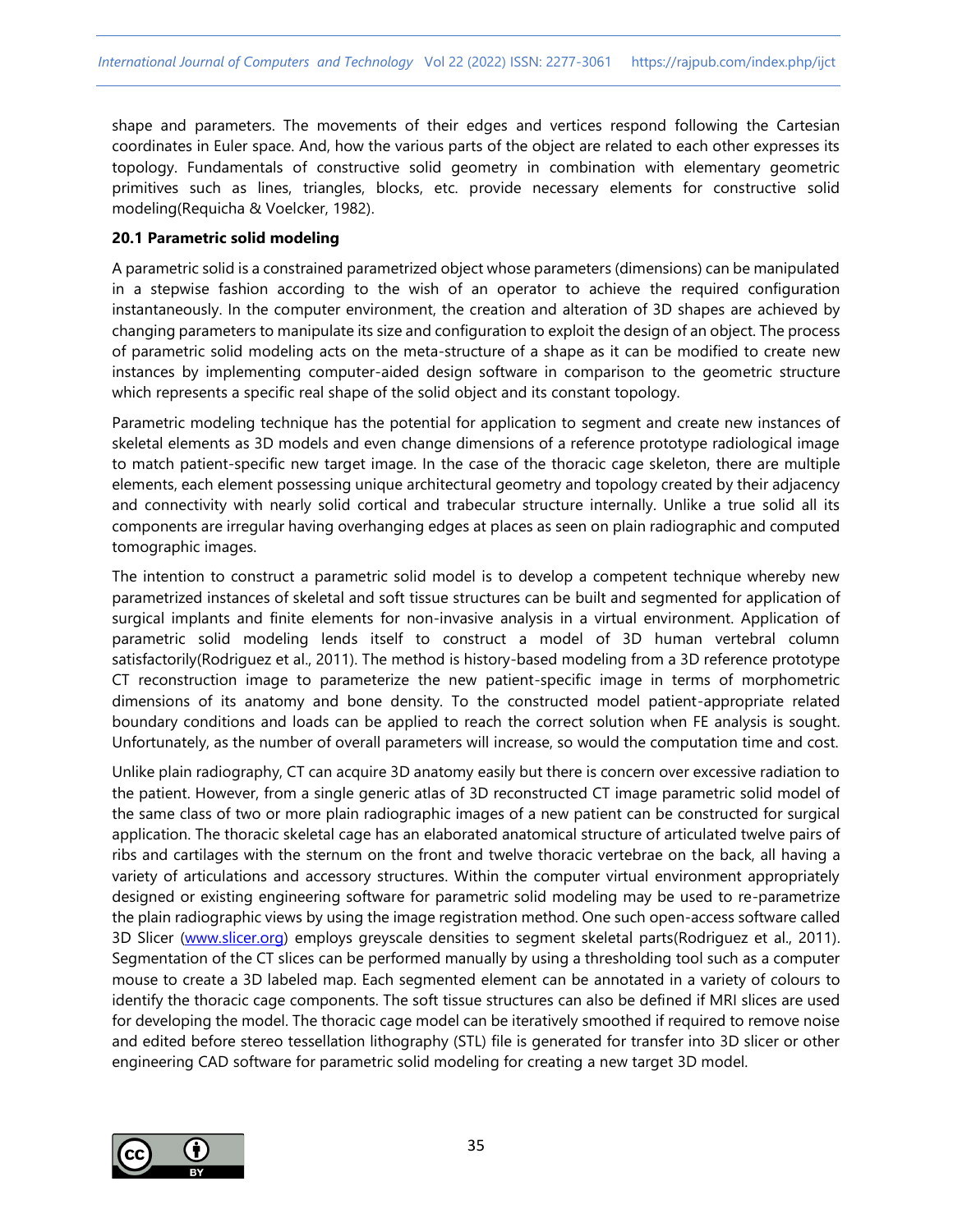shape and parameters. The movements of their edges and vertices respond following the Cartesian coordinates in Euler space. And, how the various parts of the object are related to each other expresses its topology. Fundamentals of constructive solid geometry in combination with elementary geometric primitives such as lines, triangles, blocks, etc. provide necessary elements for constructive solid modeling(Requicha & Voelcker, 1982).

#### **20.1 Parametric solid modeling**

A parametric solid is a constrained parametrized object whose parameters (dimensions) can be manipulated in a stepwise fashion according to the wish of an operator to achieve the required configuration instantaneously. In the computer environment, the creation and alteration of 3D shapes are achieved by changing parameters to manipulate its size and configuration to exploit the design of an object. The process of parametric solid modeling acts on the meta-structure of a shape as it can be modified to create new instances by implementing computer-aided design software in comparison to the geometric structure which represents a specific real shape of the solid object and its constant topology.

Parametric modeling technique has the potential for application to segment and create new instances of skeletal elements as 3D models and even change dimensions of a reference prototype radiological image to match patient-specific new target image. In the case of the thoracic cage skeleton, there are multiple elements, each element possessing unique architectural geometry and topology created by their adjacency and connectivity with nearly solid cortical and trabecular structure internally. Unlike a true solid all its components are irregular having overhanging edges at places as seen on plain radiographic and computed tomographic images.

The intention to construct a parametric solid model is to develop a competent technique whereby new parametrized instances of skeletal and soft tissue structures can be built and segmented for application of surgical implants and finite elements for non-invasive analysis in a virtual environment. Application of parametric solid modeling lends itself to construct a model of 3D human vertebral column satisfactorily(Rodriguez et al., 2011). The method is history-based modeling from a 3D reference prototype CT reconstruction image to parameterize the new patient-specific image in terms of morphometric dimensions of its anatomy and bone density. To the constructed model patient-appropriate related boundary conditions and loads can be applied to reach the correct solution when FE analysis is sought. Unfortunately, as the number of overall parameters will increase, so would the computation time and cost.

Unlike plain radiography, CT can acquire 3D anatomy easily but there is concern over excessive radiation to the patient. However, from a single generic atlas of 3D reconstructed CT image parametric solid model of the same class of two or more plain radiographic images of a new patient can be constructed for surgical application. The thoracic skeletal cage has an elaborated anatomical structure of articulated twelve pairs of ribs and cartilages with the sternum on the front and twelve thoracic vertebrae on the back, all having a variety of articulations and accessory structures. Within the computer virtual environment appropriately designed or existing engineering software for parametric solid modeling may be used to re-parametrize the plain radiographic views by using the image registration method. One such open-access software called 3D Slicer [\(www.slicer.org\)](http://www.slicer.org/) employs greyscale densities to segment skeletal parts(Rodriguez et al., 2011). Segmentation of the CT slices can be performed manually by using a thresholding tool such as a computer mouse to create a 3D labeled map. Each segmented element can be annotated in a variety of colours to identify the thoracic cage components. The soft tissue structures can also be defined if MRI slices are used for developing the model. The thoracic cage model can be iteratively smoothed if required to remove noise and edited before stereo tessellation lithography (STL) file is generated for transfer into 3D slicer or other engineering CAD software for parametric solid modeling for creating a new target 3D model.

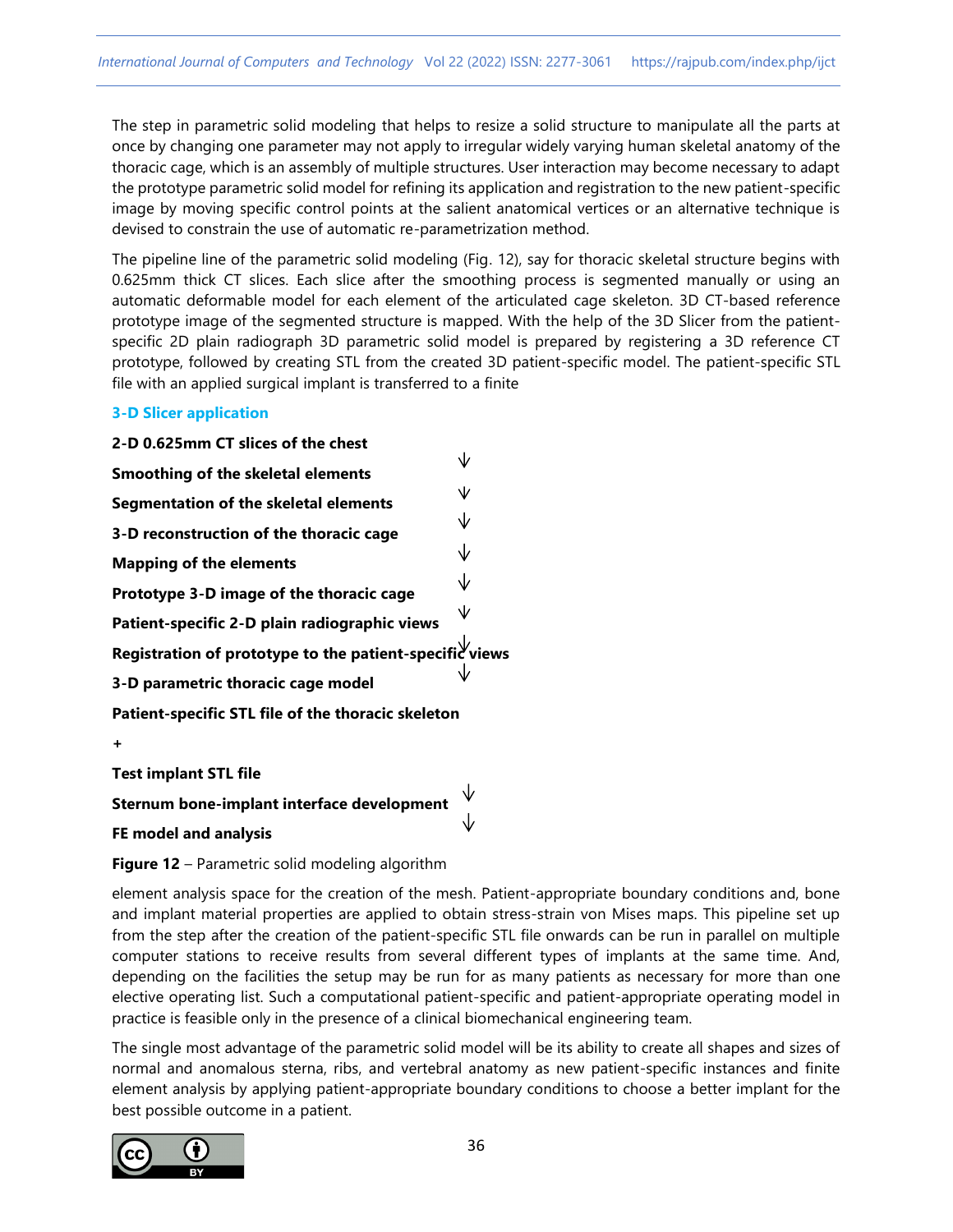The step in parametric solid modeling that helps to resize a solid structure to manipulate all the parts at once by changing one parameter may not apply to irregular widely varying human skeletal anatomy of the thoracic cage, which is an assembly of multiple structures. User interaction may become necessary to adapt the prototype parametric solid model for refining its application and registration to the new patient-specific image by moving specific control points at the salient anatomical vertices or an alternative technique is devised to constrain the use of automatic re-parametrization method.

The pipeline line of the parametric solid modeling (Fig. 12), say for thoracic skeletal structure begins with 0.625mm thick CT slices. Each slice after the smoothing process is segmented manually or using an automatic deformable model for each element of the articulated cage skeleton. 3D CT-based reference prototype image of the segmented structure is mapped. With the help of the 3D Slicer from the patientspecific 2D plain radiograph 3D parametric solid model is prepared by registering a 3D reference CT prototype, followed by creating STL from the created 3D patient-specific model. The patient-specific STL file with an applied surgical implant is transferred to a finite

#### **3-D Slicer application**

**2-D 0.625mm CT slices of the chest** ₩ **Smoothing of the skeletal elements** 业 **Segmentation of the skeletal elements 3-D reconstruction of the thoracic cage Mapping of the elements Prototype 3-D image of the thoracic cage** ∨ **Patient-specific 2-D plain radiographic views** Registration of prototype to the patient-specific views **3-D parametric thoracic cage model Patient-specific STL file of the thoracic skeleton +**

**Test implant STL file**

**Sternum bone-implant interface development**

**FE model and analysis**

**Figure 12** – Parametric solid modeling algorithm

element analysis space for the creation of the mesh. Patient-appropriate boundary conditions and, bone and implant material properties are applied to obtain stress-strain von Mises maps. This pipeline set up from the step after the creation of the patient-specific STL file onwards can be run in parallel on multiple computer stations to receive results from several different types of implants at the same time. And, depending on the facilities the setup may be run for as many patients as necessary for more than one elective operating list. Such a computational patient-specific and patient-appropriate operating model in practice is feasible only in the presence of a clinical biomechanical engineering team.

The single most advantage of the parametric solid model will be its ability to create all shapes and sizes of normal and anomalous sterna, ribs, and vertebral anatomy as new patient-specific instances and finite element analysis by applying patient-appropriate boundary conditions to choose a better implant for the best possible outcome in a patient.

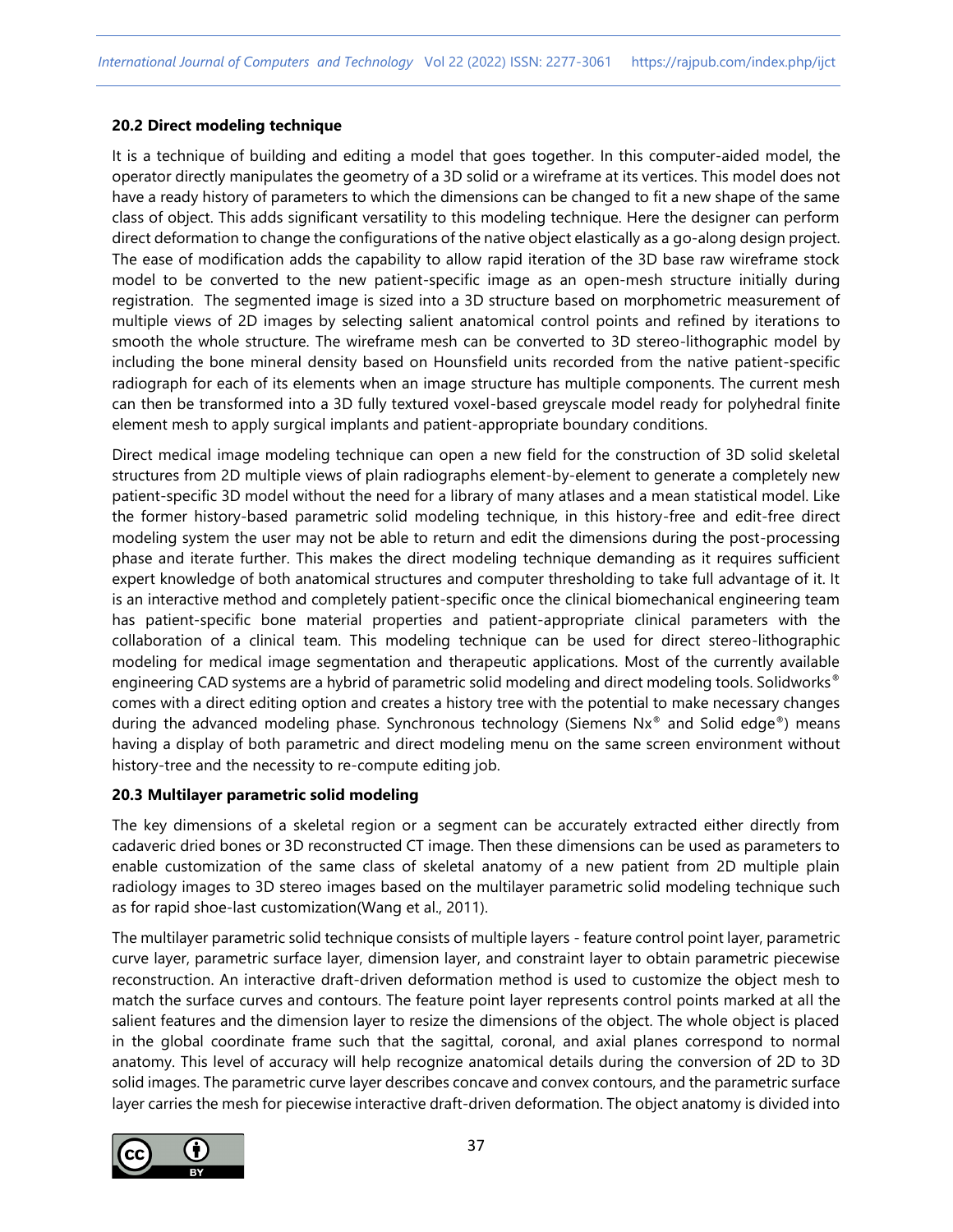#### **20.2 Direct modeling technique**

It is a technique of building and editing a model that goes together. In this computer-aided model, the operator directly manipulates the geometry of a 3D solid or a wireframe at its vertices. This model does not have a ready history of parameters to which the dimensions can be changed to fit a new shape of the same class of object. This adds significant versatility to this modeling technique. Here the designer can perform direct deformation to change the configurations of the native object elastically as a go-along design project. The ease of modification adds the capability to allow rapid iteration of the 3D base raw wireframe stock model to be converted to the new patient-specific image as an open-mesh structure initially during registration. The segmented image is sized into a 3D structure based on morphometric measurement of multiple views of 2D images by selecting salient anatomical control points and refined by iterations to smooth the whole structure. The wireframe mesh can be converted to 3D stereo-lithographic model by including the bone mineral density based on Hounsfield units recorded from the native patient-specific radiograph for each of its elements when an image structure has multiple components. The current mesh can then be transformed into a 3D fully textured voxel-based greyscale model ready for polyhedral finite element mesh to apply surgical implants and patient-appropriate boundary conditions.

Direct medical image modeling technique can open a new field for the construction of 3D solid skeletal structures from 2D multiple views of plain radiographs element-by-element to generate a completely new patient-specific 3D model without the need for a library of many atlases and a mean statistical model. Like the former history-based parametric solid modeling technique, in this history-free and edit-free direct modeling system the user may not be able to return and edit the dimensions during the post-processing phase and iterate further. This makes the direct modeling technique demanding as it requires sufficient expert knowledge of both anatomical structures and computer thresholding to take full advantage of it. It is an interactive method and completely patient-specific once the clinical biomechanical engineering team has patient-specific bone material properties and patient-appropriate clinical parameters with the collaboration of a clinical team. This modeling technique can be used for direct stereo-lithographic modeling for medical image segmentation and therapeutic applications. Most of the currently available engineering CAD systems are a hybrid of parametric solid modeling and direct modeling tools. Solidworks® comes with a direct editing option and creates a history tree with the potential to make necessary changes during the advanced modeling phase. Synchronous technology (Siemens Nx® and Solid edge®) means having a display of both parametric and direct modeling menu on the same screen environment without history-tree and the necessity to re-compute editing job.

## **20.3 Multilayer parametric solid modeling**

The key dimensions of a skeletal region or a segment can be accurately extracted either directly from cadaveric dried bones or 3D reconstructed CT image. Then these dimensions can be used as parameters to enable customization of the same class of skeletal anatomy of a new patient from 2D multiple plain radiology images to 3D stereo images based on the multilayer parametric solid modeling technique such as for rapid shoe-last customization(Wang et al., 2011).

The multilayer parametric solid technique consists of multiple layers - feature control point layer, parametric curve layer, parametric surface layer, dimension layer, and constraint layer to obtain parametric piecewise reconstruction. An interactive draft-driven deformation method is used to customize the object mesh to match the surface curves and contours. The feature point layer represents control points marked at all the salient features and the dimension layer to resize the dimensions of the object. The whole object is placed in the global coordinate frame such that the sagittal, coronal, and axial planes correspond to normal anatomy. This level of accuracy will help recognize anatomical details during the conversion of 2D to 3D solid images. The parametric curve layer describes concave and convex contours, and the parametric surface layer carries the mesh for piecewise interactive draft-driven deformation. The object anatomy is divided into

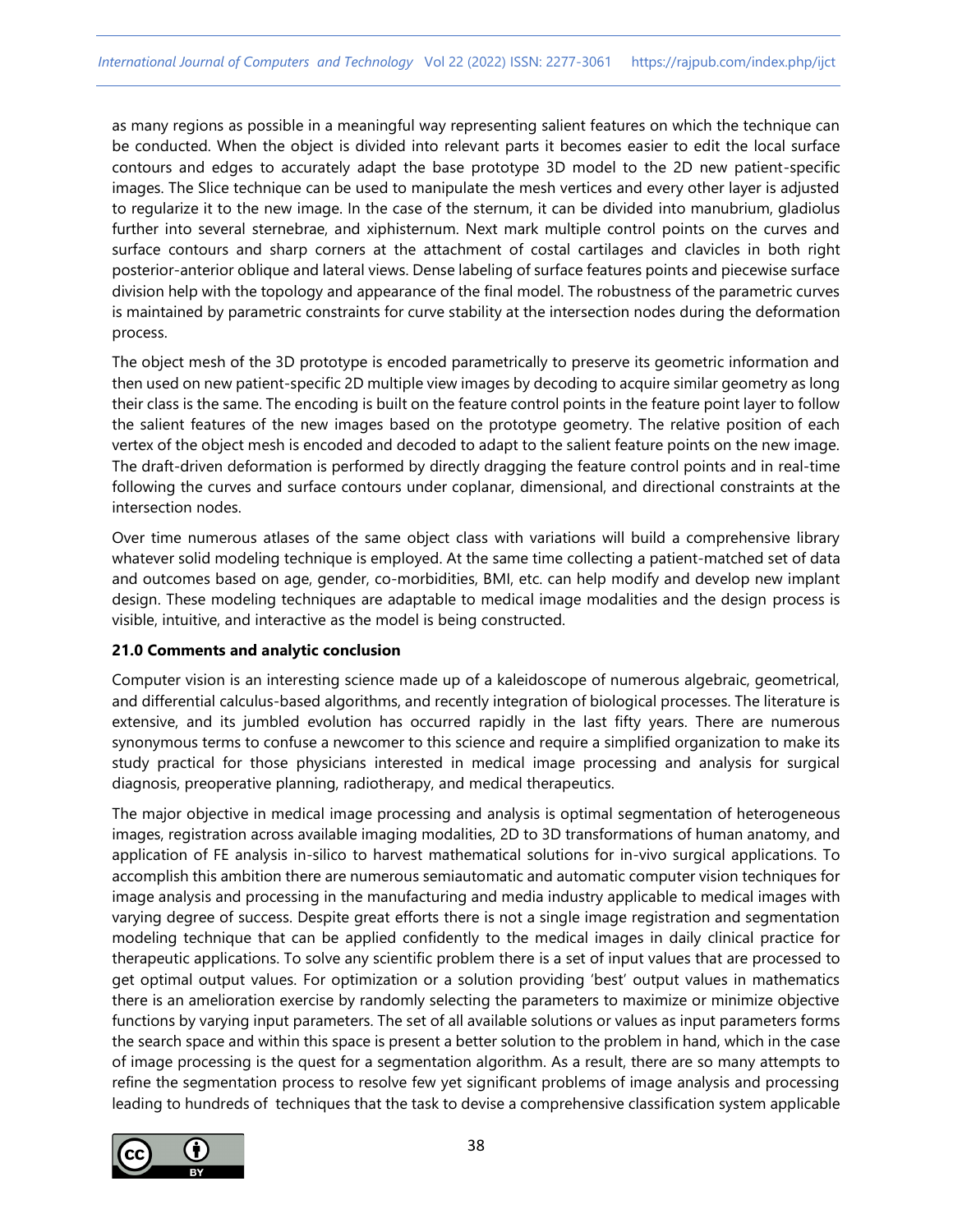as many regions as possible in a meaningful way representing salient features on which the technique can be conducted. When the object is divided into relevant parts it becomes easier to edit the local surface contours and edges to accurately adapt the base prototype 3D model to the 2D new patient-specific images. The Slice technique can be used to manipulate the mesh vertices and every other layer is adjusted to regularize it to the new image. In the case of the sternum, it can be divided into manubrium, gladiolus further into several sternebrae, and xiphisternum. Next mark multiple control points on the curves and surface contours and sharp corners at the attachment of costal cartilages and clavicles in both right posterior-anterior oblique and lateral views. Dense labeling of surface features points and piecewise surface division help with the topology and appearance of the final model. The robustness of the parametric curves is maintained by parametric constraints for curve stability at the intersection nodes during the deformation process.

The object mesh of the 3D prototype is encoded parametrically to preserve its geometric information and then used on new patient-specific 2D multiple view images by decoding to acquire similar geometry as long their class is the same. The encoding is built on the feature control points in the feature point layer to follow the salient features of the new images based on the prototype geometry. The relative position of each vertex of the object mesh is encoded and decoded to adapt to the salient feature points on the new image. The draft-driven deformation is performed by directly dragging the feature control points and in real-time following the curves and surface contours under coplanar, dimensional, and directional constraints at the intersection nodes.

Over time numerous atlases of the same object class with variations will build a comprehensive library whatever solid modeling technique is employed. At the same time collecting a patient-matched set of data and outcomes based on age, gender, co-morbidities, BMI, etc. can help modify and develop new implant design. These modeling techniques are adaptable to medical image modalities and the design process is visible, intuitive, and interactive as the model is being constructed.

## **21.0 Comments and analytic conclusion**

Computer vision is an interesting science made up of a kaleidoscope of numerous algebraic, geometrical, and differential calculus-based algorithms, and recently integration of biological processes. The literature is extensive, and its jumbled evolution has occurred rapidly in the last fifty years. There are numerous synonymous terms to confuse a newcomer to this science and require a simplified organization to make its study practical for those physicians interested in medical image processing and analysis for surgical diagnosis, preoperative planning, radiotherapy, and medical therapeutics.

The major objective in medical image processing and analysis is optimal segmentation of heterogeneous images, registration across available imaging modalities, 2D to 3D transformations of human anatomy, and application of FE analysis in-silico to harvest mathematical solutions for in-vivo surgical applications. To accomplish this ambition there are numerous semiautomatic and automatic computer vision techniques for image analysis and processing in the manufacturing and media industry applicable to medical images with varying degree of success. Despite great efforts there is not a single image registration and segmentation modeling technique that can be applied confidently to the medical images in daily clinical practice for therapeutic applications. To solve any scientific problem there is a set of input values that are processed to get optimal output values. For optimization or a solution providing 'best' output values in mathematics there is an amelioration exercise by randomly selecting the parameters to maximize or minimize objective functions by varying input parameters. The set of all available solutions or values as input parameters forms the search space and within this space is present a better solution to the problem in hand, which in the case of image processing is the quest for a segmentation algorithm. As a result, there are so many attempts to refine the segmentation process to resolve few yet significant problems of image analysis and processing leading to hundreds of techniques that the task to devise a comprehensive classification system applicable

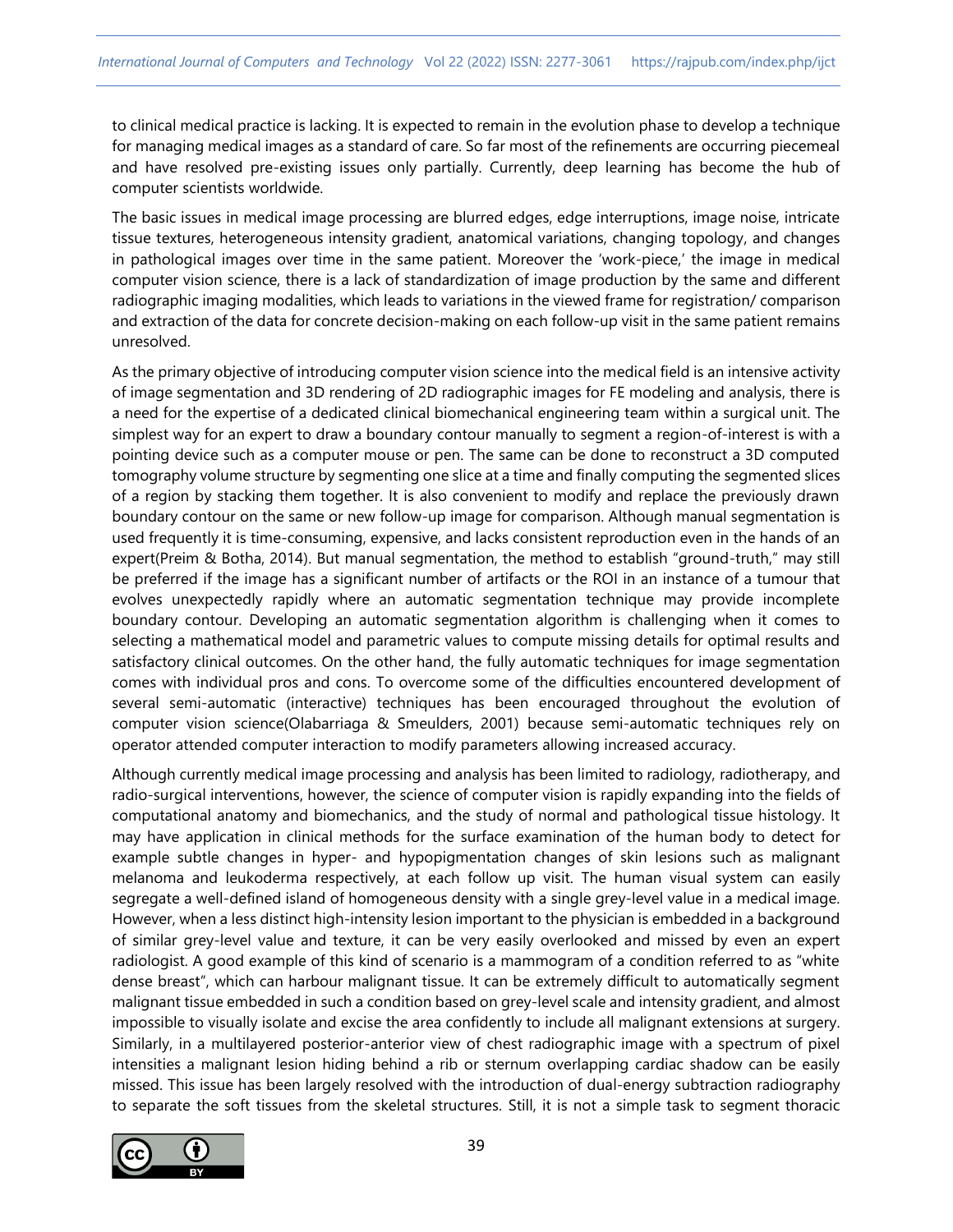to clinical medical practice is lacking. It is expected to remain in the evolution phase to develop a technique for managing medical images as a standard of care. So far most of the refinements are occurring piecemeal and have resolved pre-existing issues only partially. Currently, deep learning has become the hub of computer scientists worldwide.

The basic issues in medical image processing are blurred edges, edge interruptions, image noise, intricate tissue textures, heterogeneous intensity gradient, anatomical variations, changing topology, and changes in pathological images over time in the same patient. Moreover the 'work-piece,' the image in medical computer vision science, there is a lack of standardization of image production by the same and different radiographic imaging modalities, which leads to variations in the viewed frame for registration/ comparison and extraction of the data for concrete decision-making on each follow-up visit in the same patient remains unresolved.

As the primary objective of introducing computer vision science into the medical field is an intensive activity of image segmentation and 3D rendering of 2D radiographic images for FE modeling and analysis, there is a need for the expertise of a dedicated clinical biomechanical engineering team within a surgical unit. The simplest way for an expert to draw a boundary contour manually to segment a region-of-interest is with a pointing device such as a computer mouse or pen. The same can be done to reconstruct a 3D computed tomography volume structure by segmenting one slice at a time and finally computing the segmented slices of a region by stacking them together. It is also convenient to modify and replace the previously drawn boundary contour on the same or new follow-up image for comparison. Although manual segmentation is used frequently it is time-consuming, expensive, and lacks consistent reproduction even in the hands of an expert(Preim & Botha, 2014). But manual segmentation, the method to establish "ground-truth," may still be preferred if the image has a significant number of artifacts or the ROI in an instance of a tumour that evolves unexpectedly rapidly where an automatic segmentation technique may provide incomplete boundary contour. Developing an automatic segmentation algorithm is challenging when it comes to selecting a mathematical model and parametric values to compute missing details for optimal results and satisfactory clinical outcomes. On the other hand, the fully automatic techniques for image segmentation comes with individual pros and cons. To overcome some of the difficulties encountered development of several semi-automatic (interactive) techniques has been encouraged throughout the evolution of computer vision science(Olabarriaga & Smeulders, 2001) because semi-automatic techniques rely on operator attended computer interaction to modify parameters allowing increased accuracy.

Although currently medical image processing and analysis has been limited to radiology, radiotherapy, and radio-surgical interventions, however, the science of computer vision is rapidly expanding into the fields of computational anatomy and biomechanics, and the study of normal and pathological tissue histology. It may have application in clinical methods for the surface examination of the human body to detect for example subtle changes in hyper- and hypopigmentation changes of skin lesions such as malignant melanoma and leukoderma respectively, at each follow up visit. The human visual system can easily segregate a well-defined island of homogeneous density with a single grey-level value in a medical image. However, when a less distinct high-intensity lesion important to the physician is embedded in a background of similar grey-level value and texture, it can be very easily overlooked and missed by even an expert radiologist. A good example of this kind of scenario is a mammogram of a condition referred to as "white dense breast", which can harbour malignant tissue. It can be extremely difficult to automatically segment malignant tissue embedded in such a condition based on grey-level scale and intensity gradient, and almost impossible to visually isolate and excise the area confidently to include all malignant extensions at surgery. Similarly, in a multilayered posterior-anterior view of chest radiographic image with a spectrum of pixel intensities a malignant lesion hiding behind a rib or sternum overlapping cardiac shadow can be easily missed. This issue has been largely resolved with the introduction of dual-energy subtraction radiography to separate the soft tissues from the skeletal structures. Still, it is not a simple task to segment thoracic

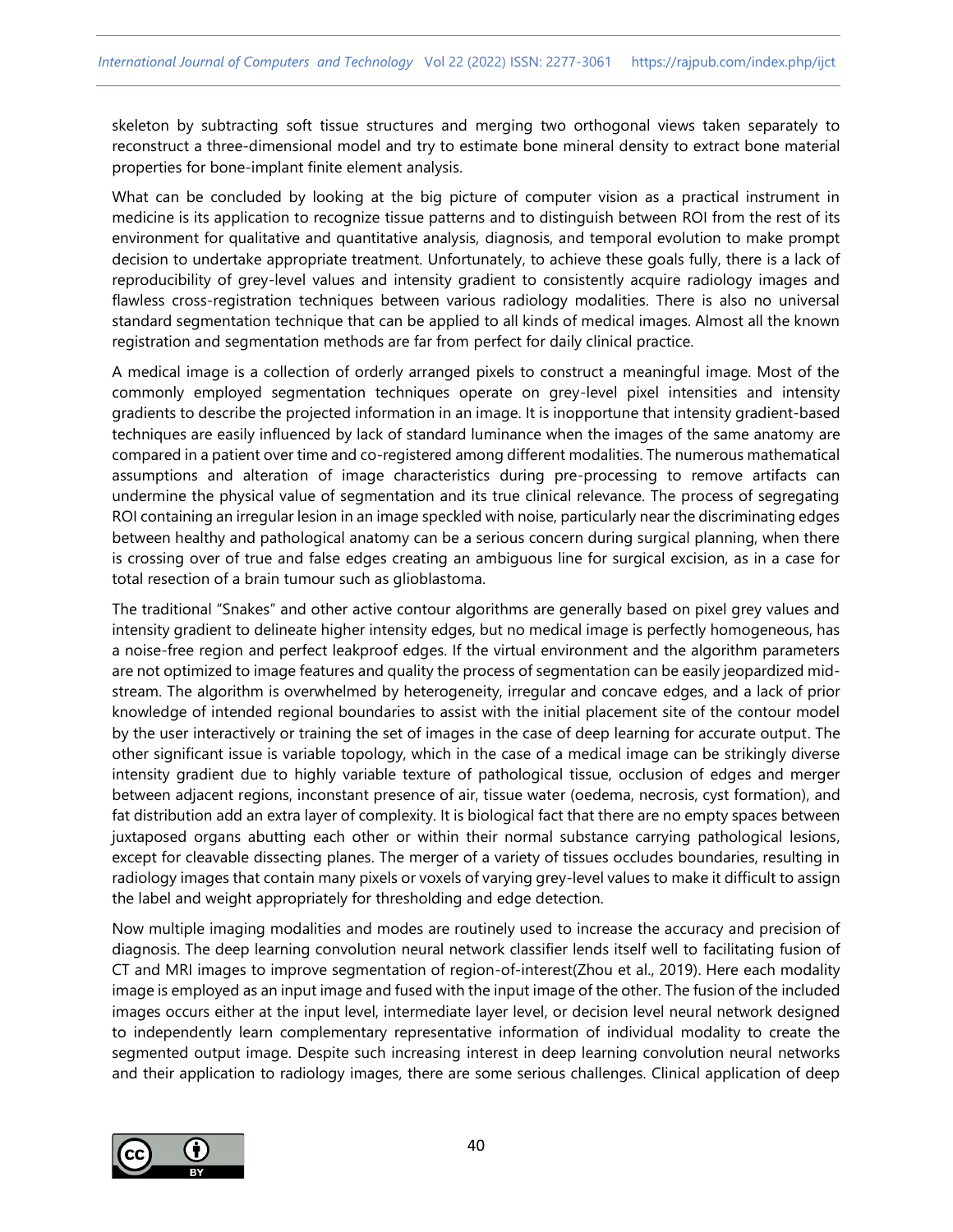skeleton by subtracting soft tissue structures and merging two orthogonal views taken separately to reconstruct a three-dimensional model and try to estimate bone mineral density to extract bone material properties for bone-implant finite element analysis.

What can be concluded by looking at the big picture of computer vision as a practical instrument in medicine is its application to recognize tissue patterns and to distinguish between ROI from the rest of its environment for qualitative and quantitative analysis, diagnosis, and temporal evolution to make prompt decision to undertake appropriate treatment. Unfortunately, to achieve these goals fully, there is a lack of reproducibility of grey-level values and intensity gradient to consistently acquire radiology images and flawless cross-registration techniques between various radiology modalities. There is also no universal standard segmentation technique that can be applied to all kinds of medical images. Almost all the known registration and segmentation methods are far from perfect for daily clinical practice.

A medical image is a collection of orderly arranged pixels to construct a meaningful image. Most of the commonly employed segmentation techniques operate on grey-level pixel intensities and intensity gradients to describe the projected information in an image. It is inopportune that intensity gradient-based techniques are easily influenced by lack of standard luminance when the images of the same anatomy are compared in a patient over time and co-registered among different modalities. The numerous mathematical assumptions and alteration of image characteristics during pre-processing to remove artifacts can undermine the physical value of segmentation and its true clinical relevance. The process of segregating ROI containing an irregular lesion in an image speckled with noise, particularly near the discriminating edges between healthy and pathological anatomy can be a serious concern during surgical planning, when there is crossing over of true and false edges creating an ambiguous line for surgical excision, as in a case for total resection of a brain tumour such as glioblastoma.

The traditional "Snakes" and other active contour algorithms are generally based on pixel grey values and intensity gradient to delineate higher intensity edges, but no medical image is perfectly homogeneous, has a noise-free region and perfect leakproof edges. If the virtual environment and the algorithm parameters are not optimized to image features and quality the process of segmentation can be easily jeopardized midstream. The algorithm is overwhelmed by heterogeneity, irregular and concave edges, and a lack of prior knowledge of intended regional boundaries to assist with the initial placement site of the contour model by the user interactively or training the set of images in the case of deep learning for accurate output. The other significant issue is variable topology, which in the case of a medical image can be strikingly diverse intensity gradient due to highly variable texture of pathological tissue, occlusion of edges and merger between adjacent regions, inconstant presence of air, tissue water (oedema, necrosis, cyst formation), and fat distribution add an extra layer of complexity. It is biological fact that there are no empty spaces between juxtaposed organs abutting each other or within their normal substance carrying pathological lesions, except for cleavable dissecting planes. The merger of a variety of tissues occludes boundaries, resulting in radiology images that contain many pixels or voxels of varying grey-level values to make it difficult to assign the label and weight appropriately for thresholding and edge detection.

Now multiple imaging modalities and modes are routinely used to increase the accuracy and precision of diagnosis. The deep learning convolution neural network classifier lends itself well to facilitating fusion of CT and MRI images to improve segmentation of region-of-interest(Zhou et al., 2019). Here each modality image is employed as an input image and fused with the input image of the other. The fusion of the included images occurs either at the input level, intermediate layer level, or decision level neural network designed to independently learn complementary representative information of individual modality to create the segmented output image. Despite such increasing interest in deep learning convolution neural networks and their application to radiology images, there are some serious challenges. Clinical application of deep

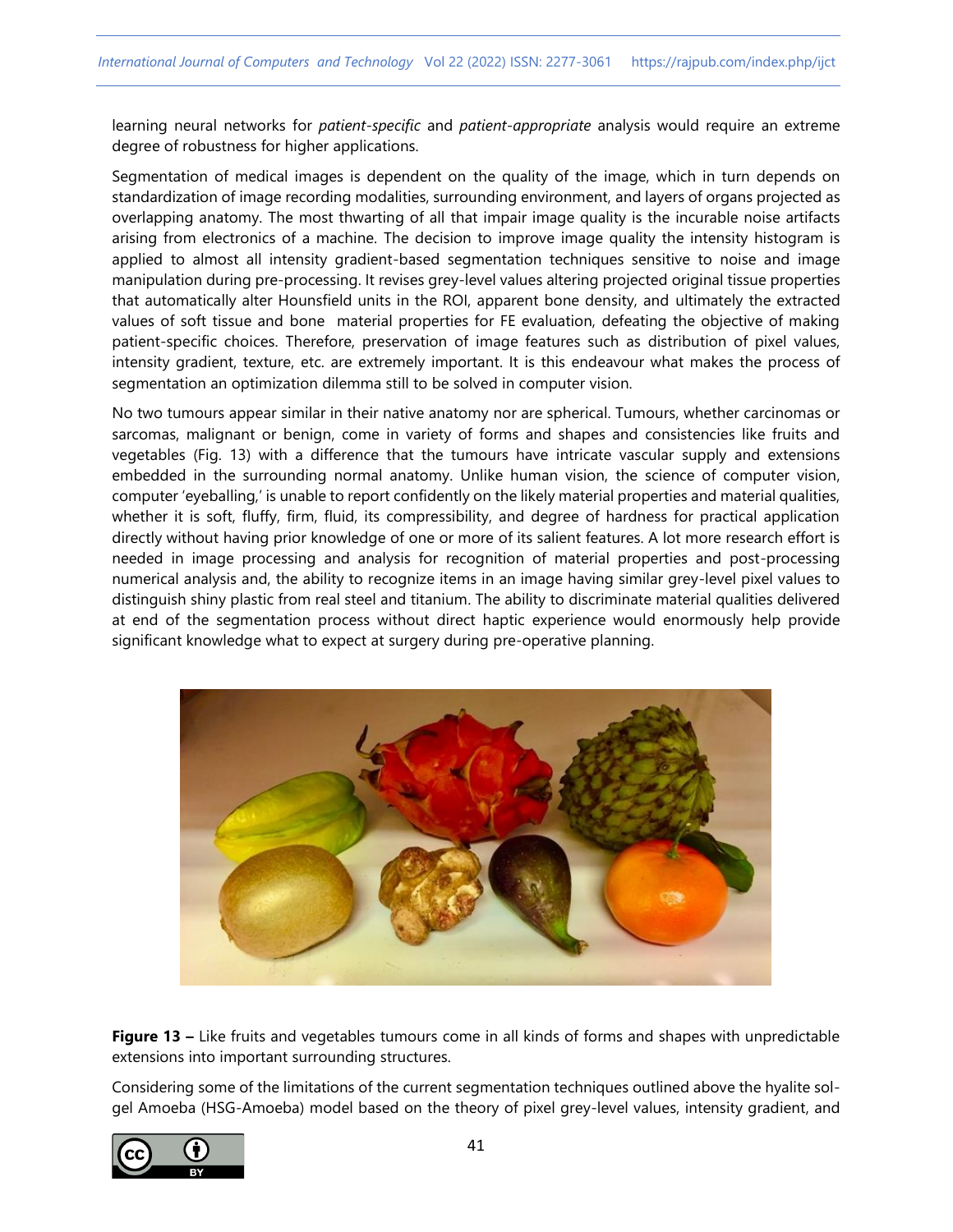learning neural networks for *patient-specific* and *patient-appropriate* analysis would require an extreme degree of robustness for higher applications.

Segmentation of medical images is dependent on the quality of the image, which in turn depends on standardization of image recording modalities, surrounding environment, and layers of organs projected as overlapping anatomy. The most thwarting of all that impair image quality is the incurable noise artifacts arising from electronics of a machine. The decision to improve image quality the intensity histogram is applied to almost all intensity gradient-based segmentation techniques sensitive to noise and image manipulation during pre-processing. It revises grey-level values altering projected original tissue properties that automatically alter Hounsfield units in the ROI, apparent bone density, and ultimately the extracted values of soft tissue and bone material properties for FE evaluation, defeating the objective of making patient-specific choices. Therefore, preservation of image features such as distribution of pixel values, intensity gradient, texture, etc. are extremely important. It is this endeavour what makes the process of segmentation an optimization dilemma still to be solved in computer vision.

No two tumours appear similar in their native anatomy nor are spherical. Tumours, whether carcinomas or sarcomas, malignant or benign, come in variety of forms and shapes and consistencies like fruits and vegetables (Fig. 13) with a difference that the tumours have intricate vascular supply and extensions embedded in the surrounding normal anatomy. Unlike human vision, the science of computer vision, computer 'eyeballing,' is unable to report confidently on the likely material properties and material qualities, whether it is soft, fluffy, firm, fluid, its compressibility, and degree of hardness for practical application directly without having prior knowledge of one or more of its salient features. A lot more research effort is needed in image processing and analysis for recognition of material properties and post-processing numerical analysis and, the ability to recognize items in an image having similar grey-level pixel values to distinguish shiny plastic from real steel and titanium. The ability to discriminate material qualities delivered at end of the segmentation process without direct haptic experience would enormously help provide significant knowledge what to expect at surgery during pre-operative planning.



**Figure 13 –** Like fruits and vegetables tumours come in all kinds of forms and shapes with unpredictable extensions into important surrounding structures.

Considering some of the limitations of the current segmentation techniques outlined above the hyalite solgel Amoeba (HSG-Amoeba) model based on the theory of pixel grey-level values, intensity gradient, and

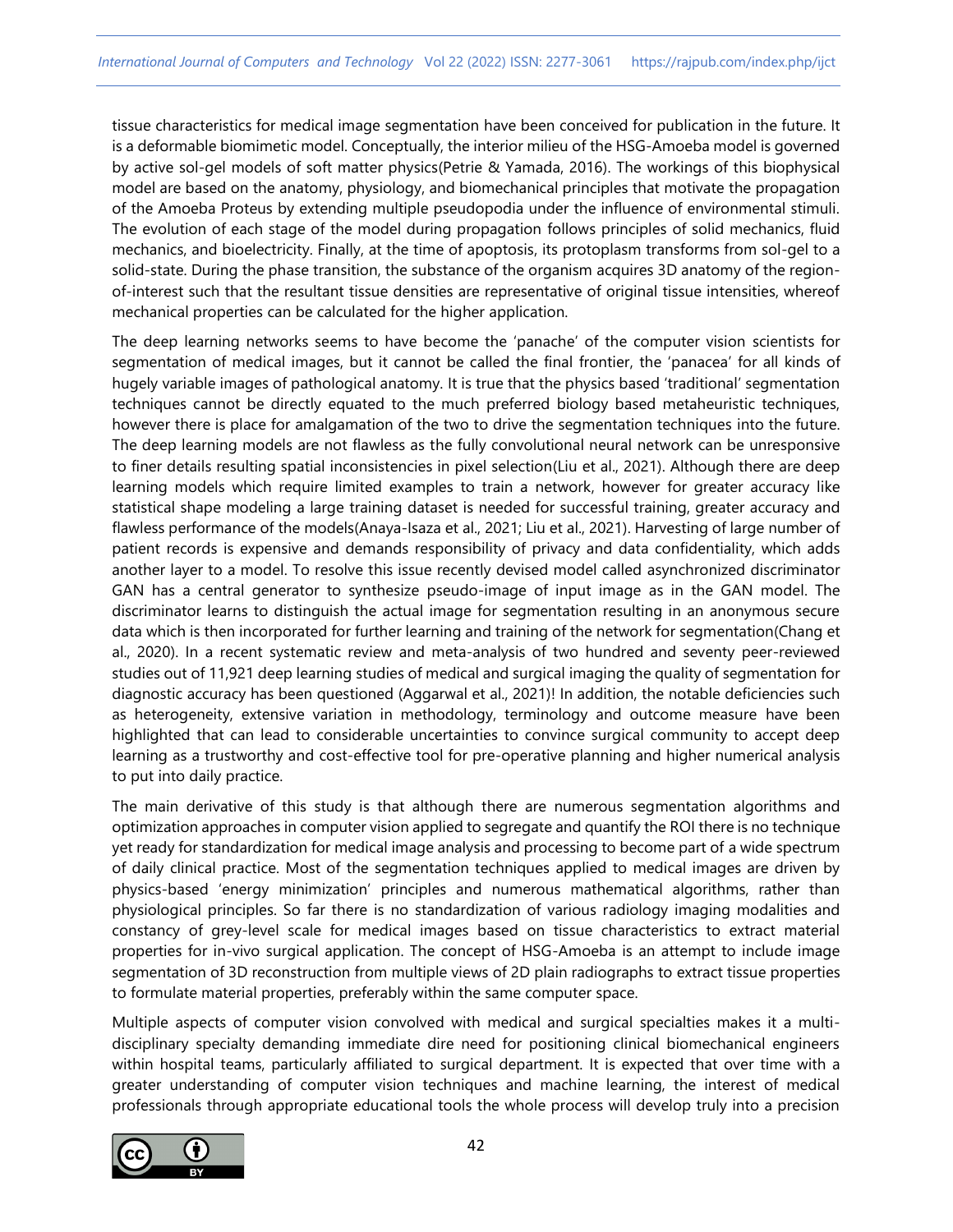tissue characteristics for medical image segmentation have been conceived for publication in the future. It is a deformable biomimetic model. Conceptually, the interior milieu of the HSG-Amoeba model is governed by active sol-gel models of soft matter physics(Petrie & Yamada, 2016). The workings of this biophysical model are based on the anatomy, physiology, and biomechanical principles that motivate the propagation of the Amoeba Proteus by extending multiple pseudopodia under the influence of environmental stimuli. The evolution of each stage of the model during propagation follows principles of solid mechanics, fluid mechanics, and bioelectricity. Finally, at the time of apoptosis, its protoplasm transforms from sol-gel to a solid-state. During the phase transition, the substance of the organism acquires 3D anatomy of the regionof-interest such that the resultant tissue densities are representative of original tissue intensities, whereof mechanical properties can be calculated for the higher application.

The deep learning networks seems to have become the 'panache' of the computer vision scientists for segmentation of medical images, but it cannot be called the final frontier, the 'panacea' for all kinds of hugely variable images of pathological anatomy. It is true that the physics based 'traditional' segmentation techniques cannot be directly equated to the much preferred biology based metaheuristic techniques, however there is place for amalgamation of the two to drive the segmentation techniques into the future. The deep learning models are not flawless as the fully convolutional neural network can be unresponsive to finer details resulting spatial inconsistencies in pixel selection(Liu et al., 2021). Although there are deep learning models which require limited examples to train a network, however for greater accuracy like statistical shape modeling a large training dataset is needed for successful training, greater accuracy and flawless performance of the models(Anaya-Isaza et al., 2021; Liu et al., 2021). Harvesting of large number of patient records is expensive and demands responsibility of privacy and data confidentiality, which adds another layer to a model. To resolve this issue recently devised model called asynchronized discriminator GAN has a central generator to synthesize pseudo-image of input image as in the GAN model. The discriminator learns to distinguish the actual image for segmentation resulting in an anonymous secure data which is then incorporated for further learning and training of the network for segmentation(Chang et al., 2020). In a recent systematic review and meta-analysis of two hundred and seventy peer-reviewed studies out of 11,921 deep learning studies of medical and surgical imaging the quality of segmentation for diagnostic accuracy has been questioned (Aggarwal et al., 2021)! In addition, the notable deficiencies such as heterogeneity, extensive variation in methodology, terminology and outcome measure have been highlighted that can lead to considerable uncertainties to convince surgical community to accept deep learning as a trustworthy and cost-effective tool for pre-operative planning and higher numerical analysis to put into daily practice.

The main derivative of this study is that although there are numerous segmentation algorithms and optimization approaches in computer vision applied to segregate and quantify the ROI there is no technique yet ready for standardization for medical image analysis and processing to become part of a wide spectrum of daily clinical practice. Most of the segmentation techniques applied to medical images are driven by physics-based 'energy minimization' principles and numerous mathematical algorithms, rather than physiological principles. So far there is no standardization of various radiology imaging modalities and constancy of grey-level scale for medical images based on tissue characteristics to extract material properties for in-vivo surgical application. The concept of HSG-Amoeba is an attempt to include image segmentation of 3D reconstruction from multiple views of 2D plain radiographs to extract tissue properties to formulate material properties, preferably within the same computer space.

Multiple aspects of computer vision convolved with medical and surgical specialties makes it a multidisciplinary specialty demanding immediate dire need for positioning clinical biomechanical engineers within hospital teams, particularly affiliated to surgical department. It is expected that over time with a greater understanding of computer vision techniques and machine learning, the interest of medical professionals through appropriate educational tools the whole process will develop truly into a precision

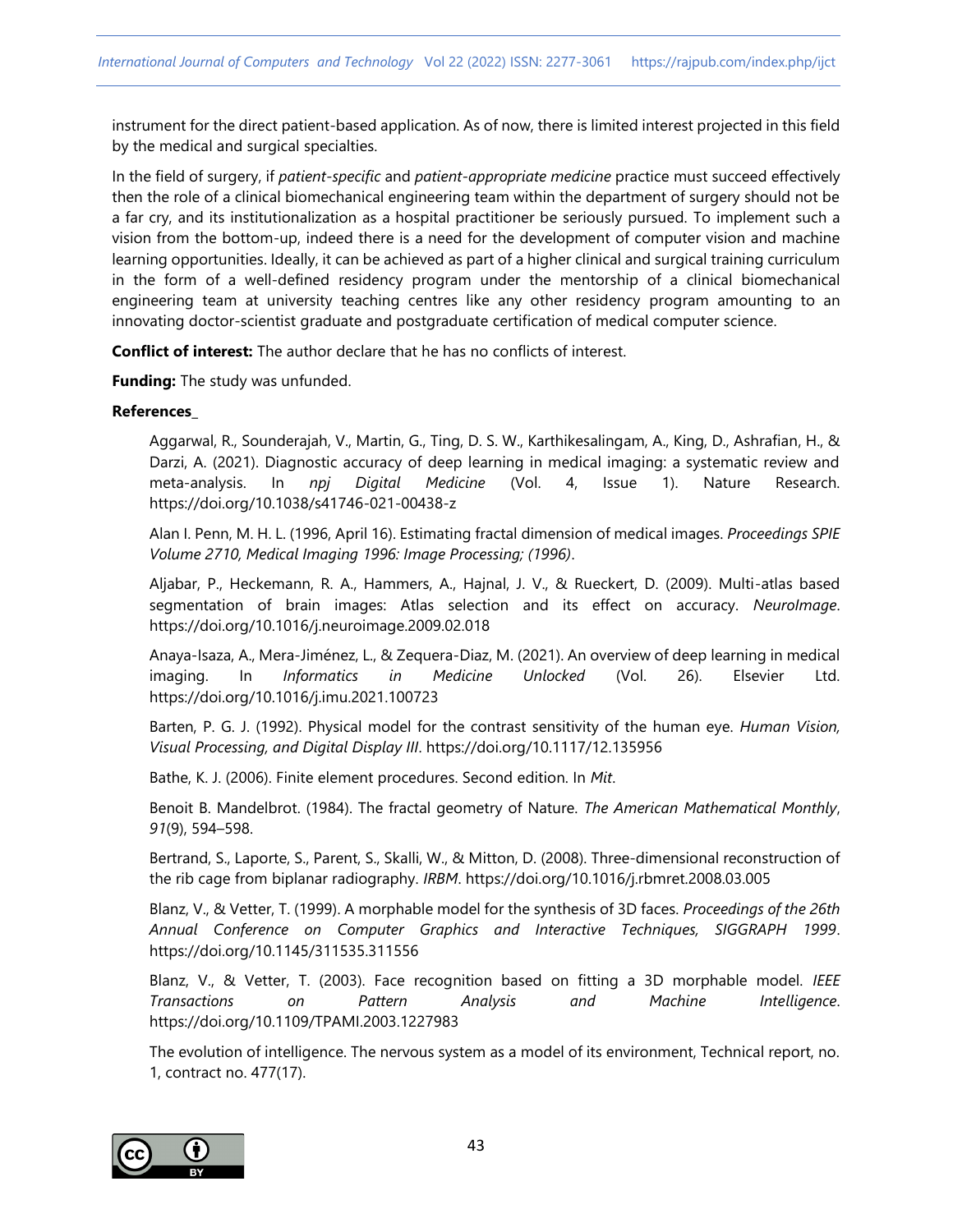instrument for the direct patient-based application. As of now, there is limited interest projected in this field by the medical and surgical specialties.

In the field of surgery, if *patient-specific* and *patient-appropriate medicine* practice must succeed effectively then the role of a clinical biomechanical engineering team within the department of surgery should not be a far cry, and its institutionalization as a hospital practitioner be seriously pursued. To implement such a vision from the bottom-up, indeed there is a need for the development of computer vision and machine learning opportunities. Ideally, it can be achieved as part of a higher clinical and surgical training curriculum in the form of a well-defined residency program under the mentorship of a clinical biomechanical engineering team at university teaching centres like any other residency program amounting to an innovating doctor-scientist graduate and postgraduate certification of medical computer science.

**Conflict of interest:** The author declare that he has no conflicts of interest.

**Funding:** The study was unfunded.

#### **References\_**

Aggarwal, R., Sounderajah, V., Martin, G., Ting, D. S. W., Karthikesalingam, A., King, D., Ashrafian, H., & Darzi, A. (2021). Diagnostic accuracy of deep learning in medical imaging: a systematic review and meta-analysis. In *npj Digital Medicine* (Vol. 4, Issue 1). Nature Research. https://doi.org/10.1038/s41746-021-00438-z

Alan I. Penn, M. H. L. (1996, April 16). Estimating fractal dimension of medical images. *Proceedings SPIE Volume 2710, Medical Imaging 1996: Image Processing; (1996)*.

Aljabar, P., Heckemann, R. A., Hammers, A., Hajnal, J. V., & Rueckert, D. (2009). Multi-atlas based segmentation of brain images: Atlas selection and its effect on accuracy. *NeuroImage*. https://doi.org/10.1016/j.neuroimage.2009.02.018

Anaya-Isaza, A., Mera-Jiménez, L., & Zequera-Diaz, M. (2021). An overview of deep learning in medical imaging. In *Informatics in Medicine Unlocked* (Vol. 26). Elsevier Ltd. https://doi.org/10.1016/j.imu.2021.100723

Barten, P. G. J. (1992). Physical model for the contrast sensitivity of the human eye. *Human Vision, Visual Processing, and Digital Display III*. https://doi.org/10.1117/12.135956

Bathe, K. J. (2006). Finite element procedures. Second edition. In *Mit*.

Benoit B. Mandelbrot. (1984). The fractal geometry of Nature. *The American Mathematical Monthly*, *91*(9), 594–598.

Bertrand, S., Laporte, S., Parent, S., Skalli, W., & Mitton, D. (2008). Three-dimensional reconstruction of the rib cage from biplanar radiography. *IRBM*. https://doi.org/10.1016/j.rbmret.2008.03.005

Blanz, V., & Vetter, T. (1999). A morphable model for the synthesis of 3D faces. *Proceedings of the 26th Annual Conference on Computer Graphics and Interactive Techniques, SIGGRAPH 1999*. https://doi.org/10.1145/311535.311556

Blanz, V., & Vetter, T. (2003). Face recognition based on fitting a 3D morphable model. *IEEE Transactions on Pattern Analysis and Machine Intelligence*. https://doi.org/10.1109/TPAMI.2003.1227983

The evolution of intelligence. The nervous system as a model of its environment, Technical report, no. 1, contract no. 477(17).

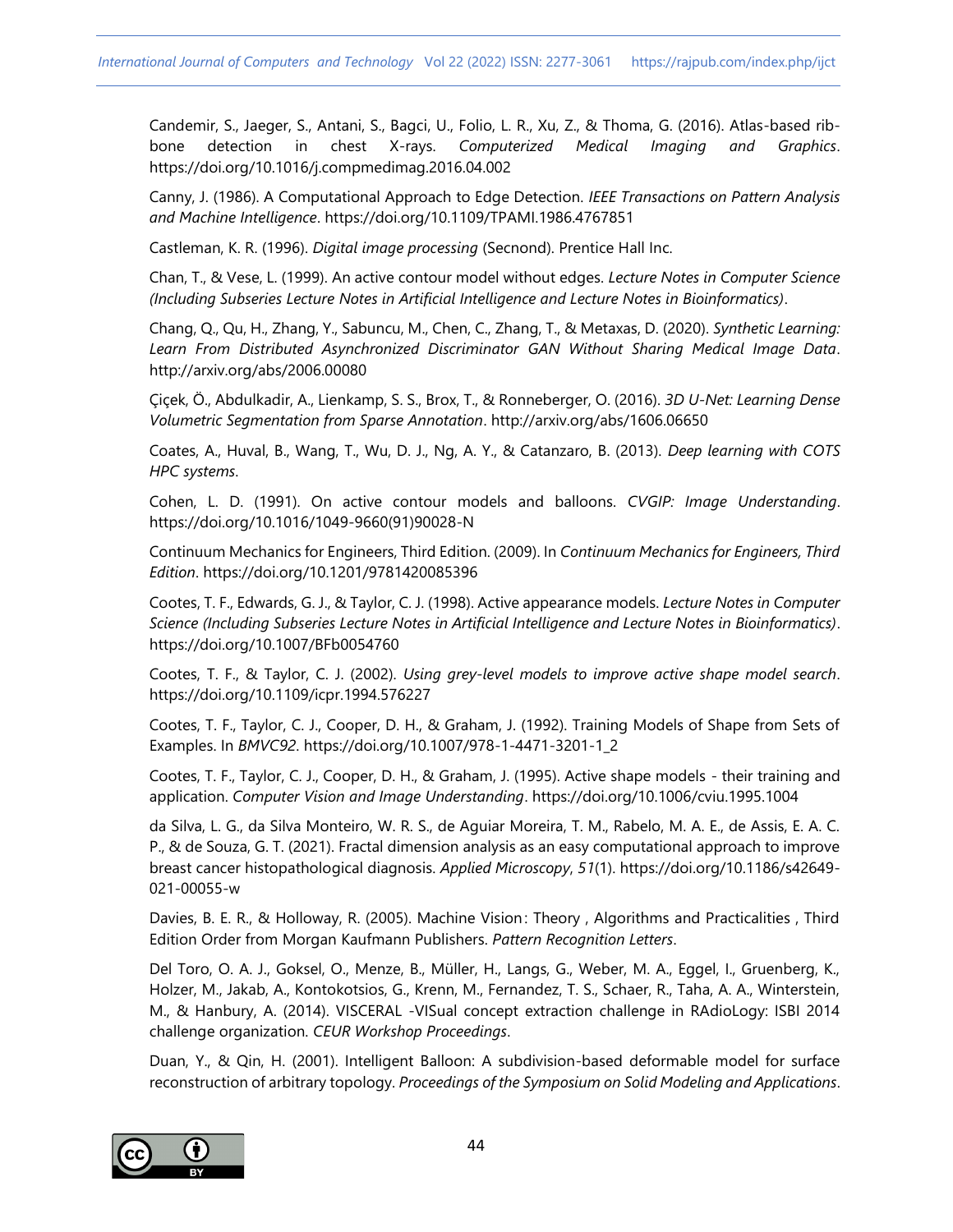Candemir, S., Jaeger, S., Antani, S., Bagci, U., Folio, L. R., Xu, Z., & Thoma, G. (2016). Atlas-based ribbone detection in chest X-rays. *Computerized Medical Imaging and Graphics*. https://doi.org/10.1016/j.compmedimag.2016.04.002

Canny, J. (1986). A Computational Approach to Edge Detection. *IEEE Transactions on Pattern Analysis and Machine Intelligence*. https://doi.org/10.1109/TPAMI.1986.4767851

Castleman, K. R. (1996). *Digital image processing* (Secnond). Prentice Hall Inc.

Chan, T., & Vese, L. (1999). An active contour model without edges. *Lecture Notes in Computer Science (Including Subseries Lecture Notes in Artificial Intelligence and Lecture Notes in Bioinformatics)*.

Chang, Q., Qu, H., Zhang, Y., Sabuncu, M., Chen, C., Zhang, T., & Metaxas, D. (2020). *Synthetic Learning: Learn From Distributed Asynchronized Discriminator GAN Without Sharing Medical Image Data*. http://arxiv.org/abs/2006.00080

Çiçek, Ö., Abdulkadir, A., Lienkamp, S. S., Brox, T., & Ronneberger, O. (2016). *3D U-Net: Learning Dense Volumetric Segmentation from Sparse Annotation*. http://arxiv.org/abs/1606.06650

Coates, A., Huval, B., Wang, T., Wu, D. J., Ng, A. Y., & Catanzaro, B. (2013). *Deep learning with COTS HPC systems*.

Cohen, L. D. (1991). On active contour models and balloons. *CVGIP: Image Understanding*. https://doi.org/10.1016/1049-9660(91)90028-N

Continuum Mechanics for Engineers, Third Edition. (2009). In *Continuum Mechanics for Engineers, Third Edition*. https://doi.org/10.1201/9781420085396

Cootes, T. F., Edwards, G. J., & Taylor, C. J. (1998). Active appearance models. *Lecture Notes in Computer Science (Including Subseries Lecture Notes in Artificial Intelligence and Lecture Notes in Bioinformatics)*. https://doi.org/10.1007/BFb0054760

Cootes, T. F., & Taylor, C. J. (2002). *Using grey-level models to improve active shape model search*. https://doi.org/10.1109/icpr.1994.576227

Cootes, T. F., Taylor, C. J., Cooper, D. H., & Graham, J. (1992). Training Models of Shape from Sets of Examples. In *BMVC92*. https://doi.org/10.1007/978-1-4471-3201-1\_2

Cootes, T. F., Taylor, C. J., Cooper, D. H., & Graham, J. (1995). Active shape models - their training and application. *Computer Vision and Image Understanding*. https://doi.org/10.1006/cviu.1995.1004

da Silva, L. G., da Silva Monteiro, W. R. S., de Aguiar Moreira, T. M., Rabelo, M. A. E., de Assis, E. A. C. P., & de Souza, G. T. (2021). Fractal dimension analysis as an easy computational approach to improve breast cancer histopathological diagnosis. *Applied Microscopy*, *51*(1). https://doi.org/10.1186/s42649- 021-00055-w

Davies, B. E. R., & Holloway, R. (2005). Machine Vision : Theory , Algorithms and Practicalities , Third Edition Order from Morgan Kaufmann Publishers. *Pattern Recognition Letters*.

Del Toro, O. A. J., Goksel, O., Menze, B., Müller, H., Langs, G., Weber, M. A., Eggel, I., Gruenberg, K., Holzer, M., Jakab, A., Kontokotsios, G., Krenn, M., Fernandez, T. S., Schaer, R., Taha, A. A., Winterstein, M., & Hanbury, A. (2014). VISCERAL -VISual concept extraction challenge in RAdioLogy: ISBI 2014 challenge organization. *CEUR Workshop Proceedings*.

Duan, Y., & Qin, H. (2001). Intelligent Balloon: A subdivision-based deformable model for surface reconstruction of arbitrary topology. *Proceedings of the Symposium on Solid Modeling and Applications*.

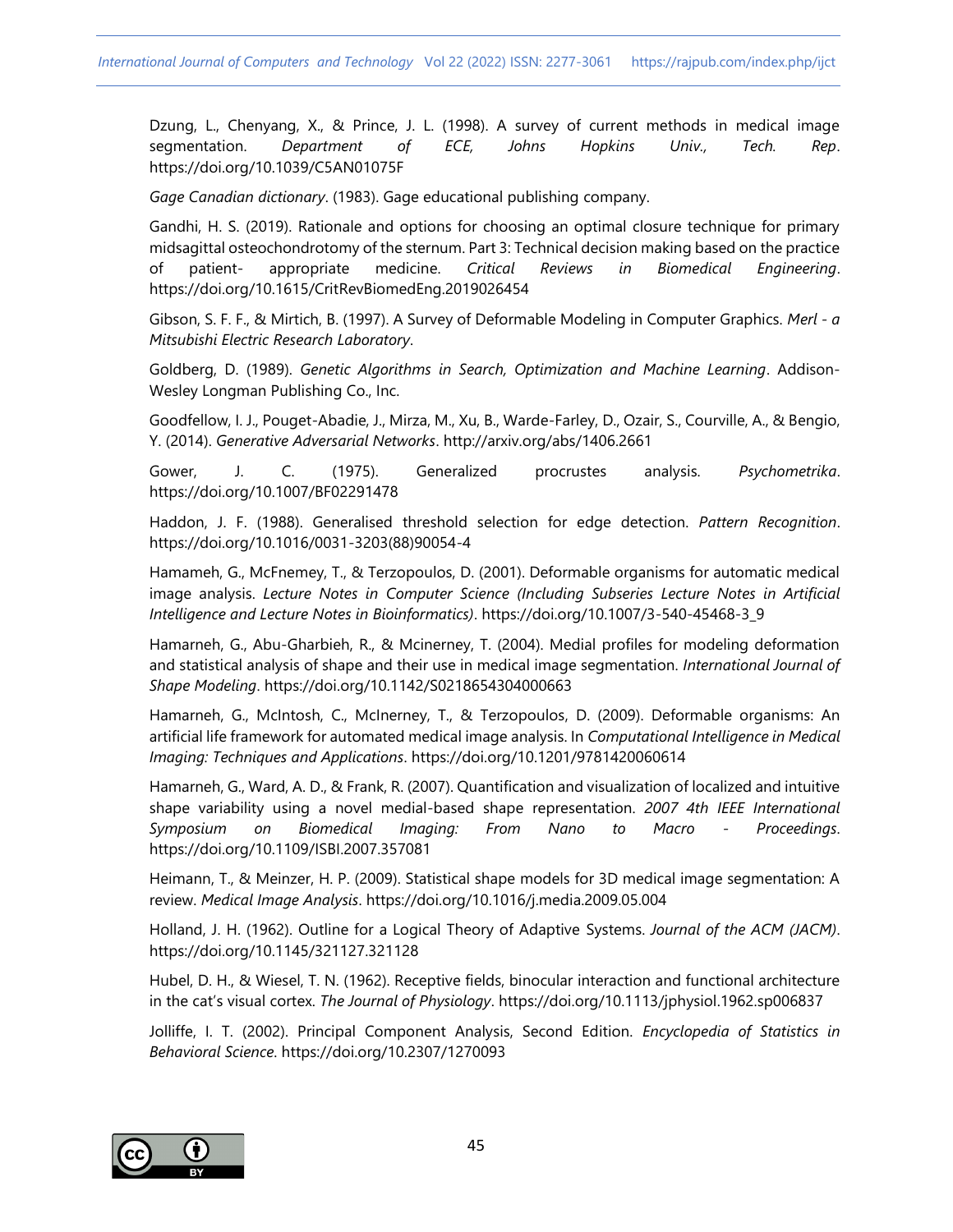Dzung, L., Chenyang, X., & Prince, J. L. (1998). A survey of current methods in medical image segmentation. *Department of ECE, Johns Hopkins Univ., Tech. Rep*. https://doi.org/10.1039/C5AN01075F

*Gage Canadian dictionary*. (1983). Gage educational publishing company.

Gandhi, H. S. (2019). Rationale and options for choosing an optimal closure technique for primary midsagittal osteochondrotomy of the sternum. Part 3: Technical decision making based on the practice of patient- appropriate medicine. *Critical Reviews in Biomedical Engineering*. https://doi.org/10.1615/CritRevBiomedEng.2019026454

Gibson, S. F. F., & Mirtich, B. (1997). A Survey of Deformable Modeling in Computer Graphics. *Merl - a Mitsubishi Electric Research Laboratory*.

Goldberg, D. (1989). *Genetic Algorithms in Search, Optimization and Machine Learning*. Addison-Wesley Longman Publishing Co., Inc.

Goodfellow, I. J., Pouget-Abadie, J., Mirza, M., Xu, B., Warde-Farley, D., Ozair, S., Courville, A., & Bengio, Y. (2014). *Generative Adversarial Networks*. http://arxiv.org/abs/1406.2661

Gower, J. C. (1975). Generalized procrustes analysis. *Psychometrika*. https://doi.org/10.1007/BF02291478

Haddon, J. F. (1988). Generalised threshold selection for edge detection. *Pattern Recognition*. https://doi.org/10.1016/0031-3203(88)90054-4

Hamameh, G., McFnemey, T., & Terzopoulos, D. (2001). Deformable organisms for automatic medical image analysis. *Lecture Notes in Computer Science (Including Subseries Lecture Notes in Artificial Intelligence and Lecture Notes in Bioinformatics)*. https://doi.org/10.1007/3-540-45468-3\_9

Hamarneh, G., Abu-Gharbieh, R., & Mcinerney, T. (2004). Medial profiles for modeling deformation and statistical analysis of shape and their use in medical image segmentation. *International Journal of Shape Modeling*. https://doi.org/10.1142/S0218654304000663

Hamarneh, G., McIntosh, C., McInerney, T., & Terzopoulos, D. (2009). Deformable organisms: An artificial life framework for automated medical image analysis. In *Computational Intelligence in Medical Imaging: Techniques and Applications*. https://doi.org/10.1201/9781420060614

Hamarneh, G., Ward, A. D., & Frank, R. (2007). Quantification and visualization of localized and intuitive shape variability using a novel medial-based shape representation. *2007 4th IEEE International Symposium on Biomedical Imaging: From Nano to Macro - Proceedings*. https://doi.org/10.1109/ISBI.2007.357081

Heimann, T., & Meinzer, H. P. (2009). Statistical shape models for 3D medical image segmentation: A review. *Medical Image Analysis*. https://doi.org/10.1016/j.media.2009.05.004

Holland, J. H. (1962). Outline for a Logical Theory of Adaptive Systems. *Journal of the ACM (JACM)*. https://doi.org/10.1145/321127.321128

Hubel, D. H., & Wiesel, T. N. (1962). Receptive fields, binocular interaction and functional architecture in the cat's visual cortex. *The Journal of Physiology*. https://doi.org/10.1113/jphysiol.1962.sp006837

Jolliffe, I. T. (2002). Principal Component Analysis, Second Edition. *Encyclopedia of Statistics in Behavioral Science*. https://doi.org/10.2307/1270093

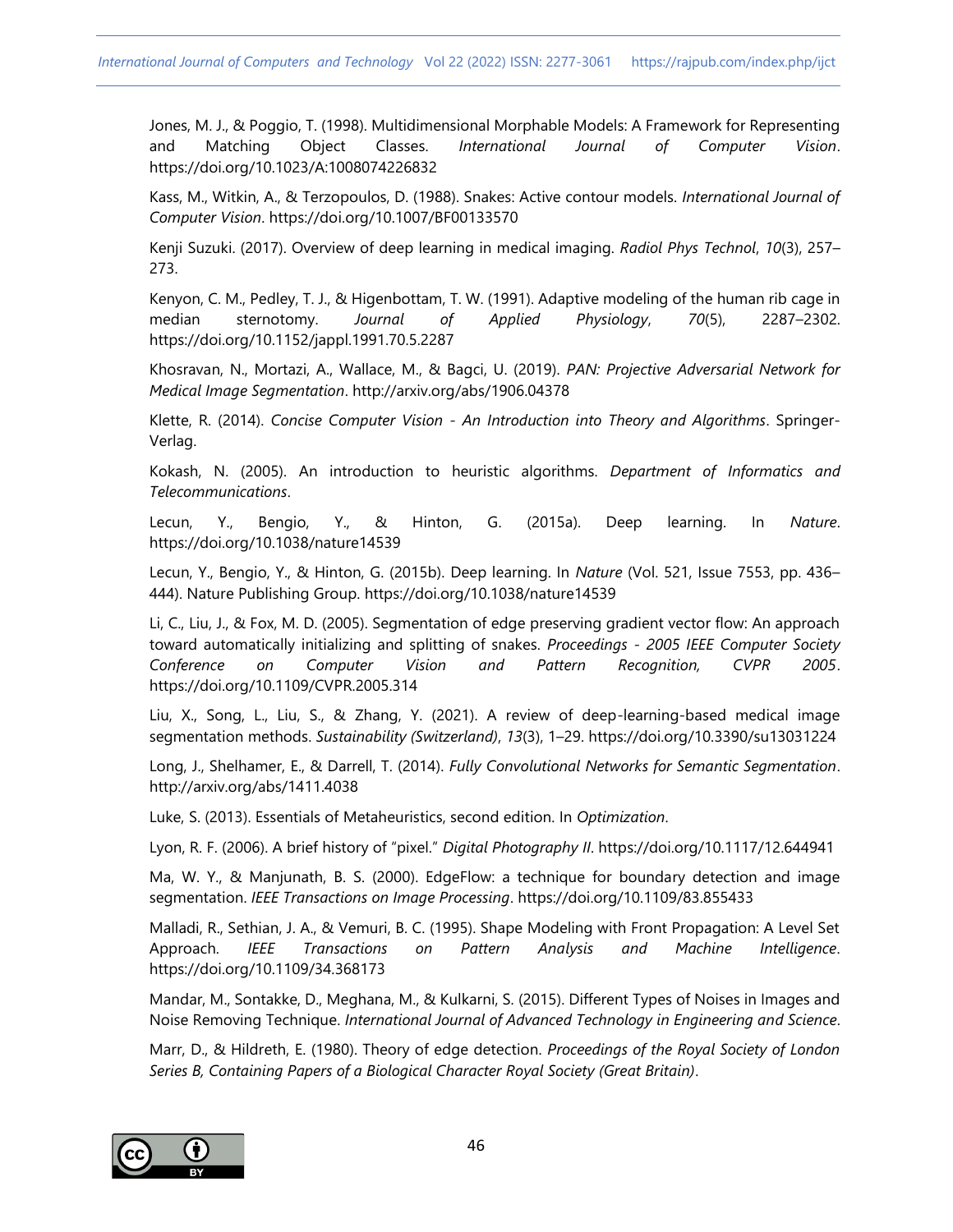Jones, M. J., & Poggio, T. (1998). Multidimensional Morphable Models: A Framework for Representing and Matching Object Classes. *International Journal of Computer Vision*. https://doi.org/10.1023/A:1008074226832

Kass, M., Witkin, A., & Terzopoulos, D. (1988). Snakes: Active contour models. *International Journal of Computer Vision*. https://doi.org/10.1007/BF00133570

Kenji Suzuki. (2017). Overview of deep learning in medical imaging. *Radiol Phys Technol*, *10*(3), 257– 273.

Kenyon, C. M., Pedley, T. J., & Higenbottam, T. W. (1991). Adaptive modeling of the human rib cage in median sternotomy. *Journal of Applied Physiology*, *70*(5), 2287–2302. https://doi.org/10.1152/jappl.1991.70.5.2287

Khosravan, N., Mortazi, A., Wallace, M., & Bagci, U. (2019). *PAN: Projective Adversarial Network for Medical Image Segmentation*. http://arxiv.org/abs/1906.04378

Klette, R. (2014). *Concise Computer Vision - An Introduction into Theory and Algorithms*. Springer-Verlag.

Kokash, N. (2005). An introduction to heuristic algorithms. *Department of Informatics and Telecommunications*.

Lecun, Y., Bengio, Y., & Hinton, G. (2015a). Deep learning. In *Nature*. https://doi.org/10.1038/nature14539

Lecun, Y., Bengio, Y., & Hinton, G. (2015b). Deep learning. In *Nature* (Vol. 521, Issue 7553, pp. 436– 444). Nature Publishing Group. https://doi.org/10.1038/nature14539

Li, C., Liu, J., & Fox, M. D. (2005). Segmentation of edge preserving gradient vector flow: An approach toward automatically initializing and splitting of snakes. *Proceedings - 2005 IEEE Computer Society Conference on Computer Vision and Pattern Recognition, CVPR 2005*. https://doi.org/10.1109/CVPR.2005.314

Liu, X., Song, L., Liu, S., & Zhang, Y. (2021). A review of deep-learning-based medical image segmentation methods. *Sustainability (Switzerland)*, *13*(3), 1–29. https://doi.org/10.3390/su13031224

Long, J., Shelhamer, E., & Darrell, T. (2014). *Fully Convolutional Networks for Semantic Segmentation*. http://arxiv.org/abs/1411.4038

Luke, S. (2013). Essentials of Metaheuristics, second edition. In *Optimization*.

Lyon, R. F. (2006). A brief history of "pixel." *Digital Photography II*. https://doi.org/10.1117/12.644941

Ma, W. Y., & Manjunath, B. S. (2000). EdgeFlow: a technique for boundary detection and image segmentation. *IEEE Transactions on Image Processing*. https://doi.org/10.1109/83.855433

Malladi, R., Sethian, J. A., & Vemuri, B. C. (1995). Shape Modeling with Front Propagation: A Level Set Approach. *IEEE Transactions on Pattern Analysis and Machine Intelligence*. https://doi.org/10.1109/34.368173

Mandar, M., Sontakke, D., Meghana, M., & Kulkarni, S. (2015). Different Types of Noises in Images and Noise Removing Technique. *International Journal of Advanced Technology in Engineering and Science*.

Marr, D., & Hildreth, E. (1980). Theory of edge detection. *Proceedings of the Royal Society of London Series B, Containing Papers of a Biological Character Royal Society (Great Britain)*.

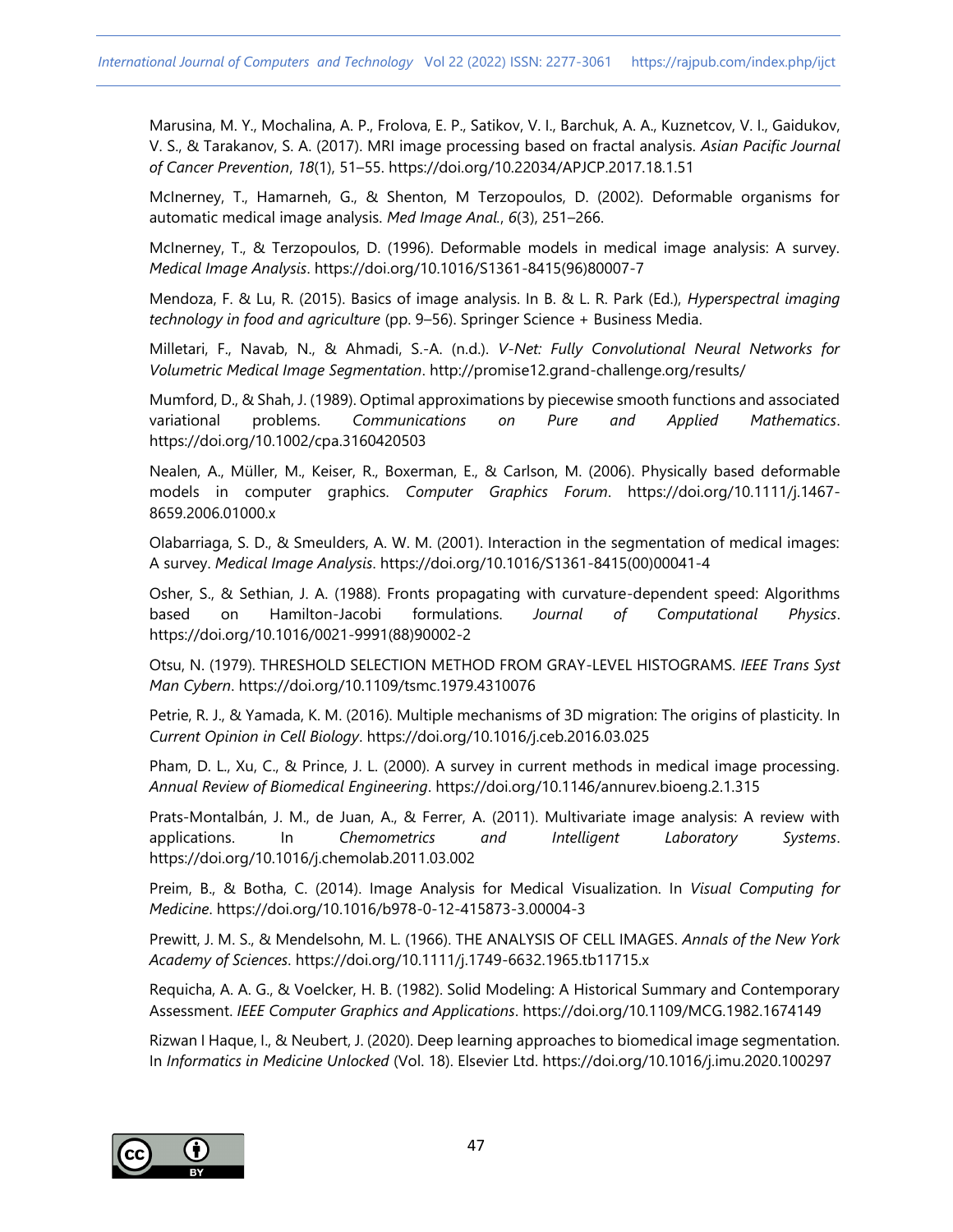Marusina, M. Y., Mochalina, A. P., Frolova, E. P., Satikov, V. I., Barchuk, A. A., Kuznetcov, V. I., Gaidukov, V. S., & Tarakanov, S. A. (2017). MRI image processing based on fractal analysis. *Asian Pacific Journal of Cancer Prevention*, *18*(1), 51–55. https://doi.org/10.22034/APJCP.2017.18.1.51

McInerney, T., Hamarneh, G., & Shenton, M Terzopoulos, D. (2002). Deformable organisms for automatic medical image analysis. *Med Image Anal.*, *6*(3), 251–266.

McInerney, T., & Terzopoulos, D. (1996). Deformable models in medical image analysis: A survey. *Medical Image Analysis*. https://doi.org/10.1016/S1361-8415(96)80007-7

Mendoza, F. & Lu, R. (2015). Basics of image analysis. In B. & L. R. Park (Ed.), *Hyperspectral imaging technology in food and agriculture* (pp. 9–56). Springer Science + Business Media.

Milletari, F., Navab, N., & Ahmadi, S.-A. (n.d.). *V-Net: Fully Convolutional Neural Networks for Volumetric Medical Image Segmentation*. http://promise12.grand-challenge.org/results/

Mumford, D., & Shah, J. (1989). Optimal approximations by piecewise smooth functions and associated variational problems. *Communications on Pure and Applied Mathematics*. https://doi.org/10.1002/cpa.3160420503

Nealen, A., Müller, M., Keiser, R., Boxerman, E., & Carlson, M. (2006). Physically based deformable models in computer graphics. *Computer Graphics Forum*. https://doi.org/10.1111/j.1467- 8659.2006.01000.x

Olabarriaga, S. D., & Smeulders, A. W. M. (2001). Interaction in the segmentation of medical images: A survey. *Medical Image Analysis*. https://doi.org/10.1016/S1361-8415(00)00041-4

Osher, S., & Sethian, J. A. (1988). Fronts propagating with curvature-dependent speed: Algorithms based on Hamilton-Jacobi formulations. *Journal of Computational Physics*. https://doi.org/10.1016/0021-9991(88)90002-2

Otsu, N. (1979). THRESHOLD SELECTION METHOD FROM GRAY-LEVEL HISTOGRAMS. *IEEE Trans Syst Man Cybern*. https://doi.org/10.1109/tsmc.1979.4310076

Petrie, R. J., & Yamada, K. M. (2016). Multiple mechanisms of 3D migration: The origins of plasticity. In *Current Opinion in Cell Biology*. https://doi.org/10.1016/j.ceb.2016.03.025

Pham, D. L., Xu, C., & Prince, J. L. (2000). A survey in current methods in medical image processing. *Annual Review of Biomedical Engineering*. https://doi.org/10.1146/annurev.bioeng.2.1.315

Prats-Montalbán, J. M., de Juan, A., & Ferrer, A. (2011). Multivariate image analysis: A review with applications. In *Chemometrics and Intelligent Laboratory Systems*. https://doi.org/10.1016/j.chemolab.2011.03.002

Preim, B., & Botha, C. (2014). Image Analysis for Medical Visualization. In *Visual Computing for Medicine*. https://doi.org/10.1016/b978-0-12-415873-3.00004-3

Prewitt, J. M. S., & Mendelsohn, M. L. (1966). THE ANALYSIS OF CELL IMAGES. *Annals of the New York Academy of Sciences*. https://doi.org/10.1111/j.1749-6632.1965.tb11715.x

Requicha, A. A. G., & Voelcker, H. B. (1982). Solid Modeling: A Historical Summary and Contemporary Assessment. *IEEE Computer Graphics and Applications*. https://doi.org/10.1109/MCG.1982.1674149

Rizwan I Haque, I., & Neubert, J. (2020). Deep learning approaches to biomedical image segmentation. In *Informatics in Medicine Unlocked* (Vol. 18). Elsevier Ltd. https://doi.org/10.1016/j.imu.2020.100297

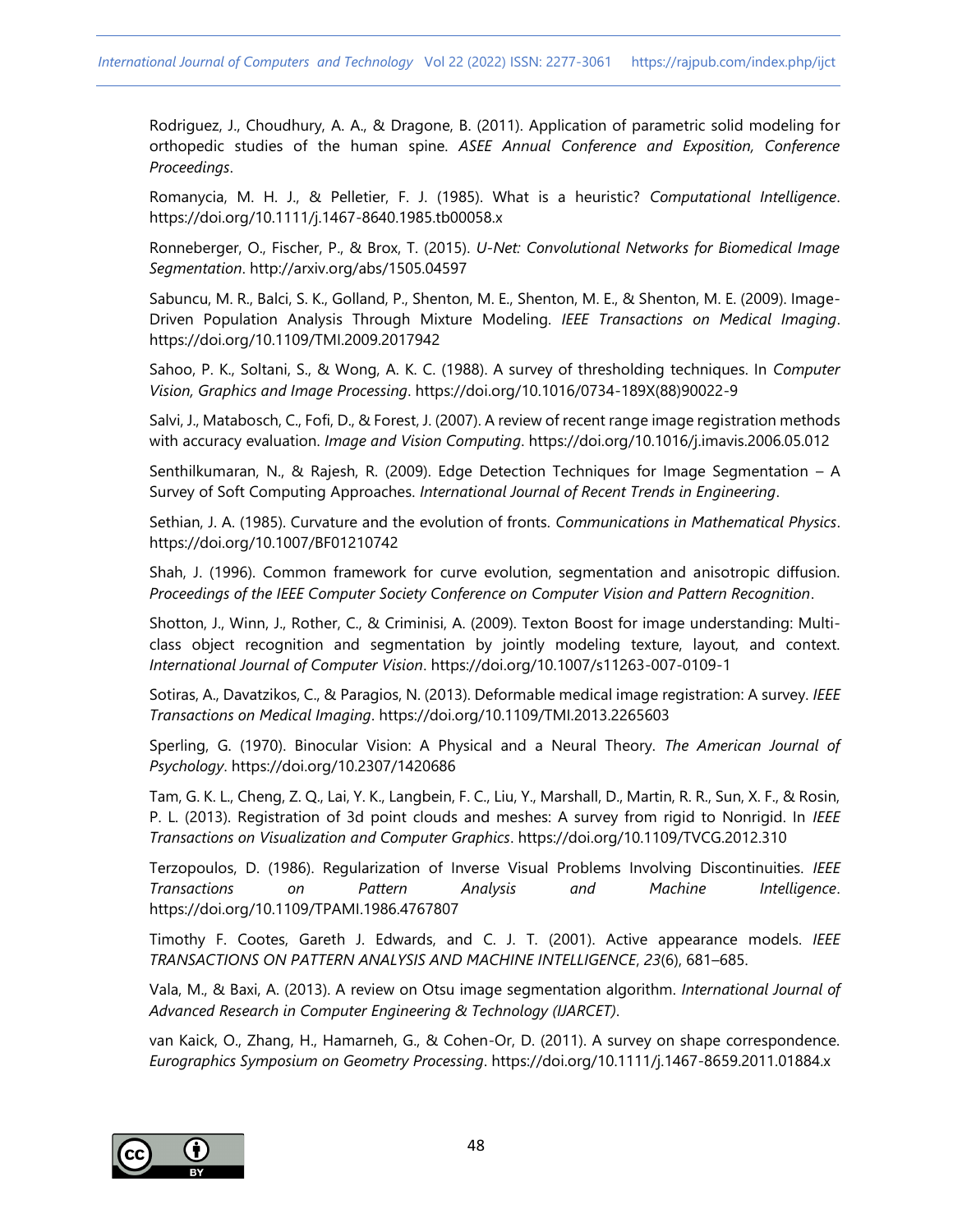Rodriguez, J., Choudhury, A. A., & Dragone, B. (2011). Application of parametric solid modeling for orthopedic studies of the human spine. *ASEE Annual Conference and Exposition, Conference Proceedings*.

Romanycia, M. H. J., & Pelletier, F. J. (1985). What is a heuristic? *Computational Intelligence*. https://doi.org/10.1111/j.1467-8640.1985.tb00058.x

Ronneberger, O., Fischer, P., & Brox, T. (2015). *U-Net: Convolutional Networks for Biomedical Image Segmentation*. http://arxiv.org/abs/1505.04597

Sabuncu, M. R., Balci, S. K., Golland, P., Shenton, M. E., Shenton, M. E., & Shenton, M. E. (2009). Image-Driven Population Analysis Through Mixture Modeling. *IEEE Transactions on Medical Imaging*. https://doi.org/10.1109/TMI.2009.2017942

Sahoo, P. K., Soltani, S., & Wong, A. K. C. (1988). A survey of thresholding techniques. In *Computer Vision, Graphics and Image Processing*. https://doi.org/10.1016/0734-189X(88)90022-9

Salvi, J., Matabosch, C., Fofi, D., & Forest, J. (2007). A review of recent range image registration methods with accuracy evaluation. *Image and Vision Computing*. https://doi.org/10.1016/j.imavis.2006.05.012

Senthilkumaran, N., & Rajesh, R. (2009). Edge Detection Techniques for Image Segmentation – A Survey of Soft Computing Approaches. *International Journal of Recent Trends in Engineering*.

Sethian, J. A. (1985). Curvature and the evolution of fronts. *Communications in Mathematical Physics*. https://doi.org/10.1007/BF01210742

Shah, J. (1996). Common framework for curve evolution, segmentation and anisotropic diffusion. *Proceedings of the IEEE Computer Society Conference on Computer Vision and Pattern Recognition*.

Shotton, J., Winn, J., Rother, C., & Criminisi, A. (2009). Texton Boost for image understanding: Multiclass object recognition and segmentation by jointly modeling texture, layout, and context. *International Journal of Computer Vision*. https://doi.org/10.1007/s11263-007-0109-1

Sotiras, A., Davatzikos, C., & Paragios, N. (2013). Deformable medical image registration: A survey. *IEEE Transactions on Medical Imaging*. https://doi.org/10.1109/TMI.2013.2265603

Sperling, G. (1970). Binocular Vision: A Physical and a Neural Theory. *The American Journal of Psychology*. https://doi.org/10.2307/1420686

Tam, G. K. L., Cheng, Z. Q., Lai, Y. K., Langbein, F. C., Liu, Y., Marshall, D., Martin, R. R., Sun, X. F., & Rosin, P. L. (2013). Registration of 3d point clouds and meshes: A survey from rigid to Nonrigid. In *IEEE Transactions on Visualization and Computer Graphics*. https://doi.org/10.1109/TVCG.2012.310

Terzopoulos, D. (1986). Regularization of Inverse Visual Problems Involving Discontinuities. *IEEE Transactions on Pattern Analysis and Machine Intelligence*. https://doi.org/10.1109/TPAMI.1986.4767807

Timothy F. Cootes, Gareth J. Edwards, and C. J. T. (2001). Active appearance models. *IEEE TRANSACTIONS ON PATTERN ANALYSIS AND MACHINE INTELLIGENCE*, *23*(6), 681–685.

Vala, M., & Baxi, A. (2013). A review on Otsu image segmentation algorithm. *International Journal of Advanced Research in Computer Engineering & Technology (IJARCET)*.

van Kaick, O., Zhang, H., Hamarneh, G., & Cohen-Or, D. (2011). A survey on shape correspondence. *Eurographics Symposium on Geometry Processing*. https://doi.org/10.1111/j.1467-8659.2011.01884.x